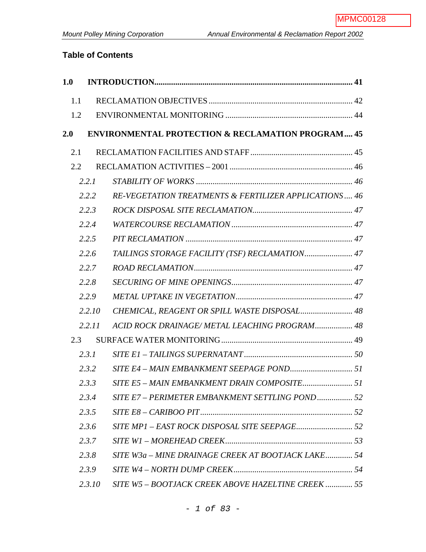# **Table of Contents**

| 1.0 |        |                                                              |  |
|-----|--------|--------------------------------------------------------------|--|
| 1.1 |        |                                                              |  |
| 1.2 |        |                                                              |  |
| 2.0 |        | <b>ENVIRONMENTAL PROTECTION &amp; RECLAMATION PROGRAM 45</b> |  |
| 2.1 |        |                                                              |  |
| 2.2 |        |                                                              |  |
|     | 2.2.1  |                                                              |  |
|     | 2.2.2  | RE-VEGETATION TREATMENTS & FERTILIZER APPLICATIONS 46        |  |
|     | 2.2.3  |                                                              |  |
|     | 2.2.4  |                                                              |  |
|     | 2.2.5  |                                                              |  |
|     | 2.2.6  | TAILINGS STORAGE FACILITY (TSF) RECLAMATION 47               |  |
|     | 2.2.7  |                                                              |  |
|     | 2.2.8  |                                                              |  |
|     | 2.2.9  |                                                              |  |
|     | 2.2.10 | CHEMICAL, REAGENT OR SPILL WASTE DISPOSAL 48                 |  |
|     | 2.2.11 | ACID ROCK DRAINAGE/METAL LEACHING PROGRAM 48                 |  |
| 2.3 |        |                                                              |  |
|     | 2.3.1  |                                                              |  |
|     | 2.3.2  |                                                              |  |
|     | 2.3.3  |                                                              |  |
|     | 2.3.4  | SITE E7 - PERIMETER EMBANKMENT SETTLING POND 52              |  |
|     | 2.3.5  |                                                              |  |
|     | 2.3.6  |                                                              |  |
|     | 2.3.7  |                                                              |  |
|     | 2.3.8  | SITE W3a – MINE DRAINAGE CREEK AT BOOTJACK LAKE 54           |  |
|     | 2.3.9  |                                                              |  |
|     | 2.3.10 | SITE W5 - BOOTJACK CREEK ABOVE HAZELTINE CREEK 55            |  |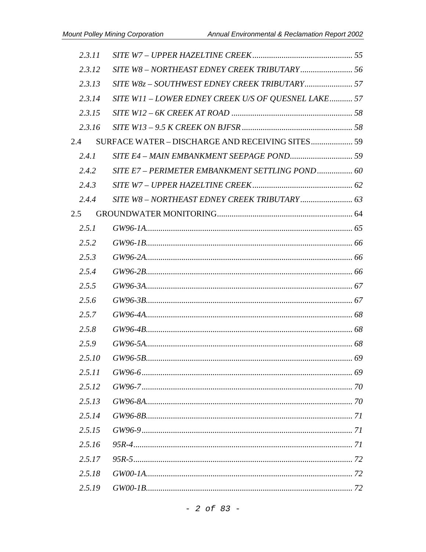| 2.3.11 |                                                     |  |
|--------|-----------------------------------------------------|--|
| 2.3.12 | SITE W8 - NORTHEAST EDNEY CREEK TRIBUTARY 56        |  |
| 2.3.13 | SITE W8z - SOUTHWEST EDNEY CREEK TRIBUTARY 57       |  |
| 2.3.14 | SITE W11 - LOWER EDNEY CREEK U/S OF QUESNEL LAKE 57 |  |
| 2.3.15 |                                                     |  |
| 2.3.16 |                                                     |  |
| 2.4    | SURFACE WATER - DISCHARGE AND RECEIVING SITES 59    |  |
| 2.4.1  |                                                     |  |
| 2.4.2  | SITE E7 - PERIMETER EMBANKMENT SETTLING POND 60     |  |
| 2.4.3  |                                                     |  |
| 2.4.4  |                                                     |  |
| 2.5    |                                                     |  |
| 2.5.1  |                                                     |  |
| 2.5.2  |                                                     |  |
| 2.5.3  |                                                     |  |
| 2.5.4  |                                                     |  |
| 2.5.5  |                                                     |  |
| 2.5.6  |                                                     |  |
| 2.5.7  |                                                     |  |
| 2.5.8  |                                                     |  |
| 2.5.9  |                                                     |  |
| 2.5.10 |                                                     |  |
| 2.5.11 |                                                     |  |
| 2.5.12 |                                                     |  |
| 2.5.13 |                                                     |  |
| 2.5.14 |                                                     |  |
| 2.5.15 |                                                     |  |
| 2.5.16 |                                                     |  |
| 2.5.17 |                                                     |  |
| 2.5.18 |                                                     |  |
| 2.5.19 |                                                     |  |

 $- 2$  of 83 -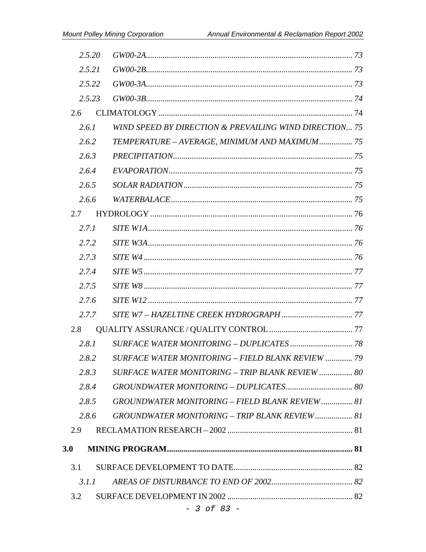| 2.5.20 |                                                        |  |
|--------|--------------------------------------------------------|--|
| 2.5.21 |                                                        |  |
| 2.5.22 |                                                        |  |
| 2.5.23 |                                                        |  |
| 2.6    |                                                        |  |
| 2.6.1  | WIND SPEED BY DIRECTION & PREVAILING WIND DIRECTION 75 |  |
| 2.6.2  | TEMPERATURE - AVERAGE, MINIMUM AND MAXIMUM 75          |  |
| 2.6.3  |                                                        |  |
| 2.6.4  |                                                        |  |
| 2.6.5  |                                                        |  |
| 2.6.6  |                                                        |  |
| 2.7    |                                                        |  |
| 2.7.1  |                                                        |  |
| 2.7.2  |                                                        |  |
| 2.7.3  |                                                        |  |
| 2.7.4  |                                                        |  |
| 2.7.5  |                                                        |  |
| 2.7.6  |                                                        |  |
| 2.7.7  |                                                        |  |
| 2.8    |                                                        |  |
| 2.8.1  |                                                        |  |
| 2.8.2  | SURFACE WATER MONITORING – FIELD BLANK REVIEW  79      |  |
| 2.8.3  | SURFACE WATER MONITORING - TRIP BLANK REVIEW  80       |  |
| 2.8.4  |                                                        |  |
| 2.8.5  | GROUNDWATER MONITORING - FIELD BLANK REVIEW 81         |  |
| 2.8.6  | GROUNDWATER MONITORING - TRIP BLANK REVIEW 81          |  |
| 2.9    |                                                        |  |
| 3.0    |                                                        |  |
| 3.1    |                                                        |  |
| 3.1.1  |                                                        |  |
| 3.2    |                                                        |  |
|        | - 3 of 83 -                                            |  |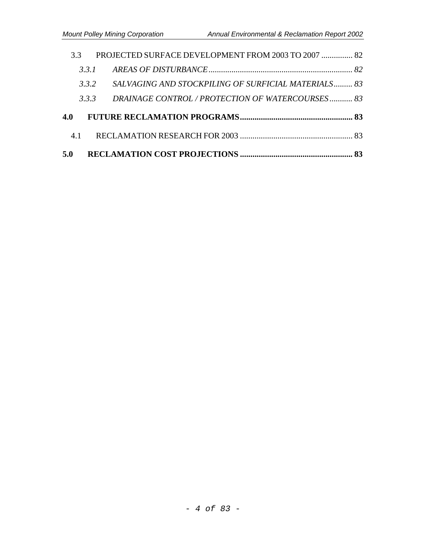| 5.0 |     |                                                     | 83 |
|-----|-----|-----------------------------------------------------|----|
| 4.1 |     |                                                     |    |
| 4.0 |     |                                                     |    |
|     | 333 | DRAINAGE CONTROL / PROTECTION OF WATERCOURSES 83    |    |
|     | 332 | SALVAGING AND STOCKPILING OF SURFICIAL MATERIALS 83 |    |
|     | 331 |                                                     |    |
| 33  |     | PROJECTED SURFACE DEVELOPMENT FROM 2003 TO 2007  82 |    |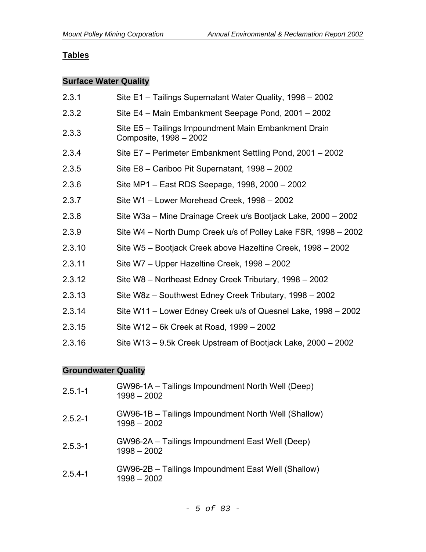# **Tables**

### **Surface Water Quality**

| 2.3.1  | Site E1 - Tailings Supernatant Water Quality, 1998 - 2002                      |
|--------|--------------------------------------------------------------------------------|
| 2.3.2  | Site E4 - Main Embankment Seepage Pond, 2001 - 2002                            |
| 2.3.3  | Site E5 - Tailings Impoundment Main Embankment Drain<br>Composite, 1998 - 2002 |
| 2.3.4  | Site E7 – Perimeter Embankment Settling Pond, 2001 – 2002                      |
| 2.3.5  | Site E8 - Cariboo Pit Supernatant, 1998 - 2002                                 |
| 2.3.6  | Site MP1 – East RDS Seepage, 1998, 2000 – 2002                                 |
| 2.3.7  | Site W1 - Lower Morehead Creek, 1998 - 2002                                    |
| 2.3.8  | Site W3a - Mine Drainage Creek u/s Bootjack Lake, 2000 - 2002                  |
| 2.3.9  | Site W4 – North Dump Creek u/s of Polley Lake FSR, 1998 – 2002                 |
| 2.3.10 | Site W5 - Bootjack Creek above Hazeltine Creek, 1998 - 2002                    |
| 2.3.11 | Site W7 - Upper Hazeltine Creek, 1998 - 2002                                   |
| 2.3.12 | Site W8 - Northeast Edney Creek Tributary, 1998 - 2002                         |
| 2.3.13 | Site W8z - Southwest Edney Creek Tributary, 1998 - 2002                        |
| 2.3.14 | Site W11 – Lower Edney Creek u/s of Quesnel Lake, 1998 – 2002                  |
| 2.3.15 | Site W12 – 6k Creek at Road, 1999 – 2002                                       |
| 2.3.16 | Site W13 – 9.5k Creek Upstream of Bootjack Lake, 2000 – 2002                   |
|        |                                                                                |

# **Groundwater Quality**

| $2.5.1 - 1$ | GW96-1A – Tailings Impoundment North Well (Deep)<br>$1998 - 2002$    |
|-------------|----------------------------------------------------------------------|
| $2.5.2 - 1$ | GW96-1B - Tailings Impoundment North Well (Shallow)<br>$1998 - 2002$ |
| $2.5.3 - 1$ | GW96-2A – Tailings Impoundment East Well (Deep)<br>$1998 - 2002$     |
| $2.5.4 - 1$ | GW96-2B – Tailings Impoundment East Well (Shallow)<br>$1998 - 2002$  |
|             |                                                                      |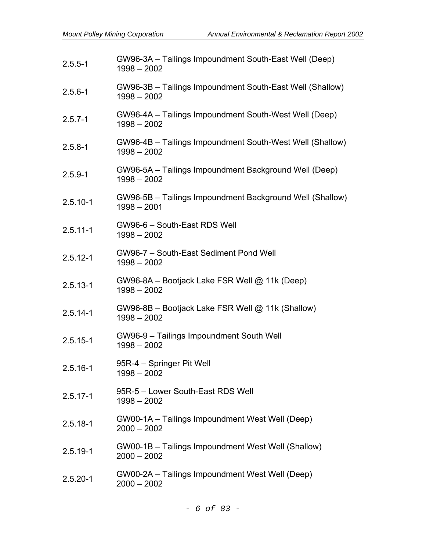| $2.5.5 - 1$  | GW96-3A - Tailings Impoundment South-East Well (Deep)<br>$1998 - 2002$    |
|--------------|---------------------------------------------------------------------------|
| $2.5.6 - 1$  | GW96-3B - Tailings Impoundment South-East Well (Shallow)<br>$1998 - 2002$ |
| $2.5.7 - 1$  | GW96-4A - Tailings Impoundment South-West Well (Deep)<br>$1998 - 2002$    |
| $2.5.8 - 1$  | GW96-4B - Tailings Impoundment South-West Well (Shallow)<br>$1998 - 2002$ |
| $2.5.9 - 1$  | GW96-5A - Tailings Impoundment Background Well (Deep)<br>$1998 - 2002$    |
| $2.5.10 - 1$ | GW96-5B - Tailings Impoundment Background Well (Shallow)<br>$1998 - 2001$ |
| $2.5.11 - 1$ | GW96-6 - South-East RDS Well<br>$1998 - 2002$                             |
| $2.5.12 - 1$ | GW96-7 - South-East Sediment Pond Well<br>$1998 - 2002$                   |
| $2.5.13 - 1$ | GW96-8A - Bootjack Lake FSR Well @ 11k (Deep)<br>$1998 - 2002$            |
| $2.5.14 - 1$ | GW96-8B - Bootjack Lake FSR Well @ 11k (Shallow)<br>$1998 - 2002$         |
| $2.5.15 - 1$ | GW96-9 - Tailings Impoundment South Well<br>$1998 - 2002$                 |
| $2.5.16 - 1$ | 95R-4 - Springer Pit Well<br>$1998 - 2002$                                |
| $2.5.17 - 1$ | 95R-5 - Lower South-East RDS Well<br>$1998 - 2002$                        |
| $2.5.18 - 1$ | GW00-1A - Tailings Impoundment West Well (Deep)<br>$2000 - 2002$          |
| $2.5.19 - 1$ | GW00-1B - Tailings Impoundment West Well (Shallow)<br>$2000 - 2002$       |
| $2.5.20 - 1$ | GW00-2A - Tailings Impoundment West Well (Deep)<br>$2000 - 2002$          |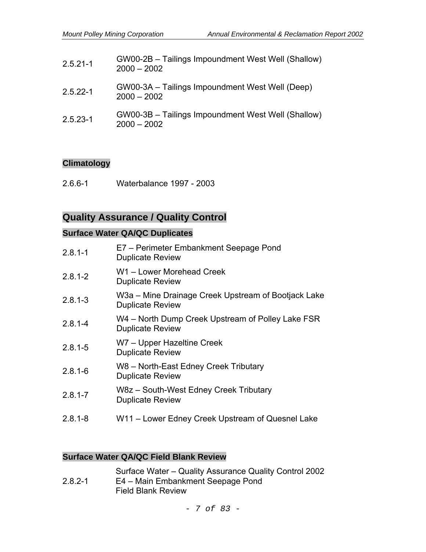- 2.5.21-1 GW00-2B Tailings Impoundment West Well (Shallow) 2000 – 2002
- 2.5.22-1 GW00-3A Tailings Impoundment West Well (Deep) 2000 – 2002
- 2.5.23-1 GW00-3B Tailings Impoundment West Well (Shallow) 2000 – 2002

### **Climatology**

2.6.6-1 Waterbalance 1997 - 2003

# **Quality Assurance / Quality Control**

#### **Surface Water QA/QC Duplicates**

| $2.8.1 - 1$ | E7 - Perimeter Embankment Seepage Pond<br><b>Duplicate Review</b>              |
|-------------|--------------------------------------------------------------------------------|
| $2.8.1 - 2$ | W1 - Lower Morehead Creek<br><b>Duplicate Review</b>                           |
| $2.8.1 - 3$ | W3a – Mine Drainage Creek Upstream of Bootjack Lake<br><b>Duplicate Review</b> |
| $2.8.1 - 4$ | W4 – North Dump Creek Upstream of Polley Lake FSR<br><b>Duplicate Review</b>   |
| $2.8.1 - 5$ | W7 - Upper Hazeltine Creek<br><b>Duplicate Review</b>                          |
| $2.8.1 - 6$ | W8 - North-East Edney Creek Tributary<br><b>Duplicate Review</b>               |
| $2.8.1 - 7$ | W8z - South-West Edney Creek Tributary<br><b>Duplicate Review</b>              |
| $2.8.1 - 8$ | W11 - Lower Edney Creek Upstream of Quesnel Lake                               |

#### **Surface Water QA/QC Field Blank Review**

|             | Surface Water – Quality Assurance Quality Control 2002 |
|-------------|--------------------------------------------------------|
| $2.8.2 - 1$ | E4 - Main Embankment Seepage Pond                      |
|             | <b>Field Blank Review</b>                              |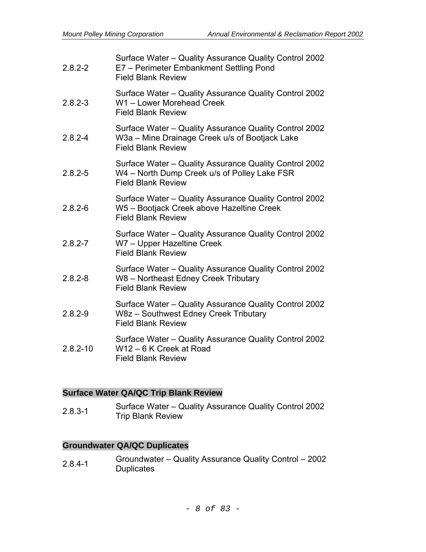| $2.8.2 - 2$  | Surface Water - Quality Assurance Quality Control 2002<br>E7 - Perimeter Embankment Settling Pond<br><b>Field Blank Review</b>        |
|--------------|---------------------------------------------------------------------------------------------------------------------------------------|
| $2.8.2 - 3$  | Surface Water - Quality Assurance Quality Control 2002<br>W1 - Lower Morehead Creek<br><b>Field Blank Review</b>                      |
| $2.8.2 - 4$  | Surface Water - Quality Assurance Quality Control 2002<br>W3a - Mine Drainage Creek u/s of Bootjack Lake<br><b>Field Blank Review</b> |
| $2.8.2 - 5$  | Surface Water - Quality Assurance Quality Control 2002<br>W4 - North Dump Creek u/s of Polley Lake FSR<br><b>Field Blank Review</b>   |
| $2.8.2 - 6$  | Surface Water - Quality Assurance Quality Control 2002<br>W5 - Bootjack Creek above Hazeltine Creek<br><b>Field Blank Review</b>      |
| $2.8.2 - 7$  | Surface Water - Quality Assurance Quality Control 2002<br>W7 - Upper Hazeltine Creek<br><b>Field Blank Review</b>                     |
| $2.8.2 - 8$  | Surface Water - Quality Assurance Quality Control 2002<br>W8 - Northeast Edney Creek Tributary<br><b>Field Blank Review</b>           |
| $2.8.2 - 9$  | Surface Water - Quality Assurance Quality Control 2002<br>W8z - Southwest Edney Creek Tributary<br><b>Field Blank Review</b>          |
| $2.8.2 - 10$ | Surface Water - Quality Assurance Quality Control 2002<br>W12-6 K Creek at Road<br><b>Field Blank Review</b>                          |

#### **Surface Water QA/QC Trip Blank Review**

2.8.3-1 Surface Water – Quality Assurance Quality Control 2002 Trip Blank Review

#### **Groundwater QA/QC Duplicates**

2.8.4-1 Groundwater – Quality Assurance Quality Control – 2002 **Duplicates**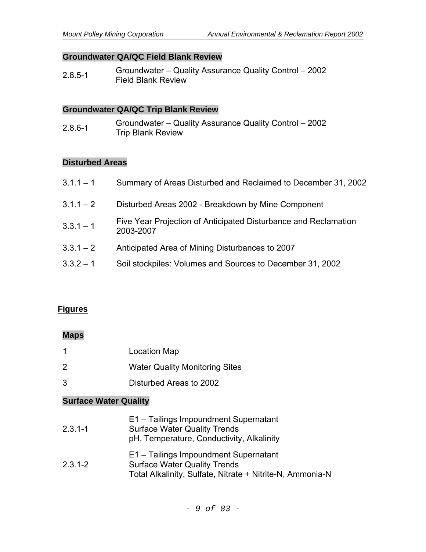#### **Groundwater QA/QC Field Blank Review**

2.8.5-1 Groundwater – Quality Assurance Quality Control – 2002 Field Blank Review

## **Groundwater QA/QC Trip Blank Review**

2.8.6-1 Groundwater – Quality Assurance Quality Control – 2002 Trip Blank Review

#### **Disturbed Areas**

| $3.1.1 - 1$ | Summary of Areas Disturbed and Reclaimed to December 31, 2002                |
|-------------|------------------------------------------------------------------------------|
| $3.1.1 - 2$ | Disturbed Areas 2002 - Breakdown by Mine Component                           |
| $3.3.1 - 1$ | Five Year Projection of Anticipated Disturbance and Reclamation<br>2003-2007 |
| $3.3.1 - 2$ | Anticipated Area of Mining Disturbances to 2007                              |
| $3.3.2 - 1$ | Soil stockpiles: Volumes and Sources to December 31, 2002                    |

### **Figures**

#### **Maps**

|   | Location Map                          |
|---|---------------------------------------|
| 2 | <b>Water Quality Monitoring Sites</b> |
| 3 | Disturbed Areas to 2002               |

### **Surface Water Quality**

| $2.3.1 - 1$ | E1 - Tailings Impoundment Supernatant<br><b>Surface Water Quality Trends</b><br>pH, Temperature, Conductivity, Alkalinity                 |
|-------------|-------------------------------------------------------------------------------------------------------------------------------------------|
| $2.3.1 - 2$ | E1 - Tailings Impoundment Supernatant<br><b>Surface Water Quality Trends</b><br>Total Alkalinity, Sulfate, Nitrate + Nitrite-N, Ammonia-N |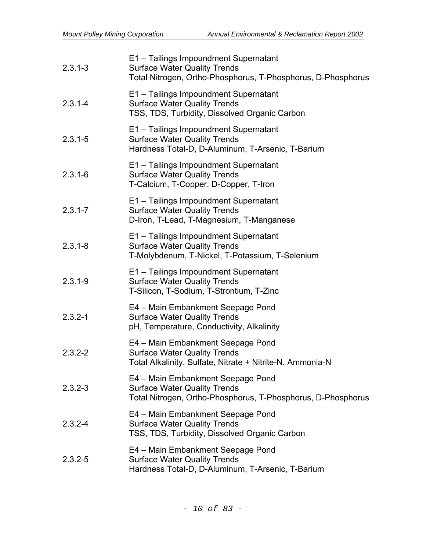| $2.3.1 - 3$ | E1 - Tailings Impoundment Supernatant<br><b>Surface Water Quality Trends</b><br>Total Nitrogen, Ortho-Phosphorus, T-Phosphorus, D-Phosphorus |
|-------------|----------------------------------------------------------------------------------------------------------------------------------------------|
| $2.3.1 - 4$ | E1 - Tailings Impoundment Supernatant<br><b>Surface Water Quality Trends</b><br>TSS, TDS, Turbidity, Dissolved Organic Carbon                |
| $2.3.1 - 5$ | E1 - Tailings Impoundment Supernatant<br><b>Surface Water Quality Trends</b><br>Hardness Total-D, D-Aluminum, T-Arsenic, T-Barium            |
| $2.3.1 - 6$ | E1 - Tailings Impoundment Supernatant<br><b>Surface Water Quality Trends</b><br>T-Calcium, T-Copper, D-Copper, T-Iron                        |
| $2.3.1 - 7$ | E1 - Tailings Impoundment Supernatant<br><b>Surface Water Quality Trends</b><br>D-Iron, T-Lead, T-Magnesium, T-Manganese                     |
| $2.3.1 - 8$ | E1 - Tailings Impoundment Supernatant<br><b>Surface Water Quality Trends</b><br>T-Molybdenum, T-Nickel, T-Potassium, T-Selenium              |
| $2.3.1 - 9$ | E1 - Tailings Impoundment Supernatant<br><b>Surface Water Quality Trends</b><br>T-Silicon, T-Sodium, T-Strontium, T-Zinc                     |
| $2.3.2 - 1$ | E4 - Main Embankment Seepage Pond<br><b>Surface Water Quality Trends</b><br>pH, Temperature, Conductivity, Alkalinity                        |
| $2.3.2 - 2$ | E4 - Main Embankment Seepage Pond<br><b>Surface Water Quality Trends</b><br>Total Alkalinity, Sulfate, Nitrate + Nitrite-N, Ammonia-N        |
| $2.3.2 - 3$ | E4 - Main Embankment Seepage Pond<br><b>Surface Water Quality Trends</b><br>Total Nitrogen, Ortho-Phosphorus, T-Phosphorus, D-Phosphorus     |
| $2.3.2 - 4$ | E4 - Main Embankment Seepage Pond<br><b>Surface Water Quality Trends</b><br>TSS, TDS, Turbidity, Dissolved Organic Carbon                    |
| $2.3.2 - 5$ | E4 - Main Embankment Seepage Pond<br><b>Surface Water Quality Trends</b><br>Hardness Total-D, D-Aluminum, T-Arsenic, T-Barium                |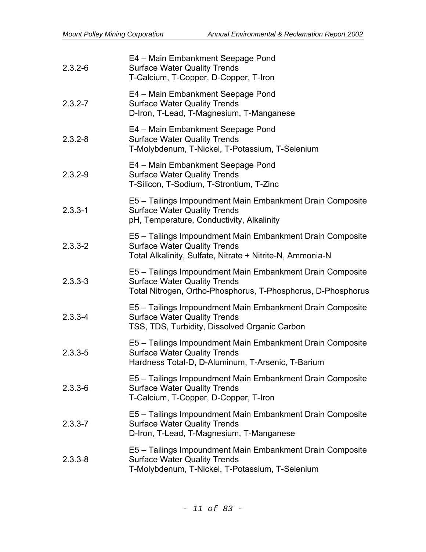| $2.3.2 - 6$ | E4 - Main Embankment Seepage Pond<br><b>Surface Water Quality Trends</b><br>T-Calcium, T-Copper, D-Copper, T-Iron                                                |
|-------------|------------------------------------------------------------------------------------------------------------------------------------------------------------------|
| $2.3.2 - 7$ | E4 - Main Embankment Seepage Pond<br><b>Surface Water Quality Trends</b><br>D-Iron, T-Lead, T-Magnesium, T-Manganese                                             |
| $2.3.2 - 8$ | E4 - Main Embankment Seepage Pond<br><b>Surface Water Quality Trends</b><br>T-Molybdenum, T-Nickel, T-Potassium, T-Selenium                                      |
| $2.3.2 - 9$ | E4 - Main Embankment Seepage Pond<br><b>Surface Water Quality Trends</b><br>T-Silicon, T-Sodium, T-Strontium, T-Zinc                                             |
| $2.3.3 - 1$ | E5 - Tailings Impoundment Main Embankment Drain Composite<br><b>Surface Water Quality Trends</b><br>pH, Temperature, Conductivity, Alkalinity                    |
| $2.3.3 - 2$ | E5 - Tailings Impoundment Main Embankment Drain Composite<br><b>Surface Water Quality Trends</b><br>Total Alkalinity, Sulfate, Nitrate + Nitrite-N, Ammonia-N    |
| $2.3.3 - 3$ | E5 - Tailings Impoundment Main Embankment Drain Composite<br><b>Surface Water Quality Trends</b><br>Total Nitrogen, Ortho-Phosphorus, T-Phosphorus, D-Phosphorus |
| $2.3.3 - 4$ | E5 - Tailings Impoundment Main Embankment Drain Composite<br><b>Surface Water Quality Trends</b><br>TSS, TDS, Turbidity, Dissolved Organic Carbon                |
| $2.3.3 - 5$ | E5 - Tailings Impoundment Main Embankment Drain Composite<br><b>Surface Water Quality Trends</b><br>Hardness Total-D, D-Aluminum, T-Arsenic, T-Barium            |
| $2.3.3 - 6$ | E5 - Tailings Impoundment Main Embankment Drain Composite<br><b>Surface Water Quality Trends</b><br>T-Calcium, T-Copper, D-Copper, T-Iron                        |
| $2.3.3 - 7$ | E5 - Tailings Impoundment Main Embankment Drain Composite<br><b>Surface Water Quality Trends</b><br>D-Iron, T-Lead, T-Magnesium, T-Manganese                     |
| $2.3.3 - 8$ | E5 - Tailings Impoundment Main Embankment Drain Composite<br><b>Surface Water Quality Trends</b><br>T-Molybdenum, T-Nickel, T-Potassium, T-Selenium              |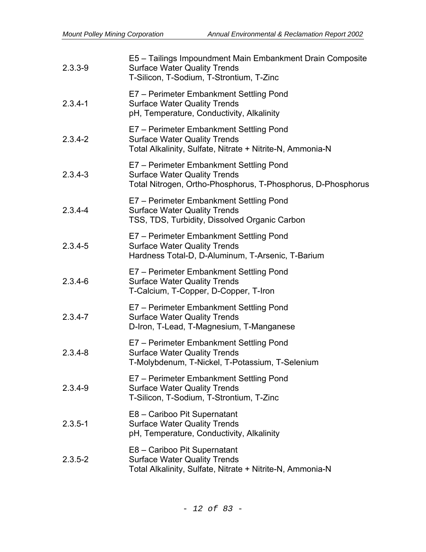| $2.3.3 - 9$ | E5 - Tailings Impoundment Main Embankment Drain Composite<br><b>Surface Water Quality Trends</b><br>T-Silicon, T-Sodium, T-Strontium, T-Zinc   |
|-------------|------------------------------------------------------------------------------------------------------------------------------------------------|
| $2.3.4 - 1$ | E7 - Perimeter Embankment Settling Pond<br><b>Surface Water Quality Trends</b><br>pH, Temperature, Conductivity, Alkalinity                    |
| $2.3.4 - 2$ | E7 – Perimeter Embankment Settling Pond<br><b>Surface Water Quality Trends</b><br>Total Alkalinity, Sulfate, Nitrate + Nitrite-N, Ammonia-N    |
| $2.3.4 - 3$ | E7 – Perimeter Embankment Settling Pond<br><b>Surface Water Quality Trends</b><br>Total Nitrogen, Ortho-Phosphorus, T-Phosphorus, D-Phosphorus |
| $2.3.4 - 4$ | E7 – Perimeter Embankment Settling Pond<br><b>Surface Water Quality Trends</b><br>TSS, TDS, Turbidity, Dissolved Organic Carbon                |
| $2.3.4 - 5$ | E7 - Perimeter Embankment Settling Pond<br><b>Surface Water Quality Trends</b><br>Hardness Total-D, D-Aluminum, T-Arsenic, T-Barium            |
| $2.3.4 - 6$ | E7 – Perimeter Embankment Settling Pond<br><b>Surface Water Quality Trends</b><br>T-Calcium, T-Copper, D-Copper, T-Iron                        |
| $2.3.4 - 7$ | E7 – Perimeter Embankment Settling Pond<br><b>Surface Water Quality Trends</b><br>D-Iron, T-Lead, T-Magnesium, T-Manganese                     |
| $2.3.4 - 8$ | E7 - Perimeter Embankment Settling Pond<br><b>Surface Water Quality Trends</b><br>T-Molybdenum, T-Nickel, T-Potassium, T-Selenium              |
| $2.3.4 - 9$ | E7 – Perimeter Embankment Settling Pond<br><b>Surface Water Quality Trends</b><br>T-Silicon, T-Sodium, T-Strontium, T-Zinc                     |
| $2.3.5 - 1$ | E8 - Cariboo Pit Supernatant<br><b>Surface Water Quality Trends</b><br>pH, Temperature, Conductivity, Alkalinity                               |
| $2.3.5 - 2$ | E8 - Cariboo Pit Supernatant<br><b>Surface Water Quality Trends</b><br>Total Alkalinity, Sulfate, Nitrate + Nitrite-N, Ammonia-N               |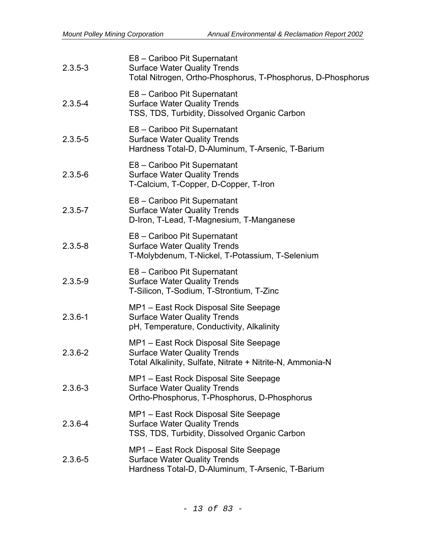| $2.3.5 - 3$ | E8 - Cariboo Pit Supernatant<br><b>Surface Water Quality Trends</b><br>Total Nitrogen, Ortho-Phosphorus, T-Phosphorus, D-Phosphorus       |
|-------------|-------------------------------------------------------------------------------------------------------------------------------------------|
| $2.3.5 - 4$ | E8 - Cariboo Pit Supernatant<br><b>Surface Water Quality Trends</b><br>TSS, TDS, Turbidity, Dissolved Organic Carbon                      |
| $2.3.5 - 5$ | E8 - Cariboo Pit Supernatant<br><b>Surface Water Quality Trends</b><br>Hardness Total-D, D-Aluminum, T-Arsenic, T-Barium                  |
| $2.3.5 - 6$ | E8 - Cariboo Pit Supernatant<br><b>Surface Water Quality Trends</b><br>T-Calcium, T-Copper, D-Copper, T-Iron                              |
| $2.3.5 - 7$ | E8 - Cariboo Pit Supernatant<br><b>Surface Water Quality Trends</b><br>D-Iron, T-Lead, T-Magnesium, T-Manganese                           |
| $2.3.5 - 8$ | E8 - Cariboo Pit Supernatant<br><b>Surface Water Quality Trends</b><br>T-Molybdenum, T-Nickel, T-Potassium, T-Selenium                    |
| $2.3.5 - 9$ | E8 - Cariboo Pit Supernatant<br><b>Surface Water Quality Trends</b><br>T-Silicon, T-Sodium, T-Strontium, T-Zinc                           |
| $2.3.6 - 1$ | MP1 – East Rock Disposal Site Seepage<br><b>Surface Water Quality Trends</b><br>pH, Temperature, Conductivity, Alkalinity                 |
| $2.3.6 - 2$ | MP1 - East Rock Disposal Site Seepage<br><b>Surface Water Quality Trends</b><br>Total Alkalinity, Sulfate, Nitrate + Nitrite-N, Ammonia-N |
| $2.3.6 - 3$ | MP1 – East Rock Disposal Site Seepage<br><b>Surface Water Quality Trends</b><br>Ortho-Phosphorus, T-Phosphorus, D-Phosphorus              |
| $2.3.6 - 4$ | MP1 – East Rock Disposal Site Seepage<br><b>Surface Water Quality Trends</b><br>TSS, TDS, Turbidity, Dissolved Organic Carbon             |
| 2.3.6-5     | MP1 – East Rock Disposal Site Seepage<br><b>Surface Water Quality Trends</b><br>Hardness Total-D, D-Aluminum, T-Arsenic, T-Barium         |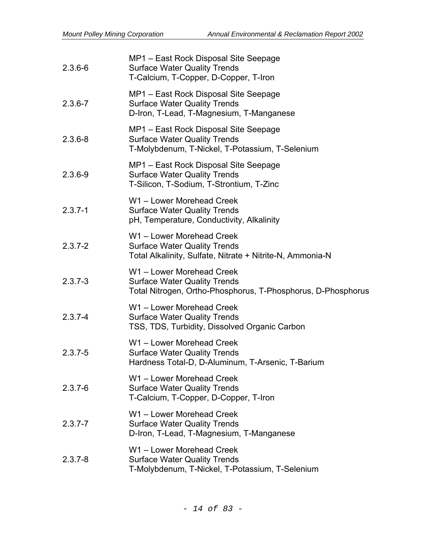| $2.3.6 - 6$ | MP1 – East Rock Disposal Site Seepage<br><b>Surface Water Quality Trends</b><br>T-Calcium, T-Copper, D-Copper, T-Iron            |
|-------------|----------------------------------------------------------------------------------------------------------------------------------|
| $2.3.6 - 7$ | MP1 - East Rock Disposal Site Seepage<br><b>Surface Water Quality Trends</b><br>D-Iron, T-Lead, T-Magnesium, T-Manganese         |
| $2.3.6 - 8$ | MP1 – East Rock Disposal Site Seepage<br><b>Surface Water Quality Trends</b><br>T-Molybdenum, T-Nickel, T-Potassium, T-Selenium  |
| $2.3.6 - 9$ | MP1 - East Rock Disposal Site Seepage<br><b>Surface Water Quality Trends</b><br>T-Silicon, T-Sodium, T-Strontium, T-Zinc         |
| $2.3.7 - 1$ | W1 - Lower Morehead Creek<br><b>Surface Water Quality Trends</b><br>pH, Temperature, Conductivity, Alkalinity                    |
| $2.3.7 - 2$ | W1 - Lower Morehead Creek<br><b>Surface Water Quality Trends</b><br>Total Alkalinity, Sulfate, Nitrate + Nitrite-N, Ammonia-N    |
| $2.3.7 - 3$ | W1 - Lower Morehead Creek<br><b>Surface Water Quality Trends</b><br>Total Nitrogen, Ortho-Phosphorus, T-Phosphorus, D-Phosphorus |
| $2.3.7 - 4$ | W1 - Lower Morehead Creek<br><b>Surface Water Quality Trends</b><br>TSS, TDS, Turbidity, Dissolved Organic Carbon                |
| $2.3.7 - 5$ | W1 - Lower Morehead Creek<br><b>Surface Water Quality Trends</b><br>Hardness Total-D, D-Aluminum, T-Arsenic, T-Barium            |
| $2.3.7 - 6$ | W1 - Lower Morehead Creek<br><b>Surface Water Quality Trends</b><br>T-Calcium, T-Copper, D-Copper, T-Iron                        |
| $2.3.7 - 7$ | W1 - Lower Morehead Creek<br><b>Surface Water Quality Trends</b><br>D-Iron, T-Lead, T-Magnesium, T-Manganese                     |
| $2.3.7 - 8$ | W1 - Lower Morehead Creek<br><b>Surface Water Quality Trends</b><br>T-Molybdenum, T-Nickel, T-Potassium, T-Selenium              |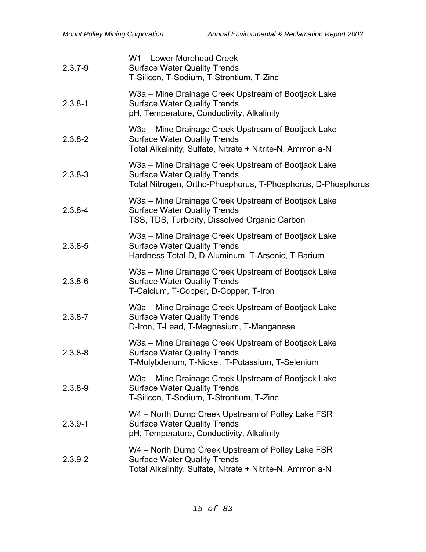| $2.3.7 - 9$ | W1 - Lower Morehead Creek<br><b>Surface Water Quality Trends</b><br>T-Silicon, T-Sodium, T-Strontium, T-Zinc                                               |
|-------------|------------------------------------------------------------------------------------------------------------------------------------------------------------|
| $2.3.8 - 1$ | W3a - Mine Drainage Creek Upstream of Bootjack Lake<br><b>Surface Water Quality Trends</b><br>pH, Temperature, Conductivity, Alkalinity                    |
| $2.3.8 - 2$ | W3a – Mine Drainage Creek Upstream of Bootjack Lake<br><b>Surface Water Quality Trends</b><br>Total Alkalinity, Sulfate, Nitrate + Nitrite-N, Ammonia-N    |
| $2.3.8 - 3$ | W3a – Mine Drainage Creek Upstream of Bootjack Lake<br><b>Surface Water Quality Trends</b><br>Total Nitrogen, Ortho-Phosphorus, T-Phosphorus, D-Phosphorus |
| $2.3.8 - 4$ | W3a - Mine Drainage Creek Upstream of Bootjack Lake<br><b>Surface Water Quality Trends</b><br>TSS, TDS, Turbidity, Dissolved Organic Carbon                |
| $2.3.8 - 5$ | W3a - Mine Drainage Creek Upstream of Bootjack Lake<br><b>Surface Water Quality Trends</b><br>Hardness Total-D, D-Aluminum, T-Arsenic, T-Barium            |
| $2.3.8 - 6$ | W3a – Mine Drainage Creek Upstream of Bootjack Lake<br><b>Surface Water Quality Trends</b><br>T-Calcium, T-Copper, D-Copper, T-Iron                        |
| $2.3.8 - 7$ | W3a – Mine Drainage Creek Upstream of Bootjack Lake<br><b>Surface Water Quality Trends</b><br>D-Iron, T-Lead, T-Magnesium, T-Manganese                     |
| $2.3.8 - 8$ | W3a – Mine Drainage Creek Upstream of Bootjack Lake<br><b>Surface Water Quality Trends</b><br>T-Molybdenum, T-Nickel, T-Potassium, T-Selenium              |
| $2.3.8 - 9$ | W3a – Mine Drainage Creek Upstream of Bootjack Lake<br><b>Surface Water Quality Trends</b><br>T-Silicon, T-Sodium, T-Strontium, T-Zinc                     |
| $2.3.9 - 1$ | W4 – North Dump Creek Upstream of Polley Lake FSR<br><b>Surface Water Quality Trends</b><br>pH, Temperature, Conductivity, Alkalinity                      |
| $2.3.9 - 2$ | W4 – North Dump Creek Upstream of Polley Lake FSR<br><b>Surface Water Quality Trends</b><br>Total Alkalinity, Sulfate, Nitrate + Nitrite-N, Ammonia-N      |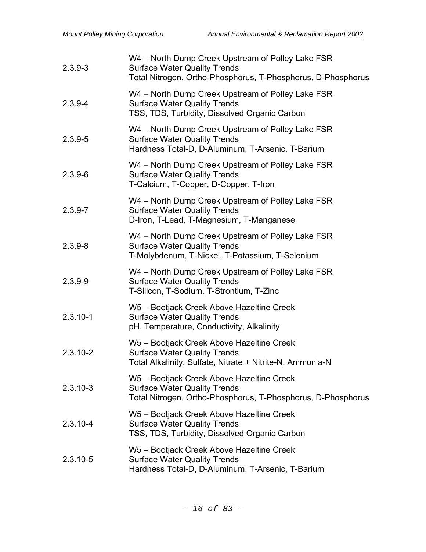| $2.3.9 - 3$  | W4 - North Dump Creek Upstream of Polley Lake FSR<br><b>Surface Water Quality Trends</b><br>Total Nitrogen, Ortho-Phosphorus, T-Phosphorus, D-Phosphorus |
|--------------|----------------------------------------------------------------------------------------------------------------------------------------------------------|
| $2.3.9 - 4$  | W4 - North Dump Creek Upstream of Polley Lake FSR<br><b>Surface Water Quality Trends</b><br>TSS, TDS, Turbidity, Dissolved Organic Carbon                |
| $2.3.9 - 5$  | W4 - North Dump Creek Upstream of Polley Lake FSR<br><b>Surface Water Quality Trends</b><br>Hardness Total-D, D-Aluminum, T-Arsenic, T-Barium            |
| $2.3.9 - 6$  | W4 - North Dump Creek Upstream of Polley Lake FSR<br><b>Surface Water Quality Trends</b><br>T-Calcium, T-Copper, D-Copper, T-Iron                        |
| $2.3.9 - 7$  | W4 - North Dump Creek Upstream of Polley Lake FSR<br><b>Surface Water Quality Trends</b><br>D-Iron, T-Lead, T-Magnesium, T-Manganese                     |
| $2.3.9 - 8$  | W4 - North Dump Creek Upstream of Polley Lake FSR<br><b>Surface Water Quality Trends</b><br>T-Molybdenum, T-Nickel, T-Potassium, T-Selenium              |
| $2.3.9 - 9$  | W4 – North Dump Creek Upstream of Polley Lake FSR<br><b>Surface Water Quality Trends</b><br>T-Silicon, T-Sodium, T-Strontium, T-Zinc                     |
| $2.3.10 - 1$ | W5 - Bootjack Creek Above Hazeltine Creek<br><b>Surface Water Quality Trends</b><br>pH, Temperature, Conductivity, Alkalinity                            |
| $2.3.10 - 2$ | W5 - Bootjack Creek Above Hazeltine Creek<br><b>Surface Water Quality Trends</b><br>Total Alkalinity, Sulfate, Nitrate + Nitrite-N, Ammonia-N            |
| $2.3.10 - 3$ | W5 - Bootjack Creek Above Hazeltine Creek<br><b>Surface Water Quality Trends</b><br>Total Nitrogen, Ortho-Phosphorus, T-Phosphorus, D-Phosphorus         |
| $2.3.10 - 4$ | W5 - Bootjack Creek Above Hazeltine Creek<br><b>Surface Water Quality Trends</b><br>TSS, TDS, Turbidity, Dissolved Organic Carbon                        |
| 2.3.10-5     | W5 - Bootjack Creek Above Hazeltine Creek<br><b>Surface Water Quality Trends</b><br>Hardness Total-D, D-Aluminum, T-Arsenic, T-Barium                    |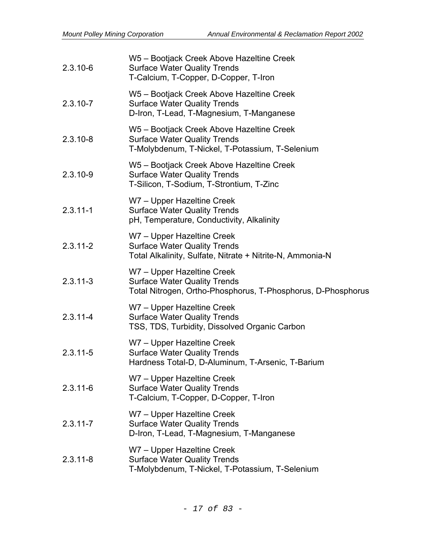| $2.3.10 - 6$ | W5 - Bootjack Creek Above Hazeltine Creek<br><b>Surface Water Quality Trends</b><br>T-Calcium, T-Copper, D-Copper, T-Iron           |
|--------------|-------------------------------------------------------------------------------------------------------------------------------------|
| $2.3.10 - 7$ | W5 - Bootjack Creek Above Hazeltine Creek<br><b>Surface Water Quality Trends</b><br>D-Iron, T-Lead, T-Magnesium, T-Manganese        |
| $2.3.10 - 8$ | W5 - Bootjack Creek Above Hazeltine Creek<br><b>Surface Water Quality Trends</b><br>T-Molybdenum, T-Nickel, T-Potassium, T-Selenium |
| $2.3.10 - 9$ | W5 - Bootjack Creek Above Hazeltine Creek<br><b>Surface Water Quality Trends</b><br>T-Silicon, T-Sodium, T-Strontium, T-Zinc        |
| $2.3.11 - 1$ | W7 - Upper Hazeltine Creek<br><b>Surface Water Quality Trends</b><br>pH, Temperature, Conductivity, Alkalinity                      |
| $2.3.11 - 2$ | W7 - Upper Hazeltine Creek<br><b>Surface Water Quality Trends</b><br>Total Alkalinity, Sulfate, Nitrate + Nitrite-N, Ammonia-N      |
| $2.3.11 - 3$ | W7 - Upper Hazeltine Creek<br><b>Surface Water Quality Trends</b><br>Total Nitrogen, Ortho-Phosphorus, T-Phosphorus, D-Phosphorus   |
| $2.3.11 - 4$ | W7 - Upper Hazeltine Creek<br><b>Surface Water Quality Trends</b><br>TSS, TDS, Turbidity, Dissolved Organic Carbon                  |
| $2.3.11 - 5$ | W7 - Upper Hazeltine Creek<br><b>Surface Water Quality Trends</b><br>Hardness Total-D, D-Aluminum, T-Arsenic, T-Barium              |
| $2.3.11 - 6$ | W7 - Upper Hazeltine Creek<br><b>Surface Water Quality Trends</b><br>T-Calcium, T-Copper, D-Copper, T-Iron                          |
| $2.3.11 - 7$ | W7 - Upper Hazeltine Creek<br><b>Surface Water Quality Trends</b><br>D-Iron, T-Lead, T-Magnesium, T-Manganese                       |
| $2.3.11 - 8$ | W7 - Upper Hazeltine Creek<br><b>Surface Water Quality Trends</b><br>T-Molybdenum, T-Nickel, T-Potassium, T-Selenium                |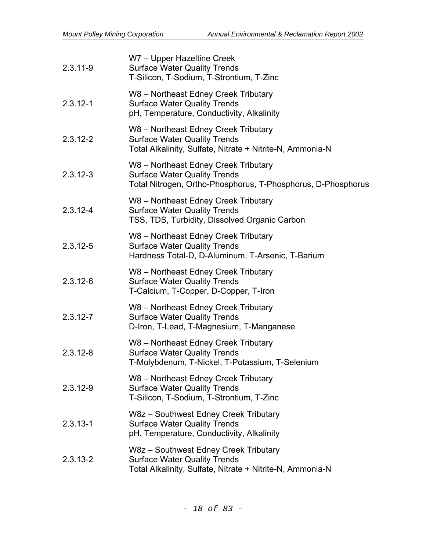| $2.3.11 - 9$ | W7 - Upper Hazeltine Creek<br><b>Surface Water Quality Trends</b><br>T-Silicon, T-Sodium, T-Strontium, T-Zinc                               |
|--------------|---------------------------------------------------------------------------------------------------------------------------------------------|
| $2.3.12 - 1$ | W8 - Northeast Edney Creek Tributary<br><b>Surface Water Quality Trends</b><br>pH, Temperature, Conductivity, Alkalinity                    |
| $2.3.12 - 2$ | W8 - Northeast Edney Creek Tributary<br><b>Surface Water Quality Trends</b><br>Total Alkalinity, Sulfate, Nitrate + Nitrite-N, Ammonia-N    |
| $2.3.12 - 3$ | W8 - Northeast Edney Creek Tributary<br><b>Surface Water Quality Trends</b><br>Total Nitrogen, Ortho-Phosphorus, T-Phosphorus, D-Phosphorus |
| $2.3.12 - 4$ | W8 - Northeast Edney Creek Tributary<br><b>Surface Water Quality Trends</b><br>TSS, TDS, Turbidity, Dissolved Organic Carbon                |
| $2.3.12 - 5$ | W8 - Northeast Edney Creek Tributary<br><b>Surface Water Quality Trends</b><br>Hardness Total-D, D-Aluminum, T-Arsenic, T-Barium            |
| $2.3.12 - 6$ | W8 - Northeast Edney Creek Tributary<br><b>Surface Water Quality Trends</b><br>T-Calcium, T-Copper, D-Copper, T-Iron                        |
| $2.3.12 - 7$ | W8 - Northeast Edney Creek Tributary<br><b>Surface Water Quality Trends</b><br>D-Iron, T-Lead, T-Magnesium, T-Manganese                     |
| $2.3.12 - 8$ | W8 - Northeast Edney Creek Tributary<br><b>Surface Water Quality Trends</b><br>T-Molybdenum, T-Nickel, T-Potassium, T-Selenium              |
| $2.3.12 - 9$ | W8 - Northeast Edney Creek Tributary<br><b>Surface Water Quality Trends</b><br>T-Silicon, T-Sodium, T-Strontium, T-Zinc                     |
| $2.3.13 - 1$ | W8z - Southwest Edney Creek Tributary<br><b>Surface Water Quality Trends</b><br>pH, Temperature, Conductivity, Alkalinity                   |
| $2.3.13 - 2$ | W8z - Southwest Edney Creek Tributary<br><b>Surface Water Quality Trends</b><br>Total Alkalinity, Sulfate, Nitrate + Nitrite-N, Ammonia-N   |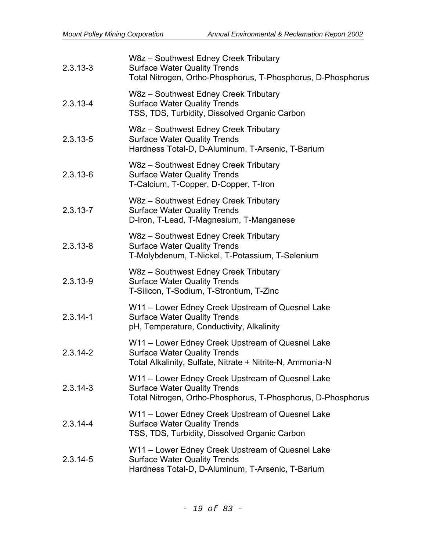| $2.3.13 - 3$ | W8z - Southwest Edney Creek Tributary<br><b>Surface Water Quality Trends</b><br>Total Nitrogen, Ortho-Phosphorus, T-Phosphorus, D-Phosphorus            |
|--------------|---------------------------------------------------------------------------------------------------------------------------------------------------------|
| $2.3.13 - 4$ | W8z - Southwest Edney Creek Tributary<br><b>Surface Water Quality Trends</b><br>TSS, TDS, Turbidity, Dissolved Organic Carbon                           |
| $2.3.13 - 5$ | W8z - Southwest Edney Creek Tributary<br><b>Surface Water Quality Trends</b><br>Hardness Total-D, D-Aluminum, T-Arsenic, T-Barium                       |
| $2.3.13 - 6$ | W8z - Southwest Edney Creek Tributary<br><b>Surface Water Quality Trends</b><br>T-Calcium, T-Copper, D-Copper, T-Iron                                   |
| $2.3.13 - 7$ | W8z - Southwest Edney Creek Tributary<br><b>Surface Water Quality Trends</b><br>D-Iron, T-Lead, T-Magnesium, T-Manganese                                |
| $2.3.13 - 8$ | W8z - Southwest Edney Creek Tributary<br><b>Surface Water Quality Trends</b><br>T-Molybdenum, T-Nickel, T-Potassium, T-Selenium                         |
| $2.3.13 - 9$ | W8z - Southwest Edney Creek Tributary<br><b>Surface Water Quality Trends</b><br>T-Silicon, T-Sodium, T-Strontium, T-Zinc                                |
| $2.3.14 - 1$ | W11 – Lower Edney Creek Upstream of Quesnel Lake<br><b>Surface Water Quality Trends</b><br>pH, Temperature, Conductivity, Alkalinity                    |
| $2.3.14 - 2$ | W11 - Lower Edney Creek Upstream of Quesnel Lake<br><b>Surface Water Quality Trends</b><br>Total Alkalinity, Sulfate, Nitrate + Nitrite-N, Ammonia-N    |
| $2.3.14 - 3$ | W11 - Lower Edney Creek Upstream of Quesnel Lake<br><b>Surface Water Quality Trends</b><br>Total Nitrogen, Ortho-Phosphorus, T-Phosphorus, D-Phosphorus |
| $2.3.14 - 4$ | W11 - Lower Edney Creek Upstream of Quesnel Lake<br><b>Surface Water Quality Trends</b><br>TSS, TDS, Turbidity, Dissolved Organic Carbon                |
| $2.3.14 - 5$ | W11 – Lower Edney Creek Upstream of Quesnel Lake<br><b>Surface Water Quality Trends</b><br>Hardness Total-D, D-Aluminum, T-Arsenic, T-Barium            |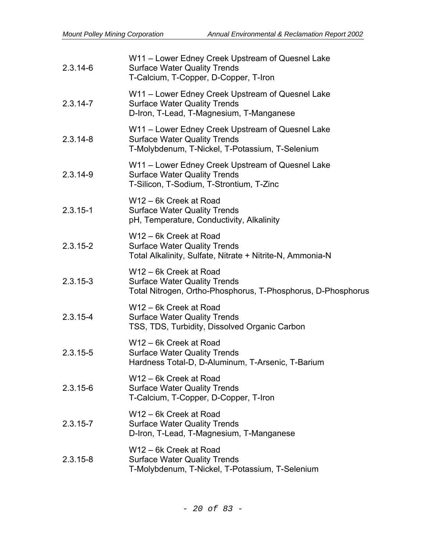| $2.3.14 - 6$ | W11 - Lower Edney Creek Upstream of Quesnel Lake<br><b>Surface Water Quality Trends</b><br>T-Calcium, T-Copper, D-Copper, T-Iron           |
|--------------|--------------------------------------------------------------------------------------------------------------------------------------------|
| $2.3.14 - 7$ | W11 - Lower Edney Creek Upstream of Quesnel Lake<br><b>Surface Water Quality Trends</b><br>D-Iron, T-Lead, T-Magnesium, T-Manganese        |
| $2.3.14 - 8$ | W11 – Lower Edney Creek Upstream of Quesnel Lake<br><b>Surface Water Quality Trends</b><br>T-Molybdenum, T-Nickel, T-Potassium, T-Selenium |
| $2.3.14 - 9$ | W11 – Lower Edney Creek Upstream of Quesnel Lake<br><b>Surface Water Quality Trends</b><br>T-Silicon, T-Sodium, T-Strontium, T-Zinc        |
| $2.3.15 - 1$ | W12 - 6k Creek at Road<br><b>Surface Water Quality Trends</b><br>pH, Temperature, Conductivity, Alkalinity                                 |
| $2.3.15 - 2$ | W12 - 6k Creek at Road<br><b>Surface Water Quality Trends</b><br>Total Alkalinity, Sulfate, Nitrate + Nitrite-N, Ammonia-N                 |
| $2.3.15 - 3$ | W12 - 6k Creek at Road<br><b>Surface Water Quality Trends</b><br>Total Nitrogen, Ortho-Phosphorus, T-Phosphorus, D-Phosphorus              |
| $2.3.15 - 4$ | W <sub>12</sub> – 6k Creek at Road<br><b>Surface Water Quality Trends</b><br>TSS, TDS, Turbidity, Dissolved Organic Carbon                 |
| $2.3.15 - 5$ | W12 - 6k Creek at Road<br><b>Surface Water Quality Trends</b><br>Hardness Total-D, D-Aluminum, T-Arsenic, T-Barium                         |
| $2.3.15 - 6$ | W12 – 6k Creek at Road<br><b>Surface Water Quality Trends</b><br>T-Calcium, T-Copper, D-Copper, T-Iron                                     |
| $2.3.15 - 7$ | W <sub>12</sub> – 6k Creek at Road<br><b>Surface Water Quality Trends</b><br>D-Iron, T-Lead, T-Magnesium, T-Manganese                      |
| $2.3.15 - 8$ | W12 – 6k Creek at Road<br><b>Surface Water Quality Trends</b><br>T-Molybdenum, T-Nickel, T-Potassium, T-Selenium                           |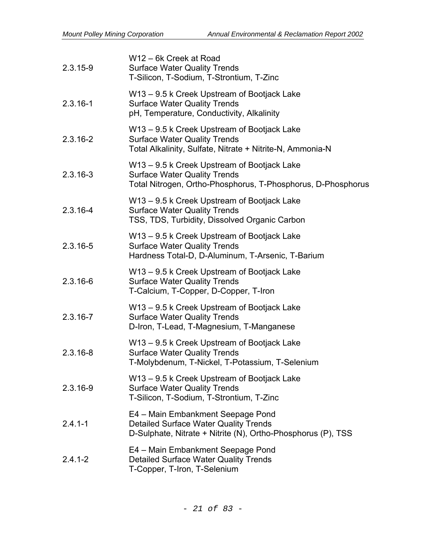| $2.3.15 - 9$ | W12 - 6k Creek at Road<br><b>Surface Water Quality Trends</b><br>T-Silicon, T-Sodium, T-Strontium, T-Zinc                                          |
|--------------|----------------------------------------------------------------------------------------------------------------------------------------------------|
| $2.3.16 - 1$ | W13 - 9.5 k Creek Upstream of Bootjack Lake<br><b>Surface Water Quality Trends</b><br>pH, Temperature, Conductivity, Alkalinity                    |
| $2.3.16 - 2$ | W13 – 9.5 k Creek Upstream of Bootjack Lake<br><b>Surface Water Quality Trends</b><br>Total Alkalinity, Sulfate, Nitrate + Nitrite-N, Ammonia-N    |
| $2.3.16 - 3$ | W13 – 9.5 k Creek Upstream of Bootjack Lake<br><b>Surface Water Quality Trends</b><br>Total Nitrogen, Ortho-Phosphorus, T-Phosphorus, D-Phosphorus |
| $2.3.16 - 4$ | W13 – 9.5 k Creek Upstream of Bootjack Lake<br><b>Surface Water Quality Trends</b><br>TSS, TDS, Turbidity, Dissolved Organic Carbon                |
| $2.3.16 - 5$ | W13 – 9.5 k Creek Upstream of Bootjack Lake<br><b>Surface Water Quality Trends</b><br>Hardness Total-D, D-Aluminum, T-Arsenic, T-Barium            |
| $2.3.16 - 6$ | W13 – 9.5 k Creek Upstream of Bootjack Lake<br><b>Surface Water Quality Trends</b><br>T-Calcium, T-Copper, D-Copper, T-Iron                        |
| $2.3.16 - 7$ | W13 – 9.5 k Creek Upstream of Bootjack Lake<br><b>Surface Water Quality Trends</b><br>D-Iron, T-Lead, T-Magnesium, T-Manganese                     |
| $2.3.16 - 8$ | W13 - 9.5 k Creek Upstream of Bootjack Lake<br><b>Surface Water Quality Trends</b><br>T-Molybdenum, T-Nickel, T-Potassium, T-Selenium              |
| 2.3.16-9     | W13 – 9.5 k Creek Upstream of Bootjack Lake<br><b>Surface Water Quality Trends</b><br>T-Silicon, T-Sodium, T-Strontium, T-Zinc                     |
| $2.4.1 - 1$  | E4 - Main Embankment Seepage Pond<br><b>Detailed Surface Water Quality Trends</b><br>D-Sulphate, Nitrate + Nitrite (N), Ortho-Phosphorus (P), TSS  |
| $2.4.1 - 2$  | E4 - Main Embankment Seepage Pond<br><b>Detailed Surface Water Quality Trends</b><br>T-Copper, T-Iron, T-Selenium                                  |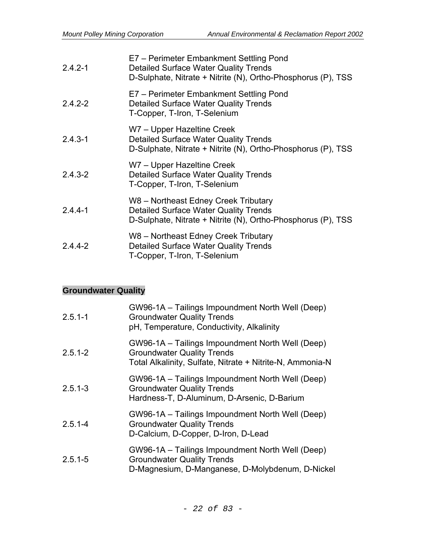| $2.4.2 - 1$ | E7 – Perimeter Embankment Settling Pond<br><b>Detailed Surface Water Quality Trends</b><br>D-Sulphate, Nitrate + Nitrite (N), Ortho-Phosphorus (P), TSS |
|-------------|---------------------------------------------------------------------------------------------------------------------------------------------------------|
| $2.4.2 - 2$ | E7 – Perimeter Embankment Settling Pond<br><b>Detailed Surface Water Quality Trends</b><br>T-Copper, T-Iron, T-Selenium                                 |
| $2.4.3 - 1$ | W7 - Upper Hazeltine Creek<br><b>Detailed Surface Water Quality Trends</b><br>D-Sulphate, Nitrate + Nitrite (N), Ortho-Phosphorus (P), TSS              |
| $2.4.3 - 2$ | W7 - Upper Hazeltine Creek<br><b>Detailed Surface Water Quality Trends</b><br>T-Copper, T-Iron, T-Selenium                                              |
| $2.4.4 - 1$ | W8 - Northeast Edney Creek Tributary<br><b>Detailed Surface Water Quality Trends</b><br>D-Sulphate, Nitrate + Nitrite (N), Ortho-Phosphorus (P), TSS    |
| $2.4.4 - 2$ | W8 - Northeast Edney Creek Tributary<br><b>Detailed Surface Water Quality Trends</b><br>T-Copper, T-Iron, T-Selenium                                    |
|             |                                                                                                                                                         |

### **Groundwater Quality**

| $2.5.1 - 1$ | GW96-1A - Tailings Impoundment North Well (Deep)<br><b>Groundwater Quality Trends</b><br>pH, Temperature, Conductivity, Alkalinity                 |
|-------------|----------------------------------------------------------------------------------------------------------------------------------------------------|
| $2.5.1 - 2$ | GW96-1A – Tailings Impoundment North Well (Deep)<br><b>Groundwater Quality Trends</b><br>Total Alkalinity, Sulfate, Nitrate + Nitrite-N, Ammonia-N |
| $2.5.1 - 3$ | GW96-1A - Tailings Impoundment North Well (Deep)<br><b>Groundwater Quality Trends</b><br>Hardness-T, D-Aluminum, D-Arsenic, D-Barium               |
| $2.5.1 - 4$ | GW96-1A – Tailings Impoundment North Well (Deep)<br><b>Groundwater Quality Trends</b><br>D-Calcium, D-Copper, D-Iron, D-Lead                       |
| $2.5.1 - 5$ | GW96-1A – Tailings Impoundment North Well (Deep)<br><b>Groundwater Quality Trends</b><br>D-Magnesium, D-Manganese, D-Molybdenum, D-Nickel          |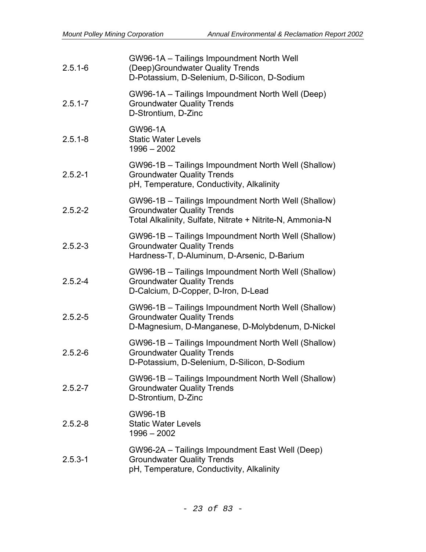| $2.5.1 - 6$ | GW96-1A - Tailings Impoundment North Well<br>(Deep)Groundwater Quality Trends<br>D-Potassium, D-Selenium, D-Silicon, D-Sodium                         |
|-------------|-------------------------------------------------------------------------------------------------------------------------------------------------------|
| $2.5.1 - 7$ | GW96-1A - Tailings Impoundment North Well (Deep)<br><b>Groundwater Quality Trends</b><br>D-Strontium, D-Zinc                                          |
| $2.5.1 - 8$ | <b>GW96-1A</b><br><b>Static Water Levels</b><br>$1996 - 2002$                                                                                         |
| $2.5.2 - 1$ | GW96-1B - Tailings Impoundment North Well (Shallow)<br><b>Groundwater Quality Trends</b><br>pH, Temperature, Conductivity, Alkalinity                 |
| $2.5.2 - 2$ | GW96-1B - Tailings Impoundment North Well (Shallow)<br><b>Groundwater Quality Trends</b><br>Total Alkalinity, Sulfate, Nitrate + Nitrite-N, Ammonia-N |
| $2.5.2 - 3$ | GW96-1B - Tailings Impoundment North Well (Shallow)<br><b>Groundwater Quality Trends</b><br>Hardness-T, D-Aluminum, D-Arsenic, D-Barium               |
| $2.5.2 - 4$ | GW96-1B - Tailings Impoundment North Well (Shallow)<br><b>Groundwater Quality Trends</b><br>D-Calcium, D-Copper, D-Iron, D-Lead                       |
| $2.5.2 - 5$ | GW96-1B - Tailings Impoundment North Well (Shallow)<br><b>Groundwater Quality Trends</b><br>D-Magnesium, D-Manganese, D-Molybdenum, D-Nickel          |
| $2.5.2 - 6$ | GW96-1B - Tailings Impoundment North Well (Shallow)<br><b>Groundwater Quality Trends</b><br>D-Potassium, D-Selenium, D-Silicon, D-Sodium              |
| $2.5.2 - 7$ | GW96-1B – Tailings Impoundment North Well (Shallow)<br><b>Groundwater Quality Trends</b><br>D-Strontium, D-Zinc                                       |
| $2.5.2 - 8$ | <b>GW96-1B</b><br><b>Static Water Levels</b><br>$1996 - 2002$                                                                                         |
| $2.5.3 - 1$ | GW96-2A – Tailings Impoundment East Well (Deep)<br><b>Groundwater Quality Trends</b><br>pH, Temperature, Conductivity, Alkalinity                     |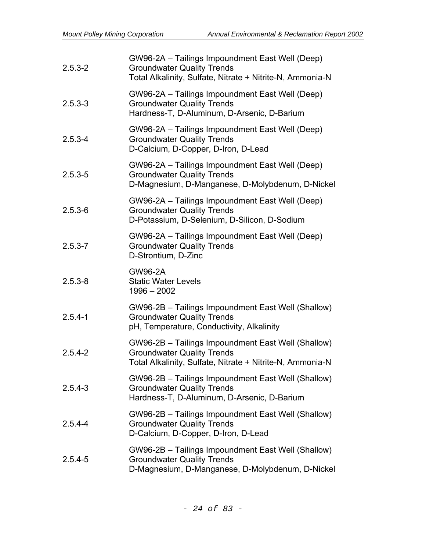| $2.5.3 - 2$ | GW96-2A - Tailings Impoundment East Well (Deep)<br><b>Groundwater Quality Trends</b><br>Total Alkalinity, Sulfate, Nitrate + Nitrite-N, Ammonia-N    |
|-------------|------------------------------------------------------------------------------------------------------------------------------------------------------|
| $2.5.3 - 3$ | GW96-2A - Tailings Impoundment East Well (Deep)<br><b>Groundwater Quality Trends</b><br>Hardness-T, D-Aluminum, D-Arsenic, D-Barium                  |
| $2.5.3 - 4$ | GW96-2A – Tailings Impoundment East Well (Deep)<br><b>Groundwater Quality Trends</b><br>D-Calcium, D-Copper, D-Iron, D-Lead                          |
| $2.5.3 - 5$ | GW96-2A - Tailings Impoundment East Well (Deep)<br><b>Groundwater Quality Trends</b><br>D-Magnesium, D-Manganese, D-Molybdenum, D-Nickel             |
| $2.5.3 - 6$ | GW96-2A - Tailings Impoundment East Well (Deep)<br><b>Groundwater Quality Trends</b><br>D-Potassium, D-Selenium, D-Silicon, D-Sodium                 |
| $2.5.3 - 7$ | GW96-2A - Tailings Impoundment East Well (Deep)<br><b>Groundwater Quality Trends</b><br>D-Strontium, D-Zinc                                          |
| $2.5.3 - 8$ | GW96-2A<br><b>Static Water Levels</b><br>1996 - 2002                                                                                                 |
| $2.5.4 - 1$ | GW96-2B - Tailings Impoundment East Well (Shallow)<br><b>Groundwater Quality Trends</b><br>pH, Temperature, Conductivity, Alkalinity                 |
| $2.5.4 - 2$ | GW96-2B - Tailings Impoundment East Well (Shallow)<br><b>Groundwater Quality Trends</b><br>Total Alkalinity, Sulfate, Nitrate + Nitrite-N, Ammonia-N |
| $2.5.4 - 3$ | GW96-2B - Tailings Impoundment East Well (Shallow)<br><b>Groundwater Quality Trends</b><br>Hardness-T, D-Aluminum, D-Arsenic, D-Barium               |
| $2.5.4 - 4$ | GW96-2B - Tailings Impoundment East Well (Shallow)<br><b>Groundwater Quality Trends</b><br>D-Calcium, D-Copper, D-Iron, D-Lead                       |
| $2.5.4 - 5$ | GW96-2B – Tailings Impoundment East Well (Shallow)<br><b>Groundwater Quality Trends</b><br>D-Magnesium, D-Manganese, D-Molybdenum, D-Nickel          |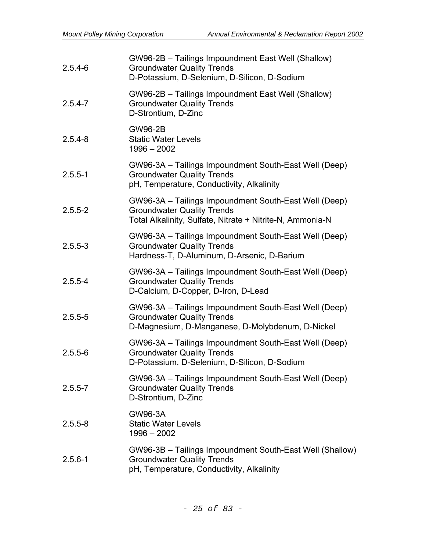| <b>Groundwater Quality Trends</b><br>D-Potassium, D-Selenium, D-Silicon, D-Sodium                                                                       |
|---------------------------------------------------------------------------------------------------------------------------------------------------------|
| GW96-2B - Tailings Impoundment East Well (Shallow)<br><b>Groundwater Quality Trends</b><br>D-Strontium, D-Zinc                                          |
| <b>GW96-2B</b><br><b>Static Water Levels</b><br>$1996 - 2002$                                                                                           |
| GW96-3A - Tailings Impoundment South-East Well (Deep)<br><b>Groundwater Quality Trends</b><br>pH, Temperature, Conductivity, Alkalinity                 |
| GW96-3A - Tailings Impoundment South-East Well (Deep)<br><b>Groundwater Quality Trends</b><br>Total Alkalinity, Sulfate, Nitrate + Nitrite-N, Ammonia-N |
| GW96-3A - Tailings Impoundment South-East Well (Deep)<br><b>Groundwater Quality Trends</b><br>Hardness-T, D-Aluminum, D-Arsenic, D-Barium               |
| GW96-3A - Tailings Impoundment South-East Well (Deep)<br><b>Groundwater Quality Trends</b><br>D-Calcium, D-Copper, D-Iron, D-Lead                       |
| GW96-3A – Tailings Impoundment South-East Well (Deep)<br><b>Groundwater Quality Trends</b><br>D-Magnesium, D-Manganese, D-Molybdenum, D-Nickel          |
| GW96-3A - Tailings Impoundment South-East Well (Deep)<br><b>Groundwater Quality Trends</b><br>D-Potassium, D-Selenium, D-Silicon, D-Sodium              |
| GW96-3A – Tailings Impoundment South-East Well (Deep)<br><b>Groundwater Quality Trends</b><br>D-Strontium, D-Zinc                                       |
| <b>GW96-3A</b><br><b>Static Water Levels</b><br>$1996 - 2002$                                                                                           |
| GW96-3B – Tailings Impoundment South-East Well (Shallow)<br><b>Groundwater Quality Trends</b><br>pH, Temperature, Conductivity, Alkalinity              |
|                                                                                                                                                         |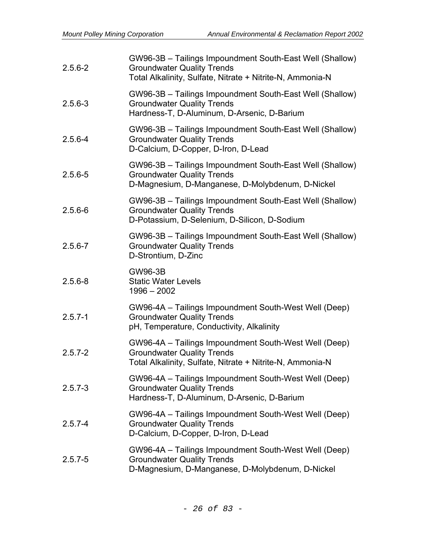| $2.5.6 - 2$ | GW96-3B - Tailings Impoundment South-East Well (Shallow)<br><b>Groundwater Quality Trends</b><br>Total Alkalinity, Sulfate, Nitrate + Nitrite-N, Ammonia-N |
|-------------|------------------------------------------------------------------------------------------------------------------------------------------------------------|
| $2.5.6 - 3$ | GW96-3B - Tailings Impoundment South-East Well (Shallow)<br><b>Groundwater Quality Trends</b><br>Hardness-T, D-Aluminum, D-Arsenic, D-Barium               |
| $2.5.6 - 4$ | GW96-3B - Tailings Impoundment South-East Well (Shallow)<br><b>Groundwater Quality Trends</b><br>D-Calcium, D-Copper, D-Iron, D-Lead                       |
| $2.5.6 - 5$ | GW96-3B – Tailings Impoundment South-East Well (Shallow)<br><b>Groundwater Quality Trends</b><br>D-Magnesium, D-Manganese, D-Molybdenum, D-Nickel          |
| $2.5.6 - 6$ | GW96-3B - Tailings Impoundment South-East Well (Shallow)<br><b>Groundwater Quality Trends</b><br>D-Potassium, D-Selenium, D-Silicon, D-Sodium              |
| $2.5.6 - 7$ | GW96-3B - Tailings Impoundment South-East Well (Shallow)<br><b>Groundwater Quality Trends</b><br>D-Strontium, D-Zinc                                       |
| $2.5.6 - 8$ | GW96-3B<br><b>Static Water Levels</b><br>1996 - 2002                                                                                                       |
| $2.5.7 - 1$ | GW96-4A - Tailings Impoundment South-West Well (Deep)<br><b>Groundwater Quality Trends</b><br>pH, Temperature, Conductivity, Alkalinity                    |
| $2.5.7 - 2$ | GW96-4A - Tailings Impoundment South-West Well (Deep)<br><b>Groundwater Quality Trends</b><br>Total Alkalinity, Sulfate, Nitrate + Nitrite-N, Ammonia-N    |
| $2.5.7 - 3$ | GW96-4A - Tailings Impoundment South-West Well (Deep)<br><b>Groundwater Quality Trends</b><br>Hardness-T, D-Aluminum, D-Arsenic, D-Barium                  |
| $2.5.7 - 4$ | GW96-4A - Tailings Impoundment South-West Well (Deep)<br><b>Groundwater Quality Trends</b><br>D-Calcium, D-Copper, D-Iron, D-Lead                          |
| $2.5.7 - 5$ | GW96-4A - Tailings Impoundment South-West Well (Deep)<br><b>Groundwater Quality Trends</b><br>D-Magnesium, D-Manganese, D-Molybdenum, D-Nickel             |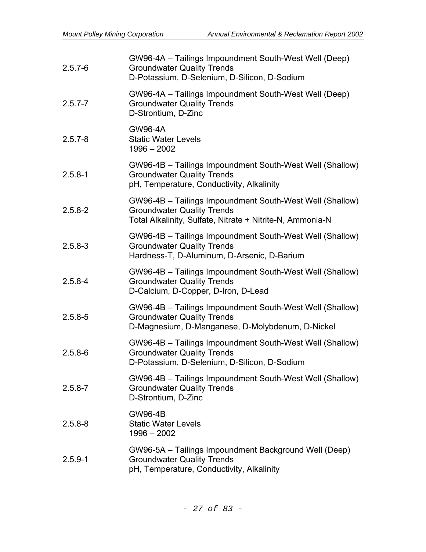| $2.5.7 - 6$ | GW96-4A - Tailings Impoundment South-West Well (Deep)<br><b>Groundwater Quality Trends</b><br>D-Potassium, D-Selenium, D-Silicon, D-Sodium                 |
|-------------|------------------------------------------------------------------------------------------------------------------------------------------------------------|
| $2.5.7 - 7$ | GW96-4A - Tailings Impoundment South-West Well (Deep)<br><b>Groundwater Quality Trends</b><br>D-Strontium, D-Zinc                                          |
| $2.5.7 - 8$ | <b>GW96-4A</b><br><b>Static Water Levels</b><br>$1996 - 2002$                                                                                              |
| $2.5.8 - 1$ | GW96-4B - Tailings Impoundment South-West Well (Shallow)<br><b>Groundwater Quality Trends</b><br>pH, Temperature, Conductivity, Alkalinity                 |
| $2.5.8 - 2$ | GW96-4B - Tailings Impoundment South-West Well (Shallow)<br><b>Groundwater Quality Trends</b><br>Total Alkalinity, Sulfate, Nitrate + Nitrite-N, Ammonia-N |
| $2.5.8 - 3$ | GW96-4B - Tailings Impoundment South-West Well (Shallow)<br><b>Groundwater Quality Trends</b><br>Hardness-T, D-Aluminum, D-Arsenic, D-Barium               |
| $2.5.8 - 4$ | GW96-4B - Tailings Impoundment South-West Well (Shallow)<br><b>Groundwater Quality Trends</b><br>D-Calcium, D-Copper, D-Iron, D-Lead                       |
| $2.5.8 - 5$ | GW96-4B - Tailings Impoundment South-West Well (Shallow)<br><b>Groundwater Quality Trends</b><br>D-Magnesium, D-Manganese, D-Molybdenum, D-Nickel          |
| $2.5.8 - 6$ | GW96-4B - Tailings Impoundment South-West Well (Shallow)<br><b>Groundwater Quality Trends</b><br>D-Potassium, D-Selenium, D-Silicon, D-Sodium              |
| $2.5.8 - 7$ | GW96-4B - Tailings Impoundment South-West Well (Shallow)<br><b>Groundwater Quality Trends</b><br>D-Strontium, D-Zinc                                       |
| $2.5.8 - 8$ | GW96-4B<br><b>Static Water Levels</b><br>$1996 - 2002$                                                                                                     |
| $2.5.9 - 1$ | GW96-5A - Tailings Impoundment Background Well (Deep)<br><b>Groundwater Quality Trends</b><br>pH, Temperature, Conductivity, Alkalinity                    |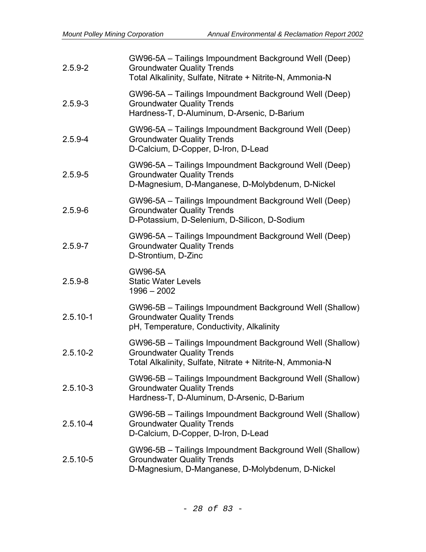| $2.5.9 - 2$  | GW96-5A - Tailings Impoundment Background Well (Deep)<br><b>Groundwater Quality Trends</b><br>Total Alkalinity, Sulfate, Nitrate + Nitrite-N, Ammonia-N    |
|--------------|------------------------------------------------------------------------------------------------------------------------------------------------------------|
| $2.5.9 - 3$  | GW96-5A - Tailings Impoundment Background Well (Deep)<br><b>Groundwater Quality Trends</b><br>Hardness-T, D-Aluminum, D-Arsenic, D-Barium                  |
| $2.5.9 - 4$  | GW96-5A - Tailings Impoundment Background Well (Deep)<br><b>Groundwater Quality Trends</b><br>D-Calcium, D-Copper, D-Iron, D-Lead                          |
| $2.5.9 - 5$  | GW96-5A – Tailings Impoundment Background Well (Deep)<br><b>Groundwater Quality Trends</b><br>D-Magnesium, D-Manganese, D-Molybdenum, D-Nickel             |
| $2.5.9 - 6$  | GW96-5A - Tailings Impoundment Background Well (Deep)<br><b>Groundwater Quality Trends</b><br>D-Potassium, D-Selenium, D-Silicon, D-Sodium                 |
| $2.5.9 - 7$  | GW96-5A - Tailings Impoundment Background Well (Deep)<br><b>Groundwater Quality Trends</b><br>D-Strontium, D-Zinc                                          |
| $2.5.9 - 8$  | GW96-5A<br><b>Static Water Levels</b><br>$1996 - 2002$                                                                                                     |
| $2.5.10 - 1$ | GW96-5B - Tailings Impoundment Background Well (Shallow)<br><b>Groundwater Quality Trends</b><br>pH, Temperature, Conductivity, Alkalinity                 |
| $2.5.10 - 2$ | GW96-5B - Tailings Impoundment Background Well (Shallow)<br><b>Groundwater Quality Trends</b><br>Total Alkalinity, Sulfate, Nitrate + Nitrite-N, Ammonia-N |
| $2.5.10 - 3$ | GW96-5B - Tailings Impoundment Background Well (Shallow)<br><b>Groundwater Quality Trends</b><br>Hardness-T, D-Aluminum, D-Arsenic, D-Barium               |
| $2.5.10 - 4$ | GW96-5B - Tailings Impoundment Background Well (Shallow)<br><b>Groundwater Quality Trends</b><br>D-Calcium, D-Copper, D-Iron, D-Lead                       |
| $2.5.10 - 5$ | GW96-5B - Tailings Impoundment Background Well (Shallow)<br><b>Groundwater Quality Trends</b><br>D-Magnesium, D-Manganese, D-Molybdenum, D-Nickel          |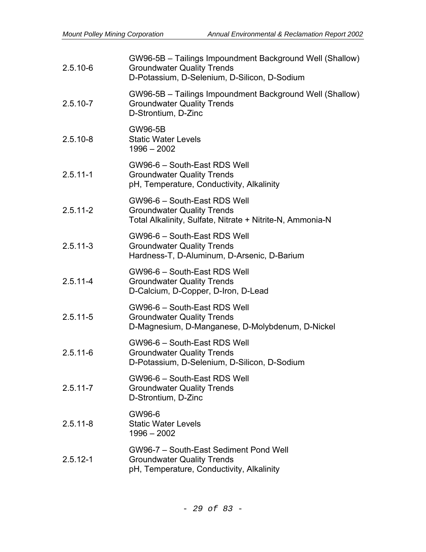| $2.5.10 - 6$ | GW96-5B - Tailings Impoundment Background Well (Shallow)<br><b>Groundwater Quality Trends</b><br>D-Potassium, D-Selenium, D-Silicon, D-Sodium |
|--------------|-----------------------------------------------------------------------------------------------------------------------------------------------|
| $2.5.10 - 7$ | GW96-5B – Tailings Impoundment Background Well (Shallow)<br><b>Groundwater Quality Trends</b><br>D-Strontium, D-Zinc                          |
| $2.5.10 - 8$ | <b>GW96-5B</b><br><b>Static Water Levels</b><br>$1996 - 2002$                                                                                 |
| $2.5.11 - 1$ | GW96-6 - South-East RDS Well<br><b>Groundwater Quality Trends</b><br>pH, Temperature, Conductivity, Alkalinity                                |
| $2.5.11 - 2$ | GW96-6 - South-East RDS Well<br><b>Groundwater Quality Trends</b><br>Total Alkalinity, Sulfate, Nitrate + Nitrite-N, Ammonia-N                |
| $2.5.11 - 3$ | GW96-6 - South-East RDS Well<br><b>Groundwater Quality Trends</b><br>Hardness-T, D-Aluminum, D-Arsenic, D-Barium                              |
| $2.5.11 - 4$ | GW96-6 - South-East RDS Well<br><b>Groundwater Quality Trends</b><br>D-Calcium, D-Copper, D-Iron, D-Lead                                      |
| $2.5.11 - 5$ | GW96-6 - South-East RDS Well<br><b>Groundwater Quality Trends</b><br>D-Magnesium, D-Manganese, D-Molybdenum, D-Nickel                         |
| $2.5.11 - 6$ | GW96-6 - South-East RDS Well<br><b>Groundwater Quality Trends</b><br>D-Potassium, D-Selenium, D-Silicon, D-Sodium                             |
| $2.5.11 - 7$ | GW96-6 - South-East RDS Well<br><b>Groundwater Quality Trends</b><br>D-Strontium, D-Zinc                                                      |
| $2.5.11 - 8$ | GW96-6<br><b>Static Water Levels</b><br>$1996 - 2002$                                                                                         |
| $2.5.12 - 1$ | GW96-7 - South-East Sediment Pond Well<br><b>Groundwater Quality Trends</b><br>pH, Temperature, Conductivity, Alkalinity                      |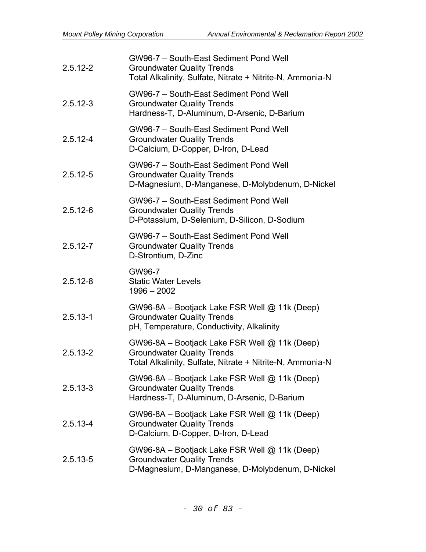| $2.5.12 - 2$ | GW96-7 - South-East Sediment Pond Well<br><b>Groundwater Quality Trends</b><br>Total Alkalinity, Sulfate, Nitrate + Nitrite-N, Ammonia-N        |
|--------------|-------------------------------------------------------------------------------------------------------------------------------------------------|
| $2.5.12 - 3$ | GW96-7 - South-East Sediment Pond Well<br><b>Groundwater Quality Trends</b><br>Hardness-T, D-Aluminum, D-Arsenic, D-Barium                      |
| $2.5.12 - 4$ | GW96-7 - South-East Sediment Pond Well<br><b>Groundwater Quality Trends</b><br>D-Calcium, D-Copper, D-Iron, D-Lead                              |
| $2.5.12 - 5$ | GW96-7 - South-East Sediment Pond Well<br><b>Groundwater Quality Trends</b><br>D-Magnesium, D-Manganese, D-Molybdenum, D-Nickel                 |
| $2.5.12 - 6$ | GW96-7 - South-East Sediment Pond Well<br><b>Groundwater Quality Trends</b><br>D-Potassium, D-Selenium, D-Silicon, D-Sodium                     |
| $2.5.12 - 7$ | GW96-7 - South-East Sediment Pond Well<br><b>Groundwater Quality Trends</b><br>D-Strontium, D-Zinc                                              |
| $2.5.12 - 8$ | GW96-7<br><b>Static Water Levels</b><br>$1996 - 2002$                                                                                           |
| $2.5.13 - 1$ | GW96-8A – Bootjack Lake FSR Well @ 11k (Deep)<br><b>Groundwater Quality Trends</b><br>pH, Temperature, Conductivity, Alkalinity                 |
| $2.5.13 - 2$ | GW96-8A - Bootjack Lake FSR Well @ 11k (Deep)<br><b>Groundwater Quality Trends</b><br>Total Alkalinity, Sulfate, Nitrate + Nitrite-N, Ammonia-N |
| $2.5.13 - 3$ | GW96-8A – Bootjack Lake FSR Well @ 11k (Deep)<br><b>Groundwater Quality Trends</b><br>Hardness-T, D-Aluminum, D-Arsenic, D-Barium               |
| $2.5.13 - 4$ | GW96-8A – Bootjack Lake FSR Well @ 11k (Deep)<br><b>Groundwater Quality Trends</b><br>D-Calcium, D-Copper, D-Iron, D-Lead                       |
| $2.5.13 - 5$ | GW96-8A – Bootjack Lake FSR Well @ 11k (Deep)<br><b>Groundwater Quality Trends</b><br>D-Magnesium, D-Manganese, D-Molybdenum, D-Nickel          |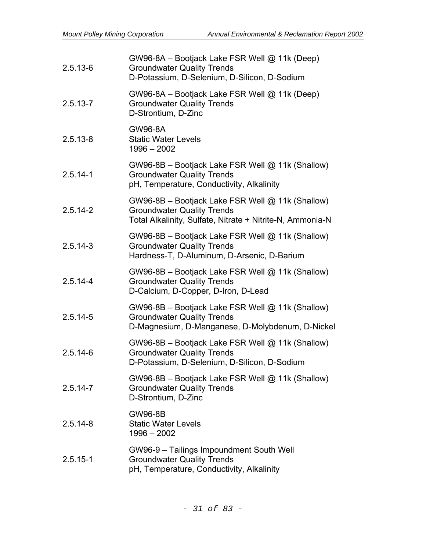| $2.5.13 - 6$ | GW96-8A - Bootjack Lake FSR Well @ 11k (Deep)<br><b>Groundwater Quality Trends</b><br>D-Potassium, D-Selenium, D-Silicon, D-Sodium                 |
|--------------|----------------------------------------------------------------------------------------------------------------------------------------------------|
| $2.5.13 - 7$ | GW96-8A - Bootjack Lake FSR Well @ 11k (Deep)<br><b>Groundwater Quality Trends</b><br>D-Strontium, D-Zinc                                          |
| $2.5.13 - 8$ | <b>GW96-8A</b><br><b>Static Water Levels</b><br>1996 - 2002                                                                                        |
| $2.5.14 - 1$ | GW96-8B – Bootjack Lake FSR Well @ 11k (Shallow)<br><b>Groundwater Quality Trends</b><br>pH, Temperature, Conductivity, Alkalinity                 |
| $2.5.14 - 2$ | GW96-8B - Bootjack Lake FSR Well @ 11k (Shallow)<br><b>Groundwater Quality Trends</b><br>Total Alkalinity, Sulfate, Nitrate + Nitrite-N, Ammonia-N |
| $2.5.14 - 3$ | GW96-8B - Bootjack Lake FSR Well @ 11k (Shallow)<br><b>Groundwater Quality Trends</b><br>Hardness-T, D-Aluminum, D-Arsenic, D-Barium               |
| $2.5.14 - 4$ | GW96-8B - Bootjack Lake FSR Well @ 11k (Shallow)<br><b>Groundwater Quality Trends</b><br>D-Calcium, D-Copper, D-Iron, D-Lead                       |
| $2.5.14 - 5$ | GW96-8B - Bootjack Lake FSR Well @ 11k (Shallow)<br><b>Groundwater Quality Trends</b><br>D-Magnesium, D-Manganese, D-Molybdenum, D-Nickel          |
| $2.5.14 - 6$ | GW96-8B - Bootjack Lake FSR Well @ 11k (Shallow)<br><b>Groundwater Quality Trends</b><br>D-Potassium, D-Selenium, D-Silicon, D-Sodium              |
| $2.5.14 - 7$ | GW96-8B - Bootjack Lake FSR Well @ 11k (Shallow)<br><b>Groundwater Quality Trends</b><br>D-Strontium, D-Zinc                                       |
| $2.5.14 - 8$ | <b>GW96-8B</b><br><b>Static Water Levels</b><br>$1996 - 2002$                                                                                      |
| $2.5.15 - 1$ | GW96-9 - Tailings Impoundment South Well<br><b>Groundwater Quality Trends</b><br>pH, Temperature, Conductivity, Alkalinity                         |
|              |                                                                                                                                                    |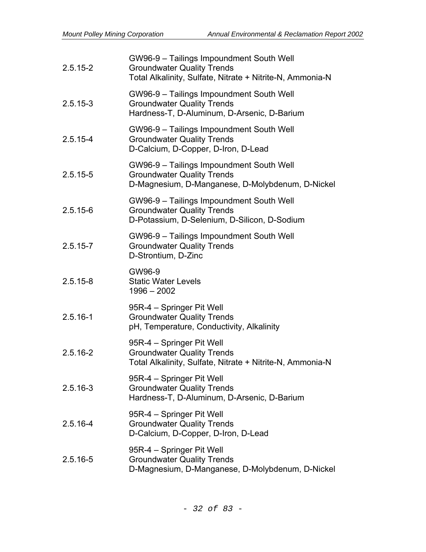| $2.5.15 - 2$ | GW96-9 - Tailings Impoundment South Well<br><b>Groundwater Quality Trends</b><br>Total Alkalinity, Sulfate, Nitrate + Nitrite-N, Ammonia-N |
|--------------|--------------------------------------------------------------------------------------------------------------------------------------------|
| $2.5.15 - 3$ | GW96-9 - Tailings Impoundment South Well<br><b>Groundwater Quality Trends</b><br>Hardness-T, D-Aluminum, D-Arsenic, D-Barium               |
| $2.5.15 - 4$ | GW96-9 - Tailings Impoundment South Well<br><b>Groundwater Quality Trends</b><br>D-Calcium, D-Copper, D-Iron, D-Lead                       |
| $2.5.15 - 5$ | GW96-9 - Tailings Impoundment South Well<br><b>Groundwater Quality Trends</b><br>D-Magnesium, D-Manganese, D-Molybdenum, D-Nickel          |
| $2.5.15 - 6$ | GW96-9 - Tailings Impoundment South Well<br><b>Groundwater Quality Trends</b><br>D-Potassium, D-Selenium, D-Silicon, D-Sodium              |
| $2.5.15 - 7$ | GW96-9 - Tailings Impoundment South Well<br><b>Groundwater Quality Trends</b><br>D-Strontium, D-Zinc                                       |
| $2.5.15 - 8$ | GW96-9<br><b>Static Water Levels</b><br>$1996 - 2002$                                                                                      |
| $2.5.16 - 1$ | 95R-4 – Springer Pit Well<br><b>Groundwater Quality Trends</b><br>pH, Temperature, Conductivity, Alkalinity                                |
| $2.5.16 - 2$ | 95R-4 – Springer Pit Well<br><b>Groundwater Quality Trends</b><br>Total Alkalinity, Sulfate, Nitrate + Nitrite-N, Ammonia-N                |
| $2.5.16 - 3$ | 95R-4 – Springer Pit Well<br><b>Groundwater Quality Trends</b><br>Hardness-T, D-Aluminum, D-Arsenic, D-Barium                              |
| $2.5.16 - 4$ | 95R-4 – Springer Pit Well<br><b>Groundwater Quality Trends</b><br>D-Calcium, D-Copper, D-Iron, D-Lead                                      |
| $2.5.16 - 5$ | 95R-4 – Springer Pit Well<br><b>Groundwater Quality Trends</b><br>D-Magnesium, D-Manganese, D-Molybdenum, D-Nickel                         |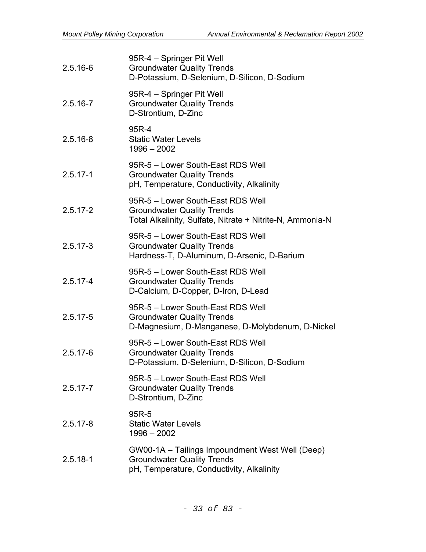| $2.5.16 - 6$ | 95R-4 – Springer Pit Well<br><b>Groundwater Quality Trends</b><br>D-Potassium, D-Selenium, D-Silicon, D-Sodium                      |
|--------------|-------------------------------------------------------------------------------------------------------------------------------------|
| $2.5.16 - 7$ | 95R-4 – Springer Pit Well<br><b>Groundwater Quality Trends</b><br>D-Strontium, D-Zinc                                               |
| $2.5.16 - 8$ | 95R-4<br><b>Static Water Levels</b><br>$1996 - 2002$                                                                                |
| $2.5.17 - 1$ | 95R-5 - Lower South-East RDS Well<br><b>Groundwater Quality Trends</b><br>pH, Temperature, Conductivity, Alkalinity                 |
| $2.5.17 - 2$ | 95R-5 - Lower South-East RDS Well<br><b>Groundwater Quality Trends</b><br>Total Alkalinity, Sulfate, Nitrate + Nitrite-N, Ammonia-N |
| $2.5.17 - 3$ | 95R-5 - Lower South-East RDS Well<br><b>Groundwater Quality Trends</b><br>Hardness-T, D-Aluminum, D-Arsenic, D-Barium               |
| $2.5.17 - 4$ | 95R-5 - Lower South-East RDS Well<br><b>Groundwater Quality Trends</b><br>D-Calcium, D-Copper, D-Iron, D-Lead                       |
| $2.5.17 - 5$ | 95R-5 - Lower South-East RDS Well<br><b>Groundwater Quality Trends</b><br>D-Magnesium, D-Manganese, D-Molybdenum, D-Nickel          |
| $2.5.17 - 6$ | 95R-5 - Lower South-East RDS Well<br><b>Groundwater Quality Trends</b><br>D-Potassium, D-Selenium, D-Silicon, D-Sodium              |
| $2.5.17 - 7$ | 95R-5 - Lower South-East RDS Well<br><b>Groundwater Quality Trends</b><br>D-Strontium, D-Zinc                                       |
| $2.5.17 - 8$ | 95R-5<br><b>Static Water Levels</b><br>$1996 - 2002$                                                                                |
| $2.5.18 - 1$ | GW00-1A – Tailings Impoundment West Well (Deep)<br><b>Groundwater Quality Trends</b><br>pH, Temperature, Conductivity, Alkalinity   |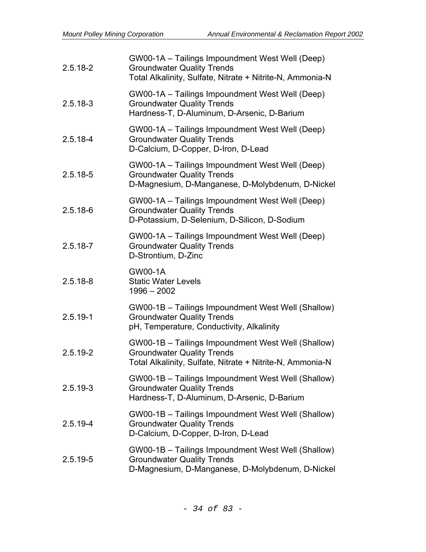| $2.5.18 - 2$ | GW00-1A - Tailings Impoundment West Well (Deep)<br><b>Groundwater Quality Trends</b><br>Total Alkalinity, Sulfate, Nitrate + Nitrite-N, Ammonia-N    |
|--------------|------------------------------------------------------------------------------------------------------------------------------------------------------|
| $2.5.18 - 3$ | GW00-1A - Tailings Impoundment West Well (Deep)<br><b>Groundwater Quality Trends</b><br>Hardness-T, D-Aluminum, D-Arsenic, D-Barium                  |
| $2.5.18 - 4$ | GW00-1A - Tailings Impoundment West Well (Deep)<br><b>Groundwater Quality Trends</b><br>D-Calcium, D-Copper, D-Iron, D-Lead                          |
| $2.5.18 - 5$ | GW00-1A - Tailings Impoundment West Well (Deep)<br><b>Groundwater Quality Trends</b><br>D-Magnesium, D-Manganese, D-Molybdenum, D-Nickel             |
| $2.5.18 - 6$ | GW00-1A - Tailings Impoundment West Well (Deep)<br><b>Groundwater Quality Trends</b><br>D-Potassium, D-Selenium, D-Silicon, D-Sodium                 |
| $2.5.18 - 7$ | GW00-1A - Tailings Impoundment West Well (Deep)<br><b>Groundwater Quality Trends</b><br>D-Strontium, D-Zinc                                          |
| $2.5.18 - 8$ | <b>GW00-1A</b><br><b>Static Water Levels</b><br>1996 - 2002                                                                                          |
| $2.5.19 - 1$ | GW00-1B - Tailings Impoundment West Well (Shallow)<br><b>Groundwater Quality Trends</b><br>pH, Temperature, Conductivity, Alkalinity                 |
| $2.5.19 - 2$ | GW00-1B - Tailings Impoundment West Well (Shallow)<br><b>Groundwater Quality Trends</b><br>Total Alkalinity, Sulfate, Nitrate + Nitrite-N, Ammonia-N |
| $2.5.19 - 3$ | GW00-1B - Tailings Impoundment West Well (Shallow)<br><b>Groundwater Quality Trends</b><br>Hardness-T, D-Aluminum, D-Arsenic, D-Barium               |
| $2.5.19 - 4$ | GW00-1B - Tailings Impoundment West Well (Shallow)<br><b>Groundwater Quality Trends</b><br>D-Calcium, D-Copper, D-Iron, D-Lead                       |
| $2.5.19 - 5$ | GW00-1B - Tailings Impoundment West Well (Shallow)<br><b>Groundwater Quality Trends</b><br>D-Magnesium, D-Manganese, D-Molybdenum, D-Nickel          |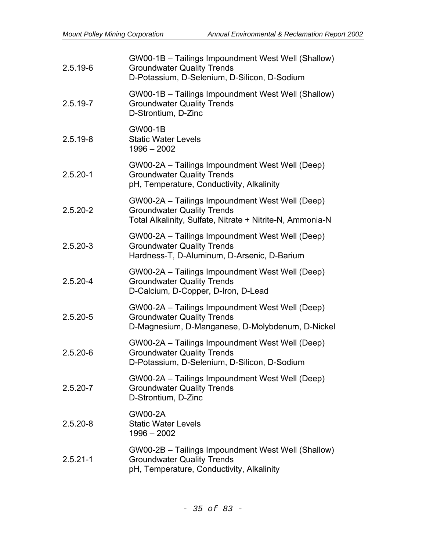| $2.5.19 - 6$ | GW00-1B - Tailings Impoundment West Well (Shallow)<br><b>Groundwater Quality Trends</b><br>D-Potassium, D-Selenium, D-Silicon, D-Sodium           |
|--------------|---------------------------------------------------------------------------------------------------------------------------------------------------|
| $2.5.19 - 7$ | GW00-1B - Tailings Impoundment West Well (Shallow)<br><b>Groundwater Quality Trends</b><br>D-Strontium, D-Zinc                                    |
| $2.5.19 - 8$ | <b>GW00-1B</b><br><b>Static Water Levels</b><br>1996 - 2002                                                                                       |
| $2.5.20 - 1$ | GW00-2A - Tailings Impoundment West Well (Deep)<br><b>Groundwater Quality Trends</b><br>pH, Temperature, Conductivity, Alkalinity                 |
| $2.5.20 - 2$ | GW00-2A - Tailings Impoundment West Well (Deep)<br><b>Groundwater Quality Trends</b><br>Total Alkalinity, Sulfate, Nitrate + Nitrite-N, Ammonia-N |
| $2.5.20 - 3$ | GW00-2A - Tailings Impoundment West Well (Deep)<br><b>Groundwater Quality Trends</b><br>Hardness-T, D-Aluminum, D-Arsenic, D-Barium               |
| $2.5.20 - 4$ | GW00-2A – Tailings Impoundment West Well (Deep)<br><b>Groundwater Quality Trends</b><br>D-Calcium, D-Copper, D-Iron, D-Lead                       |
| $2.5.20 - 5$ | GW00-2A - Tailings Impoundment West Well (Deep)<br><b>Groundwater Quality Trends</b><br>D-Magnesium, D-Manganese, D-Molybdenum, D-Nickel          |
| $2.5.20 - 6$ | GW00-2A - Tailings Impoundment West Well (Deep)<br><b>Groundwater Quality Trends</b><br>D-Potassium, D-Selenium, D-Silicon, D-Sodium              |
| $2.5.20 - 7$ | GW00-2A - Tailings Impoundment West Well (Deep)<br><b>Groundwater Quality Trends</b><br>D-Strontium, D-Zinc                                       |
| $2.5.20 - 8$ | <b>GW00-2A</b><br><b>Static Water Levels</b><br>$1996 - 2002$                                                                                     |
| $2.5.21 - 1$ | GW00-2B - Tailings Impoundment West Well (Shallow)<br><b>Groundwater Quality Trends</b><br>pH, Temperature, Conductivity, Alkalinity              |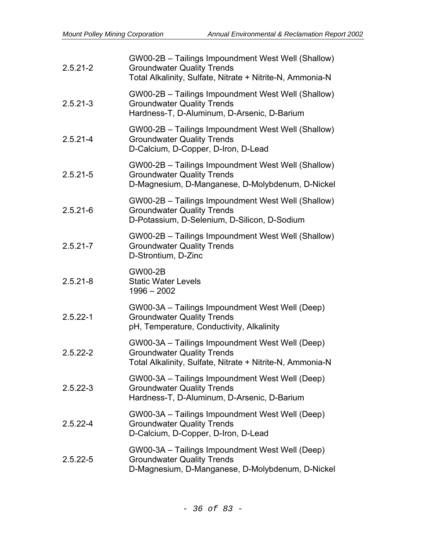| $2.5.21 - 2$ | GW00-2B - Tailings Impoundment West Well (Shallow)<br><b>Groundwater Quality Trends</b><br>Total Alkalinity, Sulfate, Nitrate + Nitrite-N, Ammonia-N |
|--------------|------------------------------------------------------------------------------------------------------------------------------------------------------|
| $2.5.21 - 3$ | GW00-2B - Tailings Impoundment West Well (Shallow)<br><b>Groundwater Quality Trends</b><br>Hardness-T, D-Aluminum, D-Arsenic, D-Barium               |
| $2.5.21 - 4$ | GW00-2B - Tailings Impoundment West Well (Shallow)<br><b>Groundwater Quality Trends</b><br>D-Calcium, D-Copper, D-Iron, D-Lead                       |
| $2.5.21 - 5$ | GW00-2B - Tailings Impoundment West Well (Shallow)<br><b>Groundwater Quality Trends</b><br>D-Magnesium, D-Manganese, D-Molybdenum, D-Nickel          |
| $2.5.21 - 6$ | GW00-2B - Tailings Impoundment West Well (Shallow)<br><b>Groundwater Quality Trends</b><br>D-Potassium, D-Selenium, D-Silicon, D-Sodium              |
| $2.5.21 - 7$ | GW00-2B - Tailings Impoundment West Well (Shallow)<br><b>Groundwater Quality Trends</b><br>D-Strontium, D-Zinc                                       |
| $2.5.21 - 8$ | <b>GW00-2B</b><br><b>Static Water Levels</b><br>$1996 - 2002$                                                                                        |
| $2.5.22 - 1$ | GW00-3A - Tailings Impoundment West Well (Deep)<br><b>Groundwater Quality Trends</b><br>pH, Temperature, Conductivity, Alkalinity                    |
| $2.5.22 - 2$ | GW00-3A - Tailings Impoundment West Well (Deep)<br><b>Groundwater Quality Trends</b><br>Total Alkalinity, Sulfate, Nitrate + Nitrite-N, Ammonia-N    |
| $2.5.22 - 3$ | GW00-3A - Tailings Impoundment West Well (Deep)<br><b>Groundwater Quality Trends</b><br>Hardness-T, D-Aluminum, D-Arsenic, D-Barium                  |
| $2.5.22 - 4$ | GW00-3A - Tailings Impoundment West Well (Deep)<br><b>Groundwater Quality Trends</b><br>D-Calcium, D-Copper, D-Iron, D-Lead                          |
| $2.5.22 - 5$ | GW00-3A - Tailings Impoundment West Well (Deep)<br><b>Groundwater Quality Trends</b><br>D-Magnesium, D-Manganese, D-Molybdenum, D-Nickel             |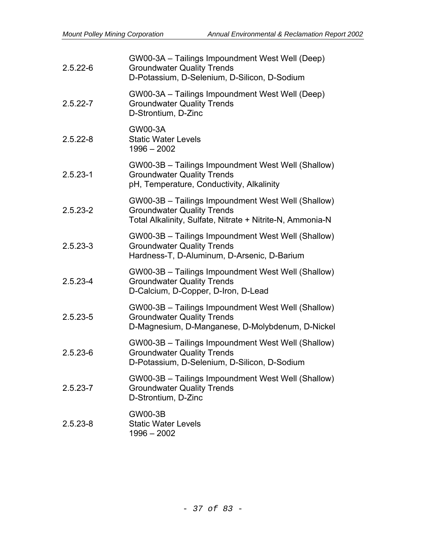| $2.5.22 - 6$ | GW00-3A - Tailings Impoundment West Well (Deep)<br><b>Groundwater Quality Trends</b><br>D-Potassium, D-Selenium, D-Silicon, D-Sodium                 |
|--------------|------------------------------------------------------------------------------------------------------------------------------------------------------|
| $2.5.22 - 7$ | GW00-3A - Tailings Impoundment West Well (Deep)<br><b>Groundwater Quality Trends</b><br>D-Strontium, D-Zinc                                          |
| $2.5.22 - 8$ | GW00-3A<br><b>Static Water Levels</b><br>$1996 - 2002$                                                                                               |
| $2.5.23 - 1$ | GW00-3B - Tailings Impoundment West Well (Shallow)<br><b>Groundwater Quality Trends</b><br>pH, Temperature, Conductivity, Alkalinity                 |
| $2.5.23 - 2$ | GW00-3B - Tailings Impoundment West Well (Shallow)<br><b>Groundwater Quality Trends</b><br>Total Alkalinity, Sulfate, Nitrate + Nitrite-N, Ammonia-N |
| $2.5.23 - 3$ | GW00-3B - Tailings Impoundment West Well (Shallow)<br><b>Groundwater Quality Trends</b><br>Hardness-T, D-Aluminum, D-Arsenic, D-Barium               |
| $2.5.23 - 4$ | GW00-3B - Tailings Impoundment West Well (Shallow)<br><b>Groundwater Quality Trends</b><br>D-Calcium, D-Copper, D-Iron, D-Lead                       |
| $2.5.23 - 5$ | GW00-3B - Tailings Impoundment West Well (Shallow)<br><b>Groundwater Quality Trends</b><br>D-Magnesium, D-Manganese, D-Molybdenum, D-Nickel          |
| $2.5.23 - 6$ | GW00-3B - Tailings Impoundment West Well (Shallow)<br><b>Groundwater Quality Trends</b><br>D-Potassium, D-Selenium, D-Silicon, D-Sodium              |
| $2.5.23 - 7$ | GW00-3B - Tailings Impoundment West Well (Shallow)<br><b>Groundwater Quality Trends</b><br>D-Strontium, D-Zinc                                       |
| $2.5.23 - 8$ | <b>GW00-3B</b><br><b>Static Water Levels</b><br>$1996 - 2002$                                                                                        |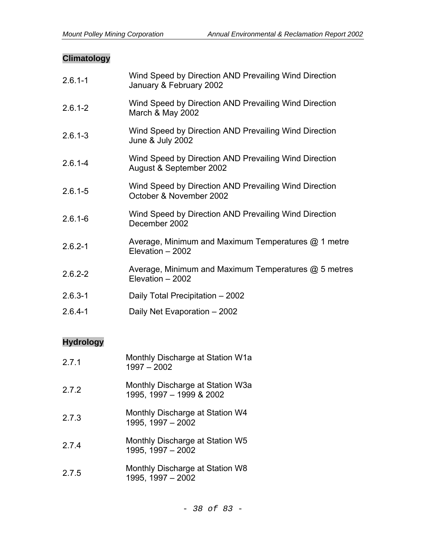#### **Climatology**

| $2.6.1 - 1$ | Wind Speed by Direction AND Prevailing Wind Direction<br>January & February 2002     |
|-------------|--------------------------------------------------------------------------------------|
| $2.6.1 - 2$ | Wind Speed by Direction AND Prevailing Wind Direction<br>March & May 2002            |
| $2.6.1 - 3$ | Wind Speed by Direction AND Prevailing Wind Direction<br><b>June &amp; July 2002</b> |
| $2.6.1 - 4$ | Wind Speed by Direction AND Prevailing Wind Direction<br>August & September 2002     |
| $2.6.1 - 5$ | Wind Speed by Direction AND Prevailing Wind Direction<br>October & November 2002     |
| $2.6.1 - 6$ | Wind Speed by Direction AND Prevailing Wind Direction<br>December 2002               |
| $2.6.2 - 1$ | Average, Minimum and Maximum Temperatures @ 1 metre<br>Elevation - 2002              |
| $2.6.2 - 2$ | Average, Minimum and Maximum Temperatures @ 5 metres<br>Elevation - 2002             |
| $2.6.3 - 1$ | Daily Total Precipitation - 2002                                                     |
| $2.6.4 - 1$ | Daily Net Evaporation - 2002                                                         |
|             |                                                                                      |

#### **Hydrology**

- 2.7.1 Monthly Discharge at Station W1a 1997 – 2002
- 2.7.2 Monthly Discharge at Station W3a 1995, 1997 – 1999 & 2002
- 2.7.3 Monthly Discharge at Station W4 1995, 1997 – 2002
- 2.7.4 Monthly Discharge at Station W5 1995, 1997 – 2002
- 2.7.5 Monthly Discharge at Station W8 1995, 1997 – 2002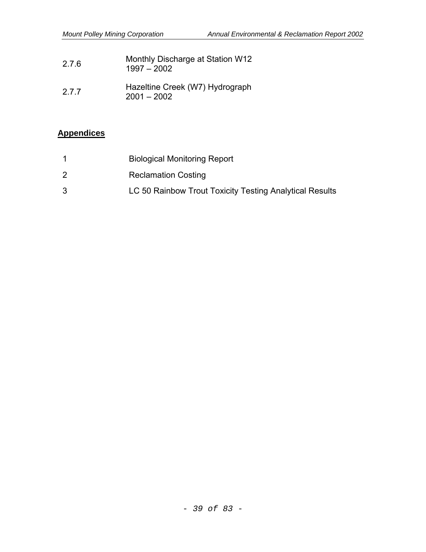- 2.7.6 Monthly Discharge at Station W12 1997 – 2002
- 2.7.7 Hazeltine Creek (W7) Hydrograph 2001 – 2002

#### **Appendices**

1 Biological Monitoring Report 2 Reclamation Costing 3 LC 50 Rainbow Trout Toxicity Testing Analytical Results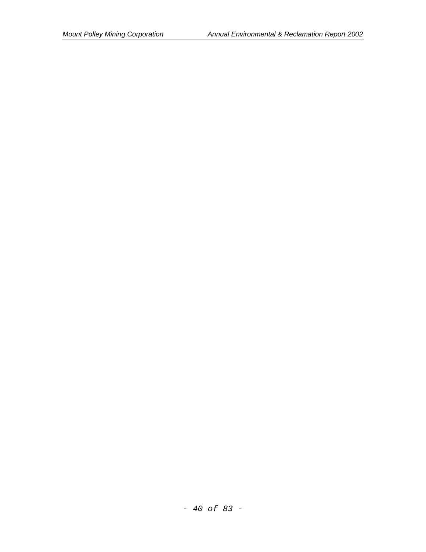- *40 of 83* -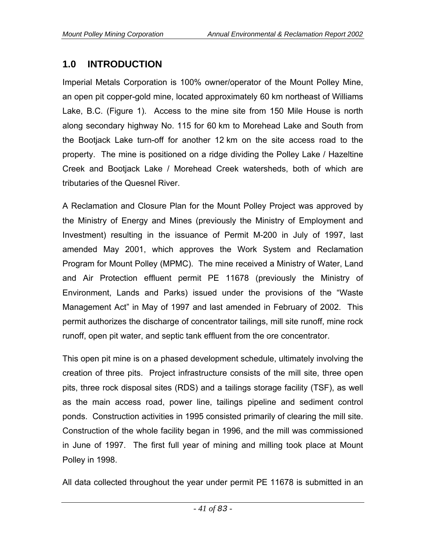# **1.0 INTRODUCTION**

Imperial Metals Corporation is 100% owner/operator of the Mount Polley Mine, an open pit copper-gold mine, located approximately 60 km northeast of Williams Lake, B.C. (Figure 1). Access to the mine site from 150 Mile House is north along secondary highway No. 115 for 60 km to Morehead Lake and South from the Bootjack Lake turn-off for another 12 km on the site access road to the property. The mine is positioned on a ridge dividing the Polley Lake / Hazeltine Creek and Bootjack Lake / Morehead Creek watersheds, both of which are tributaries of the Quesnel River.

A Reclamation and Closure Plan for the Mount Polley Project was approved by the Ministry of Energy and Mines (previously the Ministry of Employment and Investment) resulting in the issuance of Permit M-200 in July of 1997, last amended May 2001, which approves the Work System and Reclamation Program for Mount Polley (MPMC). The mine received a Ministry of Water, Land and Air Protection effluent permit PE 11678 (previously the Ministry of Environment, Lands and Parks) issued under the provisions of the "Waste Management Act" in May of 1997 and last amended in February of 2002. This permit authorizes the discharge of concentrator tailings, mill site runoff, mine rock runoff, open pit water, and septic tank effluent from the ore concentrator.

This open pit mine is on a phased development schedule, ultimately involving the creation of three pits. Project infrastructure consists of the mill site, three open pits, three rock disposal sites (RDS) and a tailings storage facility (TSF), as well as the main access road, power line, tailings pipeline and sediment control ponds. Construction activities in 1995 consisted primarily of clearing the mill site. Construction of the whole facility began in 1996, and the mill was commissioned in June of 1997. The first full year of mining and milling took place at Mount Polley in 1998.

All data collected throughout the year under permit PE 11678 is submitted in an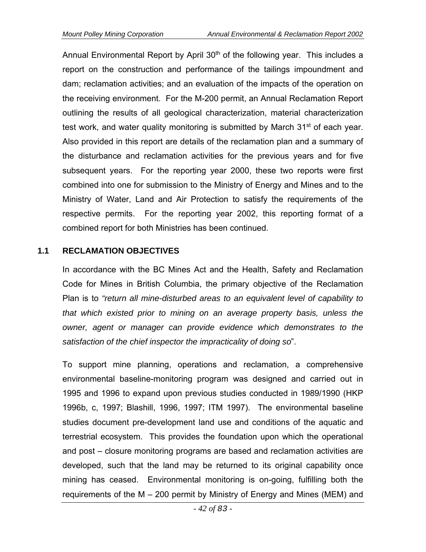Annual Environmental Report by April  $30<sup>th</sup>$  of the following year. This includes a report on the construction and performance of the tailings impoundment and dam; reclamation activities; and an evaluation of the impacts of the operation on the receiving environment. For the M-200 permit, an Annual Reclamation Report outlining the results of all geological characterization, material characterization test work, and water quality monitoring is submitted by March 31<sup>st</sup> of each year. Also provided in this report are details of the reclamation plan and a summary of the disturbance and reclamation activities for the previous years and for five subsequent years. For the reporting year 2000, these two reports were first combined into one for submission to the Ministry of Energy and Mines and to the Ministry of Water, Land and Air Protection to satisfy the requirements of the respective permits. For the reporting year 2002, this reporting format of a combined report for both Ministries has been continued.

#### **1.1 RECLAMATION OBJECTIVES**

In accordance with the BC Mines Act and the Health, Safety and Reclamation Code for Mines in British Columbia, the primary objective of the Reclamation Plan is to *"return all mine-disturbed areas to an equivalent level of capability to that which existed prior to mining on an average property basis, unless the owner, agent or manager can provide evidence which demonstrates to the satisfaction of the chief inspector the impracticality of doing so*".

To support mine planning, operations and reclamation, a comprehensive environmental baseline-monitoring program was designed and carried out in 1995 and 1996 to expand upon previous studies conducted in 1989/1990 (HKP 1996b, c, 1997; Blashill, 1996, 1997; ITM 1997). The environmental baseline studies document pre-development land use and conditions of the aquatic and terrestrial ecosystem. This provides the foundation upon which the operational and post – closure monitoring programs are based and reclamation activities are developed, such that the land may be returned to its original capability once mining has ceased. Environmental monitoring is on-going, fulfilling both the requirements of the M – 200 permit by Ministry of Energy and Mines (MEM) and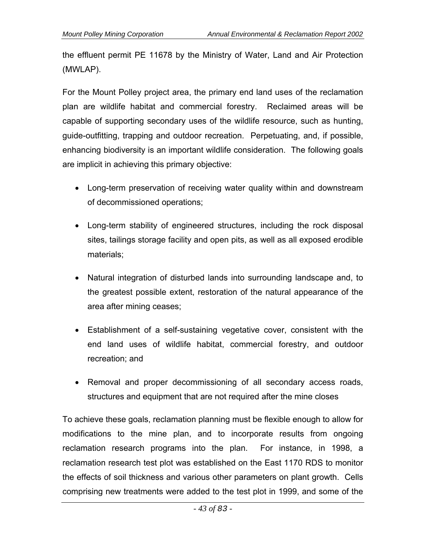the effluent permit PE 11678 by the Ministry of Water, Land and Air Protection (MWLAP).

For the Mount Polley project area, the primary end land uses of the reclamation plan are wildlife habitat and commercial forestry. Reclaimed areas will be capable of supporting secondary uses of the wildlife resource, such as hunting, guide-outfitting, trapping and outdoor recreation. Perpetuating, and, if possible, enhancing biodiversity is an important wildlife consideration. The following goals are implicit in achieving this primary objective:

- Long-term preservation of receiving water quality within and downstream of decommissioned operations;
- Long-term stability of engineered structures, including the rock disposal sites, tailings storage facility and open pits, as well as all exposed erodible materials;
- Natural integration of disturbed lands into surrounding landscape and, to the greatest possible extent, restoration of the natural appearance of the area after mining ceases;
- Establishment of a self-sustaining vegetative cover, consistent with the end land uses of wildlife habitat, commercial forestry, and outdoor recreation; and
- Removal and proper decommissioning of all secondary access roads, structures and equipment that are not required after the mine closes

To achieve these goals, reclamation planning must be flexible enough to allow for modifications to the mine plan, and to incorporate results from ongoing reclamation research programs into the plan. For instance, in 1998, a reclamation research test plot was established on the East 1170 RDS to monitor the effects of soil thickness and various other parameters on plant growth. Cells comprising new treatments were added to the test plot in 1999, and some of the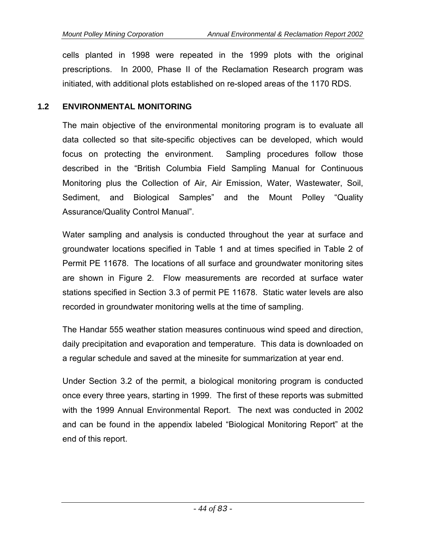cells planted in 1998 were repeated in the 1999 plots with the original prescriptions. In 2000, Phase II of the Reclamation Research program was initiated, with additional plots established on re-sloped areas of the 1170 RDS.

#### **1.2 ENVIRONMENTAL MONITORING**

The main objective of the environmental monitoring program is to evaluate all data collected so that site-specific objectives can be developed, which would focus on protecting the environment. Sampling procedures follow those described in the "British Columbia Field Sampling Manual for Continuous Monitoring plus the Collection of Air, Air Emission, Water, Wastewater, Soil, Sediment, and Biological Samples" and the Mount Polley "Quality Assurance/Quality Control Manual".

Water sampling and analysis is conducted throughout the year at surface and groundwater locations specified in Table 1 and at times specified in Table 2 of Permit PE 11678. The locations of all surface and groundwater monitoring sites are shown in Figure 2. Flow measurements are recorded at surface water stations specified in Section 3.3 of permit PE 11678. Static water levels are also recorded in groundwater monitoring wells at the time of sampling.

The Handar 555 weather station measures continuous wind speed and direction, daily precipitation and evaporation and temperature. This data is downloaded on a regular schedule and saved at the minesite for summarization at year end.

Under Section 3.2 of the permit, a biological monitoring program is conducted once every three years, starting in 1999. The first of these reports was submitted with the 1999 Annual Environmental Report. The next was conducted in 2002 and can be found in the appendix labeled "Biological Monitoring Report" at the end of this report.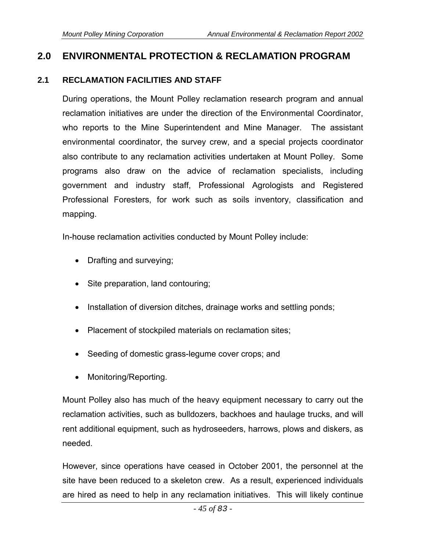# **2.0 ENVIRONMENTAL PROTECTION & RECLAMATION PROGRAM**

#### **2.1 RECLAMATION FACILITIES AND STAFF**

During operations, the Mount Polley reclamation research program and annual reclamation initiatives are under the direction of the Environmental Coordinator, who reports to the Mine Superintendent and Mine Manager. The assistant environmental coordinator, the survey crew, and a special projects coordinator also contribute to any reclamation activities undertaken at Mount Polley. Some programs also draw on the advice of reclamation specialists, including government and industry staff, Professional Agrologists and Registered Professional Foresters, for work such as soils inventory, classification and mapping.

In-house reclamation activities conducted by Mount Polley include:

- Drafting and surveying;
- Site preparation, land contouring;
- Installation of diversion ditches, drainage works and settling ponds;
- Placement of stockpiled materials on reclamation sites;
- Seeding of domestic grass-legume cover crops; and
- Monitoring/Reporting.

Mount Polley also has much of the heavy equipment necessary to carry out the reclamation activities, such as bulldozers, backhoes and haulage trucks, and will rent additional equipment, such as hydroseeders, harrows, plows and diskers, as needed.

However, since operations have ceased in October 2001, the personnel at the site have been reduced to a skeleton crew. As a result, experienced individuals are hired as need to help in any reclamation initiatives. This will likely continue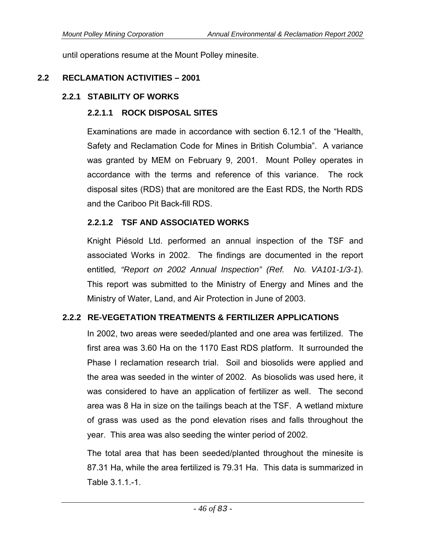until operations resume at the Mount Polley minesite.

### **2.2 RECLAMATION ACTIVITIES – 2001**

#### **2.2.1 STABILITY OF WORKS**

#### **2.2.1.1 ROCK DISPOSAL SITES**

Examinations are made in accordance with section 6.12.1 of the "Health, Safety and Reclamation Code for Mines in British Columbia". A variance was granted by MEM on February 9, 2001. Mount Polley operates in accordance with the terms and reference of this variance. The rock disposal sites (RDS) that are monitored are the East RDS, the North RDS and the Cariboo Pit Back-fill RDS.

#### **2.2.1.2 TSF AND ASSOCIATED WORKS**

Knight Piésold Ltd. performed an annual inspection of the TSF and associated Works in 2002. The findings are documented in the report entitled*, "Report on 2002 Annual Inspection" (Ref. No. VA101-1/3-1*). This report was submitted to the Ministry of Energy and Mines and the Ministry of Water, Land, and Air Protection in June of 2003.

### **2.2.2 RE-VEGETATION TREATMENTS & FERTILIZER APPLICATIONS**

In 2002, two areas were seeded/planted and one area was fertilized. The first area was 3.60 Ha on the 1170 East RDS platform. It surrounded the Phase I reclamation research trial. Soil and biosolids were applied and the area was seeded in the winter of 2002. As biosolids was used here, it was considered to have an application of fertilizer as well. The second area was 8 Ha in size on the tailings beach at the TSF. A wetland mixture of grass was used as the pond elevation rises and falls throughout the year. This area was also seeding the winter period of 2002.

The total area that has been seeded/planted throughout the minesite is 87.31 Ha, while the area fertilized is 79.31 Ha. This data is summarized in Table 3.1.1.-1.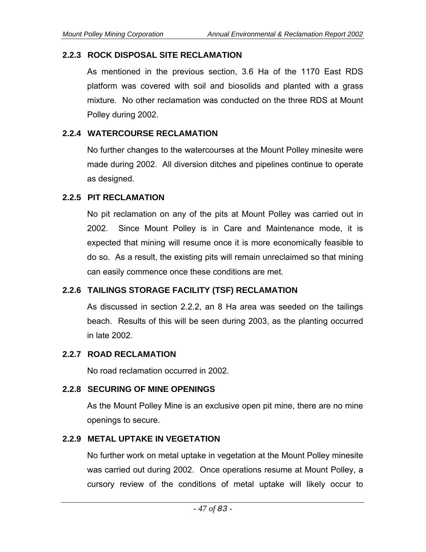#### **2.2.3 ROCK DISPOSAL SITE RECLAMATION**

As mentioned in the previous section, 3.6 Ha of the 1170 East RDS platform was covered with soil and biosolids and planted with a grass mixture. No other reclamation was conducted on the three RDS at Mount Polley during 2002.

#### **2.2.4 WATERCOURSE RECLAMATION**

No further changes to the watercourses at the Mount Polley minesite were made during 2002. All diversion ditches and pipelines continue to operate as designed.

#### **2.2.5 PIT RECLAMATION**

No pit reclamation on any of the pits at Mount Polley was carried out in 2002. Since Mount Polley is in Care and Maintenance mode, it is expected that mining will resume once it is more economically feasible to do so. As a result, the existing pits will remain unreclaimed so that mining can easily commence once these conditions are met.

# **2.2.6 TAILINGS STORAGE FACILITY (TSF) RECLAMATION**

As discussed in section 2.2.2, an 8 Ha area was seeded on the tailings beach. Results of this will be seen during 2003, as the planting occurred in late 2002.

### **2.2.7 ROAD RECLAMATION**

No road reclamation occurred in 2002.

### **2.2.8 SECURING OF MINE OPENINGS**

As the Mount Polley Mine is an exclusive open pit mine, there are no mine openings to secure.

### **2.2.9 METAL UPTAKE IN VEGETATION**

No further work on metal uptake in vegetation at the Mount Polley minesite was carried out during 2002. Once operations resume at Mount Polley, a cursory review of the conditions of metal uptake will likely occur to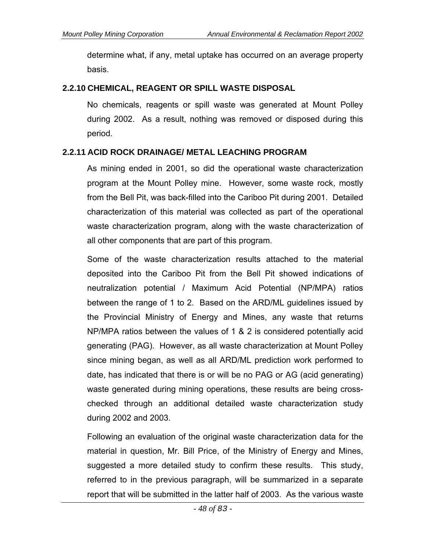determine what, if any, metal uptake has occurred on an average property basis.

#### **2.2.10 CHEMICAL, REAGENT OR SPILL WASTE DISPOSAL**

No chemicals, reagents or spill waste was generated at Mount Polley during 2002. As a result, nothing was removed or disposed during this period.

#### **2.2.11 ACID ROCK DRAINAGE/ METAL LEACHING PROGRAM**

As mining ended in 2001, so did the operational waste characterization program at the Mount Polley mine. However, some waste rock, mostly from the Bell Pit, was back-filled into the Cariboo Pit during 2001. Detailed characterization of this material was collected as part of the operational waste characterization program, along with the waste characterization of all other components that are part of this program.

Some of the waste characterization results attached to the material deposited into the Cariboo Pit from the Bell Pit showed indications of neutralization potential / Maximum Acid Potential (NP/MPA) ratios between the range of 1 to 2. Based on the ARD/ML guidelines issued by the Provincial Ministry of Energy and Mines, any waste that returns NP/MPA ratios between the values of 1 & 2 is considered potentially acid generating (PAG). However, as all waste characterization at Mount Polley since mining began, as well as all ARD/ML prediction work performed to date, has indicated that there is or will be no PAG or AG (acid generating) waste generated during mining operations, these results are being crosschecked through an additional detailed waste characterization study during 2002 and 2003.

Following an evaluation of the original waste characterization data for the material in question, Mr. Bill Price, of the Ministry of Energy and Mines, suggested a more detailed study to confirm these results. This study, referred to in the previous paragraph, will be summarized in a separate report that will be submitted in the latter half of 2003. As the various waste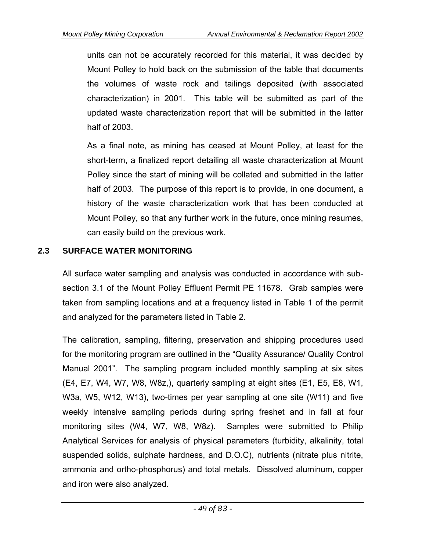units can not be accurately recorded for this material, it was decided by Mount Polley to hold back on the submission of the table that documents the volumes of waste rock and tailings deposited (with associated characterization) in 2001. This table will be submitted as part of the updated waste characterization report that will be submitted in the latter half of 2003.

As a final note, as mining has ceased at Mount Polley, at least for the short-term, a finalized report detailing all waste characterization at Mount Polley since the start of mining will be collated and submitted in the latter half of 2003. The purpose of this report is to provide, in one document, a history of the waste characterization work that has been conducted at Mount Polley, so that any further work in the future, once mining resumes, can easily build on the previous work.

### **2.3 SURFACE WATER MONITORING**

All surface water sampling and analysis was conducted in accordance with subsection 3.1 of the Mount Polley Effluent Permit PE 11678. Grab samples were taken from sampling locations and at a frequency listed in Table 1 of the permit and analyzed for the parameters listed in Table 2.

The calibration, sampling, filtering, preservation and shipping procedures used for the monitoring program are outlined in the "Quality Assurance/ Quality Control Manual 2001". The sampling program included monthly sampling at six sites (E4, E7, W4, W7, W8, W8z,), quarterly sampling at eight sites (E1, E5, E8, W1, W3a, W5, W12, W13), two-times per year sampling at one site (W11) and five weekly intensive sampling periods during spring freshet and in fall at four monitoring sites (W4, W7, W8, W8z). Samples were submitted to Philip Analytical Services for analysis of physical parameters (turbidity, alkalinity, total suspended solids, sulphate hardness, and D.O.C), nutrients (nitrate plus nitrite, ammonia and ortho-phosphorus) and total metals. Dissolved aluminum, copper and iron were also analyzed.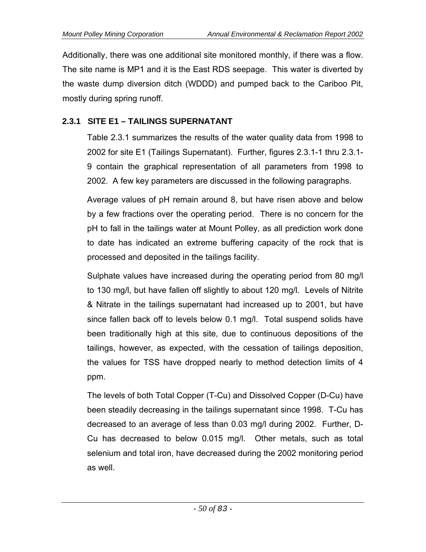Additionally, there was one additional site monitored monthly, if there was a flow. The site name is MP1 and it is the East RDS seepage. This water is diverted by the waste dump diversion ditch (WDDD) and pumped back to the Cariboo Pit, mostly during spring runoff.

# **2.3.1 SITE E1 – TAILINGS SUPERNATANT**

Table 2.3.1 summarizes the results of the water quality data from 1998 to 2002 for site E1 (Tailings Supernatant). Further, figures 2.3.1-1 thru 2.3.1- 9 contain the graphical representation of all parameters from 1998 to 2002. A few key parameters are discussed in the following paragraphs.

Average values of pH remain around 8, but have risen above and below by a few fractions over the operating period. There is no concern for the pH to fall in the tailings water at Mount Polley, as all prediction work done to date has indicated an extreme buffering capacity of the rock that is processed and deposited in the tailings facility.

Sulphate values have increased during the operating period from 80 mg/l to 130 mg/l, but have fallen off slightly to about 120 mg/l. Levels of Nitrite & Nitrate in the tailings supernatant had increased up to 2001, but have since fallen back off to levels below 0.1 mg/l. Total suspend solids have been traditionally high at this site, due to continuous depositions of the tailings, however, as expected, with the cessation of tailings deposition, the values for TSS have dropped nearly to method detection limits of 4 ppm.

The levels of both Total Copper (T-Cu) and Dissolved Copper (D-Cu) have been steadily decreasing in the tailings supernatant since 1998. T-Cu has decreased to an average of less than 0.03 mg/l during 2002. Further, D-Cu has decreased to below 0.015 mg/l. Other metals, such as total selenium and total iron, have decreased during the 2002 monitoring period as well.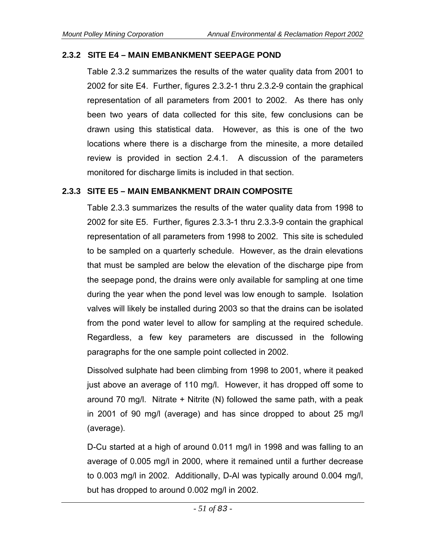#### **2.3.2 SITE E4 – MAIN EMBANKMENT SEEPAGE POND**

Table 2.3.2 summarizes the results of the water quality data from 2001 to 2002 for site E4. Further, figures 2.3.2-1 thru 2.3.2-9 contain the graphical representation of all parameters from 2001 to 2002. As there has only been two years of data collected for this site, few conclusions can be drawn using this statistical data. However, as this is one of the two locations where there is a discharge from the minesite, a more detailed review is provided in section 2.4.1. A discussion of the parameters monitored for discharge limits is included in that section.

#### **2.3.3 SITE E5 – MAIN EMBANKMENT DRAIN COMPOSITE**

Table 2.3.3 summarizes the results of the water quality data from 1998 to 2002 for site E5. Further, figures 2.3.3-1 thru 2.3.3-9 contain the graphical representation of all parameters from 1998 to 2002. This site is scheduled to be sampled on a quarterly schedule. However, as the drain elevations that must be sampled are below the elevation of the discharge pipe from the seepage pond, the drains were only available for sampling at one time during the year when the pond level was low enough to sample. Isolation valves will likely be installed during 2003 so that the drains can be isolated from the pond water level to allow for sampling at the required schedule. Regardless, a few key parameters are discussed in the following paragraphs for the one sample point collected in 2002.

Dissolved sulphate had been climbing from 1998 to 2001, where it peaked just above an average of 110 mg/l. However, it has dropped off some to around 70 mg/l. Nitrate  $+$  Nitrite (N) followed the same path, with a peak in 2001 of 90 mg/l (average) and has since dropped to about 25 mg/l (average).

D-Cu started at a high of around 0.011 mg/l in 1998 and was falling to an average of 0.005 mg/l in 2000, where it remained until a further decrease to 0.003 mg/l in 2002. Additionally, D-Al was typically around 0.004 mg/l, but has dropped to around 0.002 mg/l in 2002.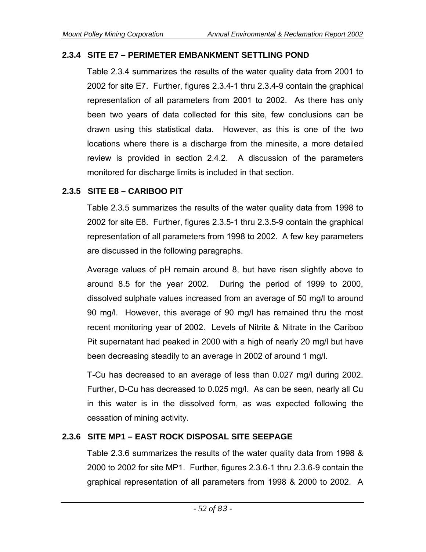#### **2.3.4 SITE E7 – PERIMETER EMBANKMENT SETTLING POND**

Table 2.3.4 summarizes the results of the water quality data from 2001 to 2002 for site E7. Further, figures 2.3.4-1 thru 2.3.4-9 contain the graphical representation of all parameters from 2001 to 2002. As there has only been two years of data collected for this site, few conclusions can be drawn using this statistical data. However, as this is one of the two locations where there is a discharge from the minesite, a more detailed review is provided in section 2.4.2. A discussion of the parameters monitored for discharge limits is included in that section.

#### **2.3.5 SITE E8 – CARIBOO PIT**

Table 2.3.5 summarizes the results of the water quality data from 1998 to 2002 for site E8. Further, figures 2.3.5-1 thru 2.3.5-9 contain the graphical representation of all parameters from 1998 to 2002. A few key parameters are discussed in the following paragraphs.

Average values of pH remain around 8, but have risen slightly above to around 8.5 for the year 2002. During the period of 1999 to 2000, dissolved sulphate values increased from an average of 50 mg/l to around 90 mg/l. However, this average of 90 mg/l has remained thru the most recent monitoring year of 2002. Levels of Nitrite & Nitrate in the Cariboo Pit supernatant had peaked in 2000 with a high of nearly 20 mg/l but have been decreasing steadily to an average in 2002 of around 1 mg/l.

T-Cu has decreased to an average of less than 0.027 mg/l during 2002. Further, D-Cu has decreased to 0.025 mg/l. As can be seen, nearly all Cu in this water is in the dissolved form, as was expected following the cessation of mining activity.

#### **2.3.6 SITE MP1 – EAST ROCK DISPOSAL SITE SEEPAGE**

Table 2.3.6 summarizes the results of the water quality data from 1998 & 2000 to 2002 for site MP1. Further, figures 2.3.6-1 thru 2.3.6-9 contain the graphical representation of all parameters from 1998 & 2000 to 2002. A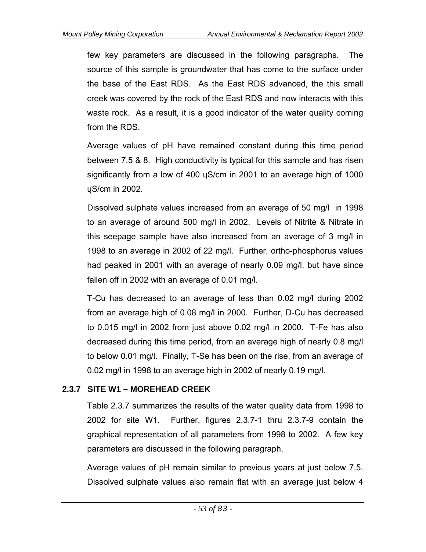few key parameters are discussed in the following paragraphs. The source of this sample is groundwater that has come to the surface under the base of the East RDS. As the East RDS advanced, the this small creek was covered by the rock of the East RDS and now interacts with this waste rock. As a result, it is a good indicator of the water quality coming from the RDS.

Average values of pH have remained constant during this time period between 7.5 & 8. High conductivity is typical for this sample and has risen significantly from a low of 400 ųS/cm in 2001 to an average high of 1000 ųS/cm in 2002.

Dissolved sulphate values increased from an average of 50 mg/l in 1998 to an average of around 500 mg/l in 2002. Levels of Nitrite & Nitrate in this seepage sample have also increased from an average of 3 mg/l in 1998 to an average in 2002 of 22 mg/l. Further, ortho-phosphorus values had peaked in 2001 with an average of nearly 0.09 mg/l, but have since fallen off in 2002 with an average of 0.01 mg/l.

T-Cu has decreased to an average of less than 0.02 mg/l during 2002 from an average high of 0.08 mg/l in 2000. Further, D-Cu has decreased to 0.015 mg/l in 2002 from just above 0.02 mg/l in 2000. T-Fe has also decreased during this time period, from an average high of nearly 0.8 mg/l to below 0.01 mg/l. Finally, T-Se has been on the rise, from an average of 0.02 mg/l in 1998 to an average high in 2002 of nearly 0.19 mg/l.

### **2.3.7 SITE W1 – MOREHEAD CREEK**

Table 2.3.7 summarizes the results of the water quality data from 1998 to 2002 for site W1. Further, figures 2.3.7-1 thru 2.3.7-9 contain the graphical representation of all parameters from 1998 to 2002. A few key parameters are discussed in the following paragraph.

Average values of pH remain similar to previous years at just below 7.5. Dissolved sulphate values also remain flat with an average just below 4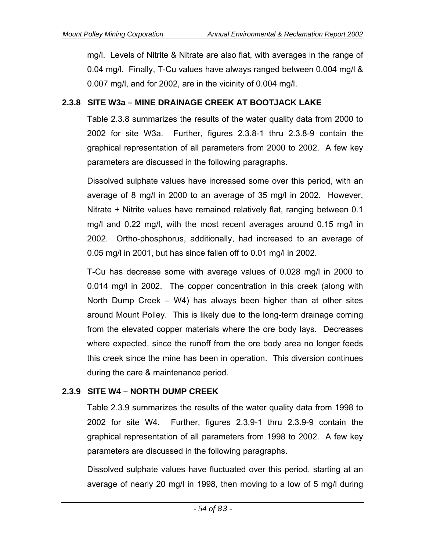mg/l. Levels of Nitrite & Nitrate are also flat, with averages in the range of 0.04 mg/l. Finally, T-Cu values have always ranged between 0.004 mg/l & 0.007 mg/l, and for 2002, are in the vicinity of 0.004 mg/l.

### **2.3.8 SITE W3a – MINE DRAINAGE CREEK AT BOOTJACK LAKE**

Table 2.3.8 summarizes the results of the water quality data from 2000 to 2002 for site W3a. Further, figures 2.3.8-1 thru 2.3.8-9 contain the graphical representation of all parameters from 2000 to 2002. A few key parameters are discussed in the following paragraphs.

Dissolved sulphate values have increased some over this period, with an average of 8 mg/l in 2000 to an average of 35 mg/l in 2002. However, Nitrate + Nitrite values have remained relatively flat, ranging between 0.1 mg/l and 0.22 mg/l, with the most recent averages around 0.15 mg/l in 2002. Ortho-phosphorus, additionally, had increased to an average of 0.05 mg/l in 2001, but has since fallen off to 0.01 mg/l in 2002.

T-Cu has decrease some with average values of 0.028 mg/l in 2000 to 0.014 mg/l in 2002. The copper concentration in this creek (along with North Dump Creek – W4) has always been higher than at other sites around Mount Polley. This is likely due to the long-term drainage coming from the elevated copper materials where the ore body lays. Decreases where expected, since the runoff from the ore body area no longer feeds this creek since the mine has been in operation. This diversion continues during the care & maintenance period.

#### **2.3.9 SITE W4 – NORTH DUMP CREEK**

Table 2.3.9 summarizes the results of the water quality data from 1998 to 2002 for site W4. Further, figures 2.3.9-1 thru 2.3.9-9 contain the graphical representation of all parameters from 1998 to 2002. A few key parameters are discussed in the following paragraphs.

Dissolved sulphate values have fluctuated over this period, starting at an average of nearly 20 mg/l in 1998, then moving to a low of 5 mg/l during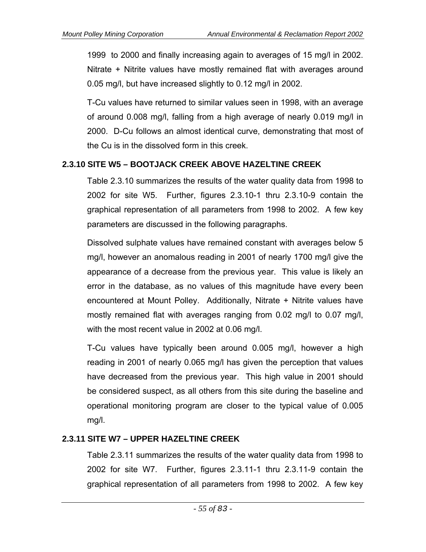1999 to 2000 and finally increasing again to averages of 15 mg/l in 2002. Nitrate + Nitrite values have mostly remained flat with averages around 0.05 mg/l, but have increased slightly to 0.12 mg/l in 2002.

T-Cu values have returned to similar values seen in 1998, with an average of around 0.008 mg/l, falling from a high average of nearly 0.019 mg/l in 2000. D-Cu follows an almost identical curve, demonstrating that most of the Cu is in the dissolved form in this creek.

### **2.3.10 SITE W5 – BOOTJACK CREEK ABOVE HAZELTINE CREEK**

Table 2.3.10 summarizes the results of the water quality data from 1998 to 2002 for site W5. Further, figures 2.3.10-1 thru 2.3.10-9 contain the graphical representation of all parameters from 1998 to 2002. A few key parameters are discussed in the following paragraphs.

Dissolved sulphate values have remained constant with averages below 5 mg/l, however an anomalous reading in 2001 of nearly 1700 mg/l give the appearance of a decrease from the previous year. This value is likely an error in the database, as no values of this magnitude have every been encountered at Mount Polley. Additionally, Nitrate + Nitrite values have mostly remained flat with averages ranging from 0.02 mg/l to 0.07 mg/l, with the most recent value in 2002 at 0.06 mg/l.

T-Cu values have typically been around 0.005 mg/l, however a high reading in 2001 of nearly 0.065 mg/l has given the perception that values have decreased from the previous year. This high value in 2001 should be considered suspect, as all others from this site during the baseline and operational monitoring program are closer to the typical value of 0.005 mg/l.

### **2.3.11 SITE W7 – UPPER HAZELTINE CREEK**

Table 2.3.11 summarizes the results of the water quality data from 1998 to 2002 for site W7. Further, figures 2.3.11-1 thru 2.3.11-9 contain the graphical representation of all parameters from 1998 to 2002. A few key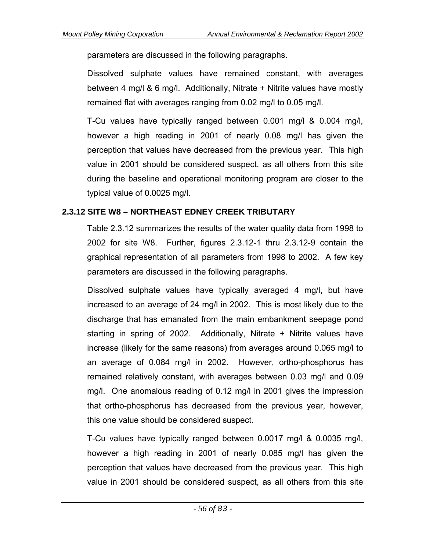parameters are discussed in the following paragraphs.

Dissolved sulphate values have remained constant, with averages between 4 mg/l & 6 mg/l. Additionally, Nitrate + Nitrite values have mostly remained flat with averages ranging from 0.02 mg/l to 0.05 mg/l.

T-Cu values have typically ranged between 0.001 mg/l & 0.004 mg/l, however a high reading in 2001 of nearly 0.08 mg/l has given the perception that values have decreased from the previous year. This high value in 2001 should be considered suspect, as all others from this site during the baseline and operational monitoring program are closer to the typical value of 0.0025 mg/l.

#### **2.3.12 SITE W8 – NORTHEAST EDNEY CREEK TRIBUTARY**

Table 2.3.12 summarizes the results of the water quality data from 1998 to 2002 for site W8. Further, figures 2.3.12-1 thru 2.3.12-9 contain the graphical representation of all parameters from 1998 to 2002. A few key parameters are discussed in the following paragraphs.

Dissolved sulphate values have typically averaged 4 mg/l, but have increased to an average of 24 mg/l in 2002. This is most likely due to the discharge that has emanated from the main embankment seepage pond starting in spring of 2002. Additionally, Nitrate + Nitrite values have increase (likely for the same reasons) from averages around 0.065 mg/l to an average of 0.084 mg/l in 2002. However, ortho-phosphorus has remained relatively constant, with averages between 0.03 mg/l and 0.09 mg/l. One anomalous reading of 0.12 mg/l in 2001 gives the impression that ortho-phosphorus has decreased from the previous year, however, this one value should be considered suspect.

T-Cu values have typically ranged between 0.0017 mg/l & 0.0035 mg/l, however a high reading in 2001 of nearly 0.085 mg/l has given the perception that values have decreased from the previous year. This high value in 2001 should be considered suspect, as all others from this site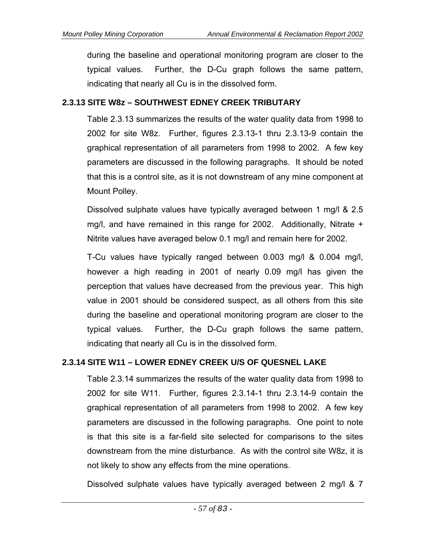during the baseline and operational monitoring program are closer to the typical values. Further, the D-Cu graph follows the same pattern, indicating that nearly all Cu is in the dissolved form.

### **2.3.13 SITE W8z – SOUTHWEST EDNEY CREEK TRIBUTARY**

Table 2.3.13 summarizes the results of the water quality data from 1998 to 2002 for site W8z. Further, figures 2.3.13-1 thru 2.3.13-9 contain the graphical representation of all parameters from 1998 to 2002. A few key parameters are discussed in the following paragraphs. It should be noted that this is a control site, as it is not downstream of any mine component at Mount Polley.

Dissolved sulphate values have typically averaged between 1 mg/l & 2.5 mg/l, and have remained in this range for 2002. Additionally, Nitrate + Nitrite values have averaged below 0.1 mg/l and remain here for 2002.

T-Cu values have typically ranged between 0.003 mg/l & 0.004 mg/l, however a high reading in 2001 of nearly 0.09 mg/l has given the perception that values have decreased from the previous year. This high value in 2001 should be considered suspect, as all others from this site during the baseline and operational monitoring program are closer to the typical values. Further, the D-Cu graph follows the same pattern, indicating that nearly all Cu is in the dissolved form.

### **2.3.14 SITE W11 – LOWER EDNEY CREEK U/S OF QUESNEL LAKE**

Table 2.3.14 summarizes the results of the water quality data from 1998 to 2002 for site W11. Further, figures 2.3.14-1 thru 2.3.14-9 contain the graphical representation of all parameters from 1998 to 2002. A few key parameters are discussed in the following paragraphs. One point to note is that this site is a far-field site selected for comparisons to the sites downstream from the mine disturbance. As with the control site W8z, it is not likely to show any effects from the mine operations.

Dissolved sulphate values have typically averaged between 2 mg/l & 7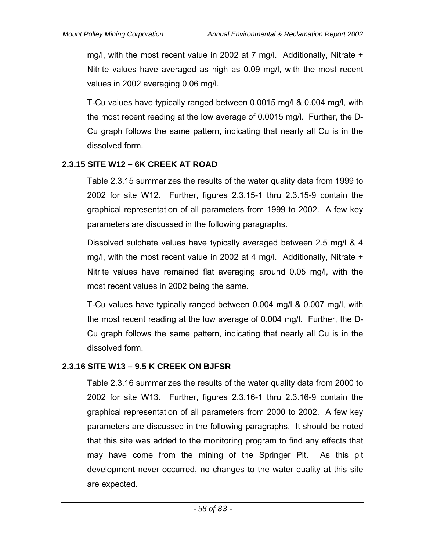mg/l, with the most recent value in 2002 at 7 mg/l. Additionally, Nitrate + Nitrite values have averaged as high as 0.09 mg/l, with the most recent values in 2002 averaging 0.06 mg/l.

T-Cu values have typically ranged between 0.0015 mg/l & 0.004 mg/l, with the most recent reading at the low average of 0.0015 mg/l. Further, the D-Cu graph follows the same pattern, indicating that nearly all Cu is in the dissolved form.

### **2.3.15 SITE W12 – 6K CREEK AT ROAD**

Table 2.3.15 summarizes the results of the water quality data from 1999 to 2002 for site W12. Further, figures 2.3.15-1 thru 2.3.15-9 contain the graphical representation of all parameters from 1999 to 2002. A few key parameters are discussed in the following paragraphs.

Dissolved sulphate values have typically averaged between 2.5 mg/l & 4 mg/l, with the most recent value in 2002 at 4 mg/l. Additionally, Nitrate + Nitrite values have remained flat averaging around 0.05 mg/l, with the most recent values in 2002 being the same.

T-Cu values have typically ranged between 0.004 mg/l & 0.007 mg/l, with the most recent reading at the low average of 0.004 mg/l. Further, the D-Cu graph follows the same pattern, indicating that nearly all Cu is in the dissolved form.

#### **2.3.16 SITE W13 – 9.5 K CREEK ON BJFSR**

Table 2.3.16 summarizes the results of the water quality data from 2000 to 2002 for site W13. Further, figures 2.3.16-1 thru 2.3.16-9 contain the graphical representation of all parameters from 2000 to 2002. A few key parameters are discussed in the following paragraphs. It should be noted that this site was added to the monitoring program to find any effects that may have come from the mining of the Springer Pit. As this pit development never occurred, no changes to the water quality at this site are expected.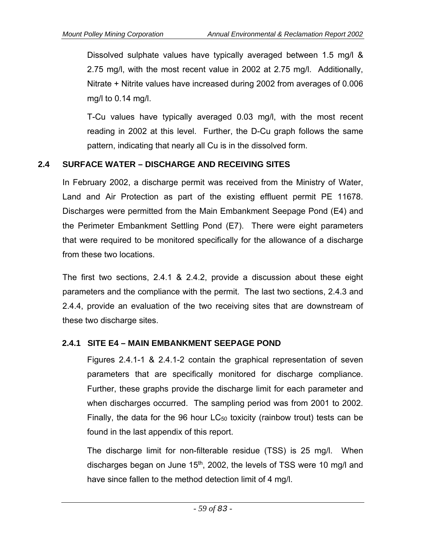Dissolved sulphate values have typically averaged between 1.5 mg/l & 2.75 mg/l, with the most recent value in 2002 at 2.75 mg/l. Additionally, Nitrate + Nitrite values have increased during 2002 from averages of 0.006 mg/l to 0.14 mg/l.

T-Cu values have typically averaged 0.03 mg/l, with the most recent reading in 2002 at this level. Further, the D-Cu graph follows the same pattern, indicating that nearly all Cu is in the dissolved form.

#### **2.4 SURFACE WATER – DISCHARGE AND RECEIVING SITES**

In February 2002, a discharge permit was received from the Ministry of Water, Land and Air Protection as part of the existing effluent permit PE 11678. Discharges were permitted from the Main Embankment Seepage Pond (E4) and the Perimeter Embankment Settling Pond (E7). There were eight parameters that were required to be monitored specifically for the allowance of a discharge from these two locations.

The first two sections, 2.4.1 & 2.4.2, provide a discussion about these eight parameters and the compliance with the permit. The last two sections, 2.4.3 and 2.4.4, provide an evaluation of the two receiving sites that are downstream of these two discharge sites.

### **2.4.1 SITE E4 – MAIN EMBANKMENT SEEPAGE POND**

Figures 2.4.1-1 & 2.4.1-2 contain the graphical representation of seven parameters that are specifically monitored for discharge compliance. Further, these graphs provide the discharge limit for each parameter and when discharges occurred. The sampling period was from 2001 to 2002. Finally, the data for the 96 hour  $LC_{50}$  toxicity (rainbow trout) tests can be found in the last appendix of this report.

The discharge limit for non-filterable residue (TSS) is 25 mg/l. When discharges began on June  $15<sup>th</sup>$ , 2002, the levels of TSS were 10 mg/l and have since fallen to the method detection limit of 4 mg/l.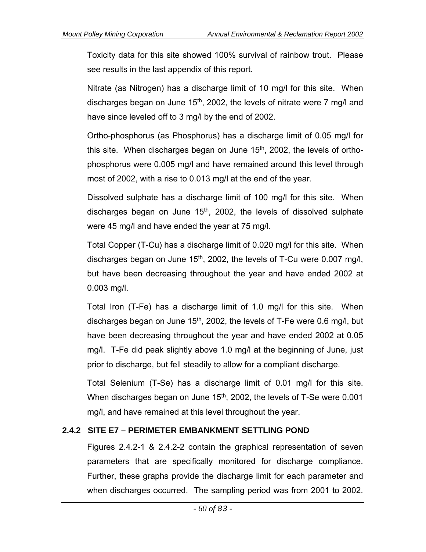Toxicity data for this site showed 100% survival of rainbow trout. Please see results in the last appendix of this report.

Nitrate (as Nitrogen) has a discharge limit of 10 mg/l for this site. When discharges began on June 15<sup>th</sup>, 2002, the levels of nitrate were 7 mg/l and have since leveled off to 3 mg/l by the end of 2002.

Ortho-phosphorus (as Phosphorus) has a discharge limit of 0.05 mg/l for this site. When discharges began on June 15<sup>th</sup>, 2002, the levels of orthophosphorus were 0.005 mg/l and have remained around this level through most of 2002, with a rise to 0.013 mg/l at the end of the year.

Dissolved sulphate has a discharge limit of 100 mg/l for this site. When discharges began on June  $15<sup>th</sup>$ , 2002, the levels of dissolved sulphate were 45 mg/l and have ended the year at 75 mg/l.

Total Copper (T-Cu) has a discharge limit of 0.020 mg/l for this site. When discharges began on June  $15<sup>th</sup>$ , 2002, the levels of T-Cu were 0.007 mg/l, but have been decreasing throughout the year and have ended 2002 at 0.003 mg/l.

Total Iron (T-Fe) has a discharge limit of 1.0 mg/l for this site. When discharges began on June  $15<sup>th</sup>$ , 2002, the levels of T-Fe were 0.6 mg/l, but have been decreasing throughout the year and have ended 2002 at 0.05 mg/l. T-Fe did peak slightly above 1.0 mg/l at the beginning of June, just prior to discharge, but fell steadily to allow for a compliant discharge.

Total Selenium (T-Se) has a discharge limit of 0.01 mg/l for this site. When discharges began on June 15<sup>th</sup>, 2002, the levels of T-Se were 0.001 mg/l, and have remained at this level throughout the year.

### **2.4.2 SITE E7 – PERIMETER EMBANKMENT SETTLING POND**

Figures 2.4.2-1 & 2.4.2-2 contain the graphical representation of seven parameters that are specifically monitored for discharge compliance. Further, these graphs provide the discharge limit for each parameter and when discharges occurred. The sampling period was from 2001 to 2002.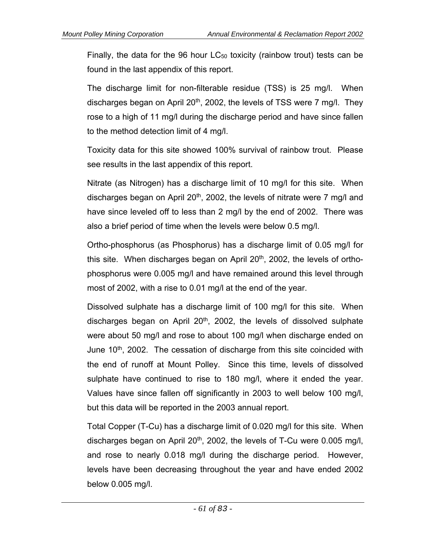Finally, the data for the 96 hour  $LC_{50}$  toxicity (rainbow trout) tests can be found in the last appendix of this report.

The discharge limit for non-filterable residue (TSS) is 25 mg/l. When discharges began on April 20<sup>th</sup>, 2002, the levels of TSS were 7 mg/l. They rose to a high of 11 mg/l during the discharge period and have since fallen to the method detection limit of 4 mg/l.

Toxicity data for this site showed 100% survival of rainbow trout. Please see results in the last appendix of this report.

Nitrate (as Nitrogen) has a discharge limit of 10 mg/l for this site. When discharges began on April 20<sup>th</sup>, 2002, the levels of nitrate were 7 mg/l and have since leveled off to less than 2 mg/l by the end of 2002. There was also a brief period of time when the levels were below 0.5 mg/l.

Ortho-phosphorus (as Phosphorus) has a discharge limit of 0.05 mg/l for this site. When discharges began on April 20<sup>th</sup>, 2002, the levels of orthophosphorus were 0.005 mg/l and have remained around this level through most of 2002, with a rise to 0.01 mg/l at the end of the year.

Dissolved sulphate has a discharge limit of 100 mg/l for this site. When discharges began on April  $20<sup>th</sup>$ , 2002, the levels of dissolved sulphate were about 50 mg/l and rose to about 100 mg/l when discharge ended on June  $10<sup>th</sup>$ , 2002. The cessation of discharge from this site coincided with the end of runoff at Mount Polley. Since this time, levels of dissolved sulphate have continued to rise to 180 mg/l, where it ended the year. Values have since fallen off significantly in 2003 to well below 100 mg/l, but this data will be reported in the 2003 annual report.

Total Copper (T-Cu) has a discharge limit of 0.020 mg/l for this site. When discharges began on April 20<sup>th</sup>, 2002, the levels of T-Cu were 0.005 mg/l, and rose to nearly 0.018 mg/l during the discharge period. However, levels have been decreasing throughout the year and have ended 2002 below 0.005 mg/l.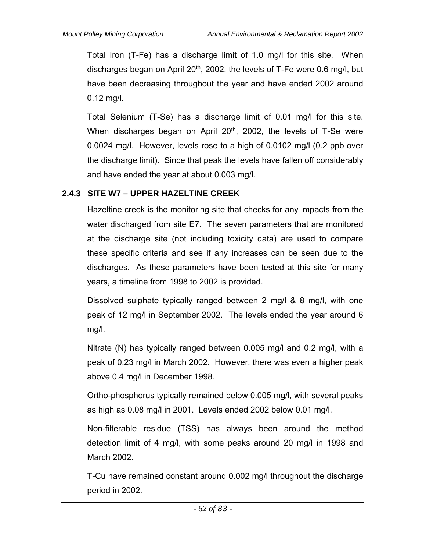Total Iron (T-Fe) has a discharge limit of 1.0 mg/l for this site. When discharges began on April 20<sup>th</sup>, 2002, the levels of T-Fe were 0.6 mg/l, but have been decreasing throughout the year and have ended 2002 around 0.12 mg/l.

Total Selenium (T-Se) has a discharge limit of 0.01 mg/l for this site. When discharges began on April  $20<sup>th</sup>$ , 2002, the levels of T-Se were 0.0024 mg/l. However, levels rose to a high of 0.0102 mg/l (0.2 ppb over the discharge limit). Since that peak the levels have fallen off considerably and have ended the year at about 0.003 mg/l.

### **2.4.3 SITE W7 – UPPER HAZELTINE CREEK**

Hazeltine creek is the monitoring site that checks for any impacts from the water discharged from site E7. The seven parameters that are monitored at the discharge site (not including toxicity data) are used to compare these specific criteria and see if any increases can be seen due to the discharges. As these parameters have been tested at this site for many years, a timeline from 1998 to 2002 is provided.

Dissolved sulphate typically ranged between 2 mg/l & 8 mg/l, with one peak of 12 mg/l in September 2002. The levels ended the year around 6 mg/l.

Nitrate (N) has typically ranged between 0.005 mg/l and 0.2 mg/l, with a peak of 0.23 mg/l in March 2002. However, there was even a higher peak above 0.4 mg/l in December 1998.

Ortho-phosphorus typically remained below 0.005 mg/l, with several peaks as high as 0.08 mg/l in 2001. Levels ended 2002 below 0.01 mg/l.

Non-filterable residue (TSS) has always been around the method detection limit of 4 mg/l, with some peaks around 20 mg/l in 1998 and March 2002.

T-Cu have remained constant around 0.002 mg/l throughout the discharge period in 2002.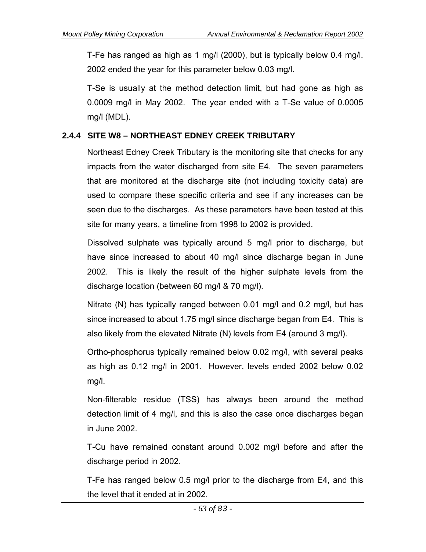T-Fe has ranged as high as 1 mg/l (2000), but is typically below 0.4 mg/l. 2002 ended the year for this parameter below 0.03 mg/l.

T-Se is usually at the method detection limit, but had gone as high as 0.0009 mg/l in May 2002. The year ended with a T-Se value of 0.0005 mg/l (MDL).

### **2.4.4 SITE W8 – NORTHEAST EDNEY CREEK TRIBUTARY**

Northeast Edney Creek Tributary is the monitoring site that checks for any impacts from the water discharged from site E4. The seven parameters that are monitored at the discharge site (not including toxicity data) are used to compare these specific criteria and see if any increases can be seen due to the discharges. As these parameters have been tested at this site for many years, a timeline from 1998 to 2002 is provided.

Dissolved sulphate was typically around 5 mg/l prior to discharge, but have since increased to about 40 mg/l since discharge began in June 2002. This is likely the result of the higher sulphate levels from the discharge location (between 60 mg/l & 70 mg/l).

Nitrate (N) has typically ranged between 0.01 mg/l and 0.2 mg/l, but has since increased to about 1.75 mg/l since discharge began from E4. This is also likely from the elevated Nitrate (N) levels from E4 (around 3 mg/l).

Ortho-phosphorus typically remained below 0.02 mg/l, with several peaks as high as 0.12 mg/l in 2001. However, levels ended 2002 below 0.02 mg/l.

Non-filterable residue (TSS) has always been around the method detection limit of 4 mg/l, and this is also the case once discharges began in June 2002.

T-Cu have remained constant around 0.002 mg/l before and after the discharge period in 2002.

T-Fe has ranged below 0.5 mg/l prior to the discharge from E4, and this the level that it ended at in 2002.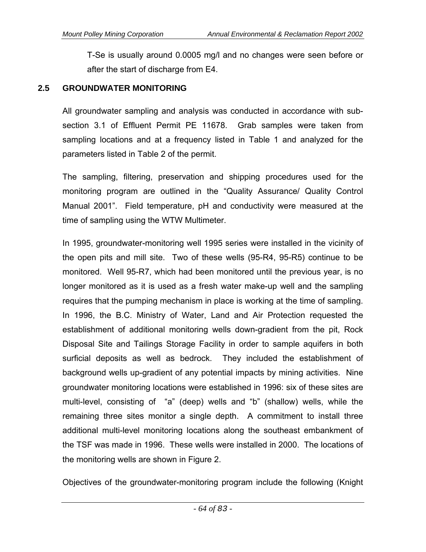T-Se is usually around 0.0005 mg/l and no changes were seen before or after the start of discharge from E4.

#### **2.5 GROUNDWATER MONITORING**

All groundwater sampling and analysis was conducted in accordance with subsection 3.1 of Effluent Permit PE 11678. Grab samples were taken from sampling locations and at a frequency listed in Table 1 and analyzed for the parameters listed in Table 2 of the permit.

The sampling, filtering, preservation and shipping procedures used for the monitoring program are outlined in the "Quality Assurance/ Quality Control Manual 2001". Field temperature, pH and conductivity were measured at the time of sampling using the WTW Multimeter.

In 1995, groundwater-monitoring well 1995 series were installed in the vicinity of the open pits and mill site. Two of these wells (95-R4, 95-R5) continue to be monitored. Well 95-R7, which had been monitored until the previous year, is no longer monitored as it is used as a fresh water make-up well and the sampling requires that the pumping mechanism in place is working at the time of sampling. In 1996, the B.C. Ministry of Water, Land and Air Protection requested the establishment of additional monitoring wells down-gradient from the pit, Rock Disposal Site and Tailings Storage Facility in order to sample aquifers in both surficial deposits as well as bedrock. They included the establishment of background wells up-gradient of any potential impacts by mining activities. Nine groundwater monitoring locations were established in 1996: six of these sites are multi-level, consisting of "a" (deep) wells and "b" (shallow) wells, while the remaining three sites monitor a single depth. A commitment to install three additional multi-level monitoring locations along the southeast embankment of the TSF was made in 1996. These wells were installed in 2000. The locations of the monitoring wells are shown in Figure 2.

Objectives of the groundwater-monitoring program include the following (Knight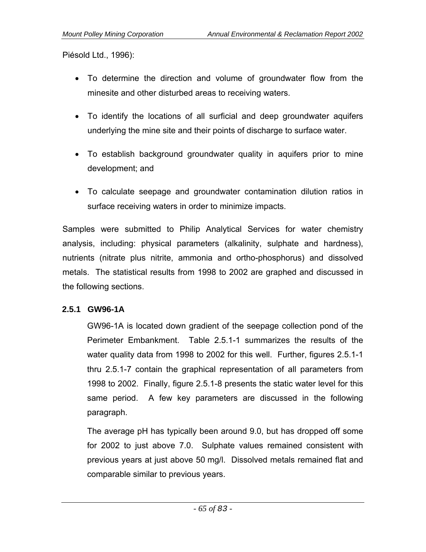Piésold Ltd., 1996):

- To determine the direction and volume of groundwater flow from the minesite and other disturbed areas to receiving waters.
- To identify the locations of all surficial and deep groundwater aquifers underlying the mine site and their points of discharge to surface water.
- To establish background groundwater quality in aquifers prior to mine development; and
- To calculate seepage and groundwater contamination dilution ratios in surface receiving waters in order to minimize impacts.

Samples were submitted to Philip Analytical Services for water chemistry analysis, including: physical parameters (alkalinity, sulphate and hardness), nutrients (nitrate plus nitrite, ammonia and ortho-phosphorus) and dissolved metals. The statistical results from 1998 to 2002 are graphed and discussed in the following sections.

#### **2.5.1 GW96-1A**

GW96-1A is located down gradient of the seepage collection pond of the Perimeter Embankment. Table 2.5.1-1 summarizes the results of the water quality data from 1998 to 2002 for this well. Further, figures 2.5.1-1 thru 2.5.1-7 contain the graphical representation of all parameters from 1998 to 2002. Finally, figure 2.5.1-8 presents the static water level for this same period. A few key parameters are discussed in the following paragraph.

The average pH has typically been around 9.0, but has dropped off some for 2002 to just above 7.0. Sulphate values remained consistent with previous years at just above 50 mg/l. Dissolved metals remained flat and comparable similar to previous years.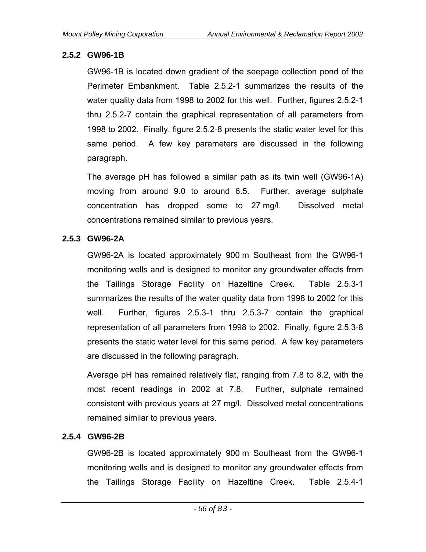#### **2.5.2 GW96-1B**

GW96-1B is located down gradient of the seepage collection pond of the Perimeter Embankment. Table 2.5.2-1 summarizes the results of the water quality data from 1998 to 2002 for this well. Further, figures 2.5.2-1 thru 2.5.2-7 contain the graphical representation of all parameters from 1998 to 2002. Finally, figure 2.5.2-8 presents the static water level for this same period. A few key parameters are discussed in the following paragraph.

The average pH has followed a similar path as its twin well (GW96-1A) moving from around 9.0 to around 6.5. Further, average sulphate concentration has dropped some to 27 mg/l. Dissolved metal concentrations remained similar to previous years.

#### **2.5.3 GW96-2A**

GW96-2A is located approximately 900 m Southeast from the GW96-1 monitoring wells and is designed to monitor any groundwater effects from the Tailings Storage Facility on Hazeltine Creek. Table 2.5.3-1 summarizes the results of the water quality data from 1998 to 2002 for this well. Further, figures 2.5.3-1 thru 2.5.3-7 contain the graphical representation of all parameters from 1998 to 2002. Finally, figure 2.5.3-8 presents the static water level for this same period. A few key parameters are discussed in the following paragraph.

Average pH has remained relatively flat, ranging from 7.8 to 8.2, with the most recent readings in 2002 at 7.8. Further, sulphate remained consistent with previous years at 27 mg/l. Dissolved metal concentrations remained similar to previous years.

#### **2.5.4 GW96-2B**

GW96-2B is located approximately 900 m Southeast from the GW96-1 monitoring wells and is designed to monitor any groundwater effects from the Tailings Storage Facility on Hazeltine Creek. Table 2.5.4-1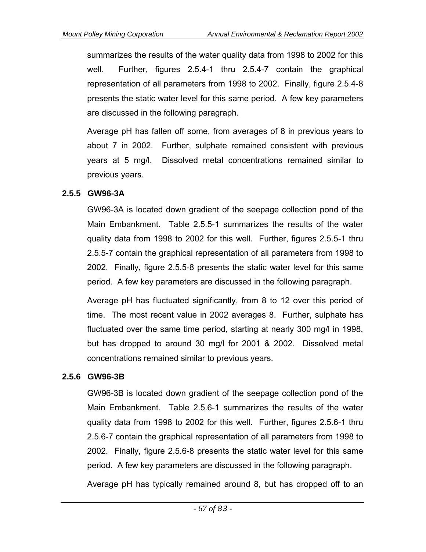summarizes the results of the water quality data from 1998 to 2002 for this well. Further, figures 2.5.4-1 thru 2.5.4-7 contain the graphical representation of all parameters from 1998 to 2002. Finally, figure 2.5.4-8 presents the static water level for this same period. A few key parameters are discussed in the following paragraph.

Average pH has fallen off some, from averages of 8 in previous years to about 7 in 2002. Further, sulphate remained consistent with previous years at 5 mg/l. Dissolved metal concentrations remained similar to previous years.

#### **2.5.5 GW96-3A**

GW96-3A is located down gradient of the seepage collection pond of the Main Embankment. Table 2.5.5-1 summarizes the results of the water quality data from 1998 to 2002 for this well. Further, figures 2.5.5-1 thru 2.5.5-7 contain the graphical representation of all parameters from 1998 to 2002. Finally, figure 2.5.5-8 presents the static water level for this same period. A few key parameters are discussed in the following paragraph.

Average pH has fluctuated significantly, from 8 to 12 over this period of time. The most recent value in 2002 averages 8. Further, sulphate has fluctuated over the same time period, starting at nearly 300 mg/l in 1998, but has dropped to around 30 mg/l for 2001 & 2002. Dissolved metal concentrations remained similar to previous years.

### **2.5.6 GW96-3B**

GW96-3B is located down gradient of the seepage collection pond of the Main Embankment. Table 2.5.6-1 summarizes the results of the water quality data from 1998 to 2002 for this well. Further, figures 2.5.6-1 thru 2.5.6-7 contain the graphical representation of all parameters from 1998 to 2002. Finally, figure 2.5.6-8 presents the static water level for this same period. A few key parameters are discussed in the following paragraph.

Average pH has typically remained around 8, but has dropped off to an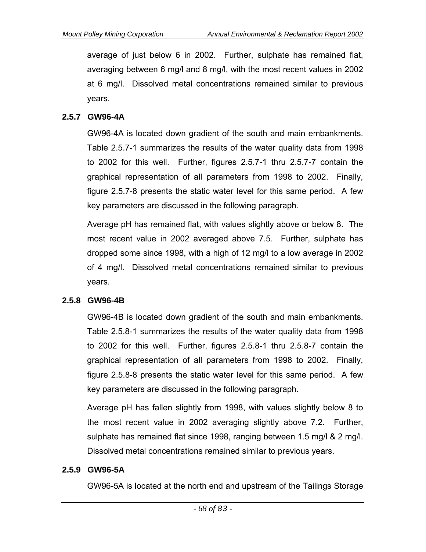average of just below 6 in 2002. Further, sulphate has remained flat, averaging between 6 mg/l and 8 mg/l, with the most recent values in 2002 at 6 mg/l. Dissolved metal concentrations remained similar to previous years.

### **2.5.7 GW96-4A**

GW96-4A is located down gradient of the south and main embankments. Table 2.5.7-1 summarizes the results of the water quality data from 1998 to 2002 for this well. Further, figures 2.5.7-1 thru 2.5.7-7 contain the graphical representation of all parameters from 1998 to 2002. Finally, figure 2.5.7-8 presents the static water level for this same period. A few key parameters are discussed in the following paragraph.

Average pH has remained flat, with values slightly above or below 8. The most recent value in 2002 averaged above 7.5. Further, sulphate has dropped some since 1998, with a high of 12 mg/l to a low average in 2002 of 4 mg/l. Dissolved metal concentrations remained similar to previous years.

### **2.5.8 GW96-4B**

GW96-4B is located down gradient of the south and main embankments. Table 2.5.8-1 summarizes the results of the water quality data from 1998 to 2002 for this well. Further, figures 2.5.8-1 thru 2.5.8-7 contain the graphical representation of all parameters from 1998 to 2002. Finally, figure 2.5.8-8 presents the static water level for this same period. A few key parameters are discussed in the following paragraph.

Average pH has fallen slightly from 1998, with values slightly below 8 to the most recent value in 2002 averaging slightly above 7.2. Further, sulphate has remained flat since 1998, ranging between 1.5 mg/l & 2 mg/l. Dissolved metal concentrations remained similar to previous years.

### **2.5.9 GW96-5A**

GW96-5A is located at the north end and upstream of the Tailings Storage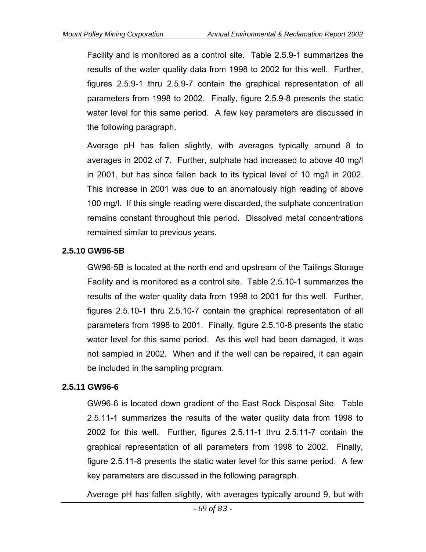Facility and is monitored as a control site. Table 2.5.9-1 summarizes the results of the water quality data from 1998 to 2002 for this well. Further, figures 2.5.9-1 thru 2.5.9-7 contain the graphical representation of all parameters from 1998 to 2002. Finally, figure 2.5.9-8 presents the static water level for this same period. A few key parameters are discussed in the following paragraph.

Average pH has fallen slightly, with averages typically around 8 to averages in 2002 of 7. Further, sulphate had increased to above 40 mg/l in 2001, but has since fallen back to its typical level of 10 mg/l in 2002. This increase in 2001 was due to an anomalously high reading of above 100 mg/l. If this single reading were discarded, the sulphate concentration remains constant throughout this period. Dissolved metal concentrations remained similar to previous years.

#### **2.5.10 GW96-5B**

GW96-5B is located at the north end and upstream of the Tailings Storage Facility and is monitored as a control site. Table 2.5.10-1 summarizes the results of the water quality data from 1998 to 2001 for this well. Further, figures 2.5.10-1 thru 2.5.10-7 contain the graphical representation of all parameters from 1998 to 2001. Finally, figure 2.5.10-8 presents the static water level for this same period. As this well had been damaged, it was not sampled in 2002. When and if the well can be repaired, it can again be included in the sampling program.

#### **2.5.11 GW96-6**

GW96-6 is located down gradient of the East Rock Disposal Site. Table 2.5.11-1 summarizes the results of the water quality data from 1998 to 2002 for this well. Further, figures 2.5.11-1 thru 2.5.11-7 contain the graphical representation of all parameters from 1998 to 2002. Finally, figure 2.5.11-8 presents the static water level for this same period. A few key parameters are discussed in the following paragraph.

Average pH has fallen slightly, with averages typically around 9, but with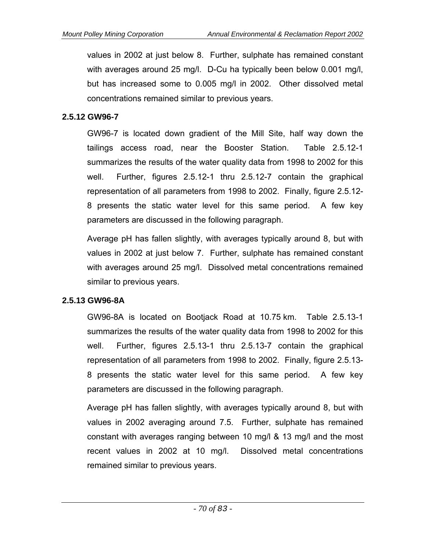values in 2002 at just below 8. Further, sulphate has remained constant with averages around 25 mg/l. D-Cu ha typically been below 0.001 mg/l, but has increased some to 0.005 mg/l in 2002. Other dissolved metal concentrations remained similar to previous years.

### **2.5.12 GW96-7**

GW96-7 is located down gradient of the Mill Site, half way down the tailings access road, near the Booster Station. Table 2.5.12-1 summarizes the results of the water quality data from 1998 to 2002 for this well. Further, figures 2.5.12-1 thru 2.5.12-7 contain the graphical representation of all parameters from 1998 to 2002. Finally, figure 2.5.12- 8 presents the static water level for this same period. A few key parameters are discussed in the following paragraph.

Average pH has fallen slightly, with averages typically around 8, but with values in 2002 at just below 7. Further, sulphate has remained constant with averages around 25 mg/l. Dissolved metal concentrations remained similar to previous years.

#### **2.5.13 GW96-8A**

GW96-8A is located on Bootjack Road at 10.75 km. Table 2.5.13-1 summarizes the results of the water quality data from 1998 to 2002 for this well. Further, figures 2.5.13-1 thru 2.5.13-7 contain the graphical representation of all parameters from 1998 to 2002. Finally, figure 2.5.13- 8 presents the static water level for this same period. A few key parameters are discussed in the following paragraph.

Average pH has fallen slightly, with averages typically around 8, but with values in 2002 averaging around 7.5. Further, sulphate has remained constant with averages ranging between 10 mg/l & 13 mg/l and the most recent values in 2002 at 10 mg/l. Dissolved metal concentrations remained similar to previous years.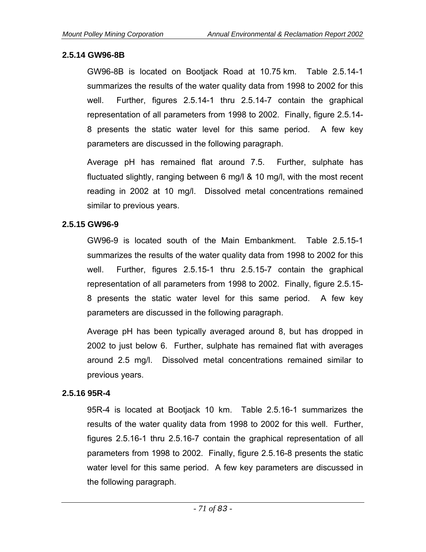#### **2.5.14 GW96-8B**

GW96-8B is located on Bootjack Road at 10.75 km. Table 2.5.14-1 summarizes the results of the water quality data from 1998 to 2002 for this well. Further, figures 2.5.14-1 thru 2.5.14-7 contain the graphical representation of all parameters from 1998 to 2002. Finally, figure 2.5.14- 8 presents the static water level for this same period. A few key parameters are discussed in the following paragraph.

Average pH has remained flat around 7.5. Further, sulphate has fluctuated slightly, ranging between 6 mg/l & 10 mg/l, with the most recent reading in 2002 at 10 mg/l. Dissolved metal concentrations remained similar to previous years.

#### **2.5.15 GW96-9**

GW96-9 is located south of the Main Embankment. Table 2.5.15-1 summarizes the results of the water quality data from 1998 to 2002 for this well. Further, figures 2.5.15-1 thru 2.5.15-7 contain the graphical representation of all parameters from 1998 to 2002. Finally, figure 2.5.15- 8 presents the static water level for this same period. A few key parameters are discussed in the following paragraph.

Average pH has been typically averaged around 8, but has dropped in 2002 to just below 6. Further, sulphate has remained flat with averages around 2.5 mg/l. Dissolved metal concentrations remained similar to previous years.

#### **2.5.16 95R-4**

95R-4 is located at Bootjack 10 km. Table 2.5.16-1 summarizes the results of the water quality data from 1998 to 2002 for this well. Further, figures 2.5.16-1 thru 2.5.16-7 contain the graphical representation of all parameters from 1998 to 2002. Finally, figure 2.5.16-8 presents the static water level for this same period. A few key parameters are discussed in the following paragraph.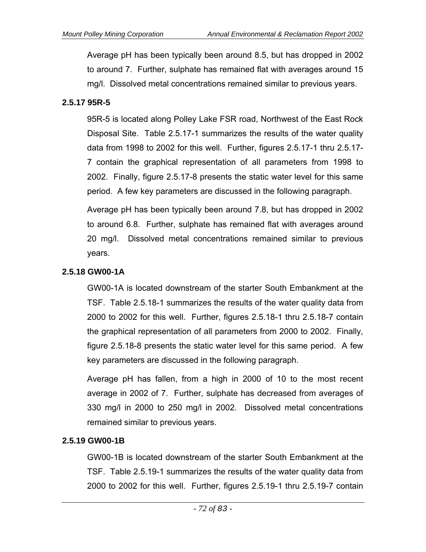Average pH has been typically been around 8.5, but has dropped in 2002 to around 7. Further, sulphate has remained flat with averages around 15 mg/l. Dissolved metal concentrations remained similar to previous years.

### **2.5.17 95R-5**

95R-5 is located along Polley Lake FSR road, Northwest of the East Rock Disposal Site. Table 2.5.17-1 summarizes the results of the water quality data from 1998 to 2002 for this well. Further, figures 2.5.17-1 thru 2.5.17- 7 contain the graphical representation of all parameters from 1998 to 2002. Finally, figure 2.5.17-8 presents the static water level for this same period. A few key parameters are discussed in the following paragraph.

Average pH has been typically been around 7.8, but has dropped in 2002 to around 6.8. Further, sulphate has remained flat with averages around 20 mg/l. Dissolved metal concentrations remained similar to previous years.

### **2.5.18 GW00-1A**

GW00-1A is located downstream of the starter South Embankment at the TSF. Table 2.5.18-1 summarizes the results of the water quality data from 2000 to 2002 for this well. Further, figures 2.5.18-1 thru 2.5.18-7 contain the graphical representation of all parameters from 2000 to 2002. Finally, figure 2.5.18-8 presents the static water level for this same period. A few key parameters are discussed in the following paragraph.

Average pH has fallen, from a high in 2000 of 10 to the most recent average in 2002 of 7. Further, sulphate has decreased from averages of 330 mg/l in 2000 to 250 mg/l in 2002. Dissolved metal concentrations remained similar to previous years.

### **2.5.19 GW00-1B**

GW00-1B is located downstream of the starter South Embankment at the TSF. Table 2.5.19-1 summarizes the results of the water quality data from 2000 to 2002 for this well. Further, figures 2.5.19-1 thru 2.5.19-7 contain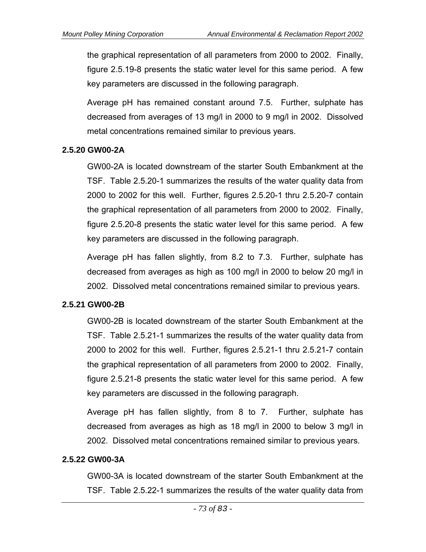the graphical representation of all parameters from 2000 to 2002. Finally, figure 2.5.19-8 presents the static water level for this same period. A few key parameters are discussed in the following paragraph.

Average pH has remained constant around 7.5. Further, sulphate has decreased from averages of 13 mg/l in 2000 to 9 mg/l in 2002. Dissolved metal concentrations remained similar to previous years.

# **2.5.20 GW00-2A**

GW00-2A is located downstream of the starter South Embankment at the TSF. Table 2.5.20-1 summarizes the results of the water quality data from 2000 to 2002 for this well. Further, figures 2.5.20-1 thru 2.5.20-7 contain the graphical representation of all parameters from 2000 to 2002. Finally, figure 2.5.20-8 presents the static water level for this same period. A few key parameters are discussed in the following paragraph.

Average pH has fallen slightly, from 8.2 to 7.3. Further, sulphate has decreased from averages as high as 100 mg/l in 2000 to below 20 mg/l in 2002. Dissolved metal concentrations remained similar to previous years.

# **2.5.21 GW00-2B**

GW00-2B is located downstream of the starter South Embankment at the TSF. Table 2.5.21-1 summarizes the results of the water quality data from 2000 to 2002 for this well. Further, figures 2.5.21-1 thru 2.5.21-7 contain the graphical representation of all parameters from 2000 to 2002. Finally, figure 2.5.21-8 presents the static water level for this same period. A few key parameters are discussed in the following paragraph.

Average pH has fallen slightly, from 8 to 7. Further, sulphate has decreased from averages as high as 18 mg/l in 2000 to below 3 mg/l in 2002. Dissolved metal concentrations remained similar to previous years.

# **2.5.22 GW00-3A**

GW00-3A is located downstream of the starter South Embankment at the TSF. Table 2.5.22-1 summarizes the results of the water quality data from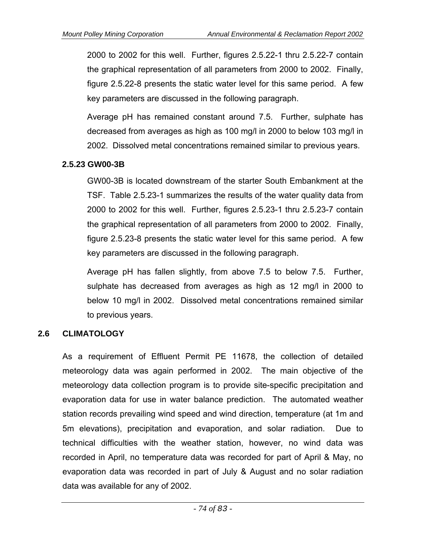2000 to 2002 for this well. Further, figures 2.5.22-1 thru 2.5.22-7 contain the graphical representation of all parameters from 2000 to 2002. Finally, figure 2.5.22-8 presents the static water level for this same period. A few key parameters are discussed in the following paragraph.

Average pH has remained constant around 7.5. Further, sulphate has decreased from averages as high as 100 mg/l in 2000 to below 103 mg/l in 2002. Dissolved metal concentrations remained similar to previous years.

### **2.5.23 GW00-3B**

GW00-3B is located downstream of the starter South Embankment at the TSF. Table 2.5.23-1 summarizes the results of the water quality data from 2000 to 2002 for this well. Further, figures 2.5.23-1 thru 2.5.23-7 contain the graphical representation of all parameters from 2000 to 2002. Finally, figure 2.5.23-8 presents the static water level for this same period. A few key parameters are discussed in the following paragraph.

Average pH has fallen slightly, from above 7.5 to below 7.5. Further, sulphate has decreased from averages as high as 12 mg/l in 2000 to below 10 mg/l in 2002. Dissolved metal concentrations remained similar to previous years.

### **2.6 CLIMATOLOGY**

As a requirement of Effluent Permit PE 11678, the collection of detailed meteorology data was again performed in 2002. The main objective of the meteorology data collection program is to provide site-specific precipitation and evaporation data for use in water balance prediction. The automated weather station records prevailing wind speed and wind direction, temperature (at 1m and 5m elevations), precipitation and evaporation, and solar radiation. Due to technical difficulties with the weather station, however, no wind data was recorded in April, no temperature data was recorded for part of April & May, no evaporation data was recorded in part of July & August and no solar radiation data was available for any of 2002.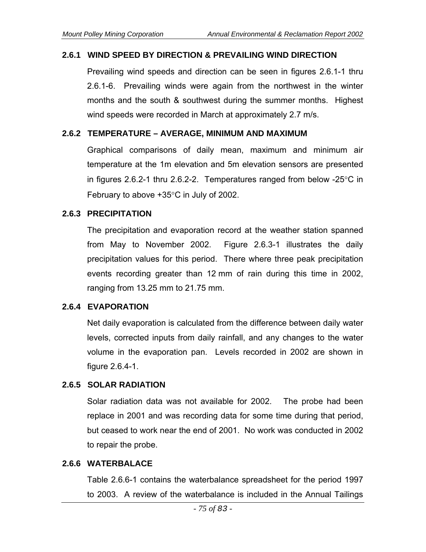#### **2.6.1 WIND SPEED BY DIRECTION & PREVAILING WIND DIRECTION**

Prevailing wind speeds and direction can be seen in figures 2.6.1-1 thru 2.6.1-6. Prevailing winds were again from the northwest in the winter months and the south & southwest during the summer months. Highest wind speeds were recorded in March at approximately 2.7 m/s.

#### **2.6.2 TEMPERATURE – AVERAGE, MINIMUM AND MAXIMUM**

Graphical comparisons of daily mean, maximum and minimum air temperature at the 1m elevation and 5m elevation sensors are presented in figures 2.6.2-1 thru 2.6.2-2. Temperatures ranged from below  $-25^{\circ}$ C in February to above  $+35^{\circ}$ C in July of 2002.

#### **2.6.3 PRECIPITATION**

The precipitation and evaporation record at the weather station spanned from May to November 2002. Figure 2.6.3-1 illustrates the daily precipitation values for this period. There where three peak precipitation events recording greater than 12 mm of rain during this time in 2002, ranging from 13.25 mm to 21.75 mm.

#### **2.6.4 EVAPORATION**

Net daily evaporation is calculated from the difference between daily water levels, corrected inputs from daily rainfall, and any changes to the water volume in the evaporation pan. Levels recorded in 2002 are shown in figure 2.6.4-1.

### **2.6.5 SOLAR RADIATION**

Solar radiation data was not available for 2002. The probe had been replace in 2001 and was recording data for some time during that period, but ceased to work near the end of 2001. No work was conducted in 2002 to repair the probe.

#### **2.6.6 WATERBALACE**

Table 2.6.6-1 contains the waterbalance spreadsheet for the period 1997 to 2003. A review of the waterbalance is included in the Annual Tailings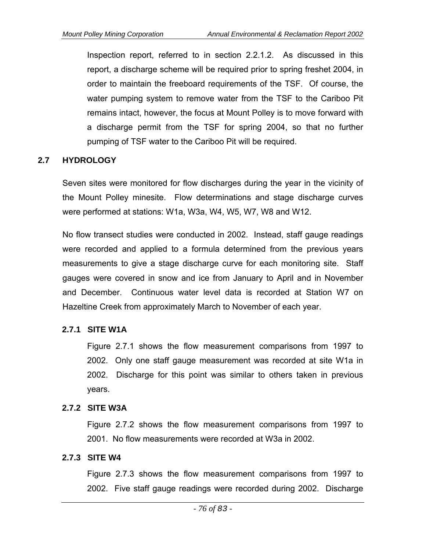Inspection report, referred to in section 2.2.1.2. As discussed in this report, a discharge scheme will be required prior to spring freshet 2004, in order to maintain the freeboard requirements of the TSF. Of course, the water pumping system to remove water from the TSF to the Cariboo Pit remains intact, however, the focus at Mount Polley is to move forward with a discharge permit from the TSF for spring 2004, so that no further pumping of TSF water to the Cariboo Pit will be required.

# **2.7 HYDROLOGY**

Seven sites were monitored for flow discharges during the year in the vicinity of the Mount Polley minesite. Flow determinations and stage discharge curves were performed at stations: W1a, W3a, W4, W5, W7, W8 and W12.

No flow transect studies were conducted in 2002. Instead, staff gauge readings were recorded and applied to a formula determined from the previous years measurements to give a stage discharge curve for each monitoring site. Staff gauges were covered in snow and ice from January to April and in November and December. Continuous water level data is recorded at Station W7 on Hazeltine Creek from approximately March to November of each year.

# **2.7.1 SITE W1A**

Figure 2.7.1 shows the flow measurement comparisons from 1997 to 2002. Only one staff gauge measurement was recorded at site W1a in 2002. Discharge for this point was similar to others taken in previous years.

### **2.7.2 SITE W3A**

Figure 2.7.2 shows the flow measurement comparisons from 1997 to 2001. No flow measurements were recorded at W3a in 2002.

### **2.7.3 SITE W4**

Figure 2.7.3 shows the flow measurement comparisons from 1997 to 2002. Five staff gauge readings were recorded during 2002. Discharge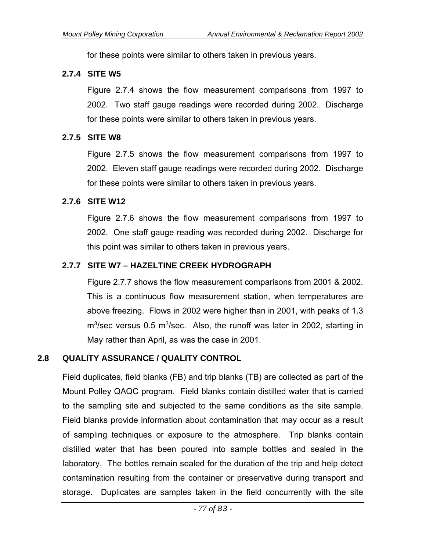for these points were similar to others taken in previous years.

#### **2.7.4 SITE W5**

Figure 2.7.4 shows the flow measurement comparisons from 1997 to 2002. Two staff gauge readings were recorded during 2002. Discharge for these points were similar to others taken in previous years.

#### **2.7.5 SITE W8**

Figure 2.7.5 shows the flow measurement comparisons from 1997 to 2002. Eleven staff gauge readings were recorded during 2002. Discharge for these points were similar to others taken in previous years.

#### **2.7.6 SITE W12**

Figure 2.7.6 shows the flow measurement comparisons from 1997 to 2002. One staff gauge reading was recorded during 2002. Discharge for this point was similar to others taken in previous years.

### **2.7.7 SITE W7 – HAZELTINE CREEK HYDROGRAPH**

Figure 2.7.7 shows the flow measurement comparisons from 2001 & 2002. This is a continuous flow measurement station, when temperatures are above freezing. Flows in 2002 were higher than in 2001, with peaks of 1.3  $m<sup>3</sup>/sec$  versus 0.5 m<sup>3</sup>/sec. Also, the runoff was later in 2002, starting in May rather than April, as was the case in 2001.

### **2.8 QUALITY ASSURANCE / QUALITY CONTROL**

Field duplicates, field blanks (FB) and trip blanks (TB) are collected as part of the Mount Polley QAQC program. Field blanks contain distilled water that is carried to the sampling site and subjected to the same conditions as the site sample. Field blanks provide information about contamination that may occur as a result of sampling techniques or exposure to the atmosphere. Trip blanks contain distilled water that has been poured into sample bottles and sealed in the laboratory. The bottles remain sealed for the duration of the trip and help detect contamination resulting from the container or preservative during transport and storage. Duplicates are samples taken in the field concurrently with the site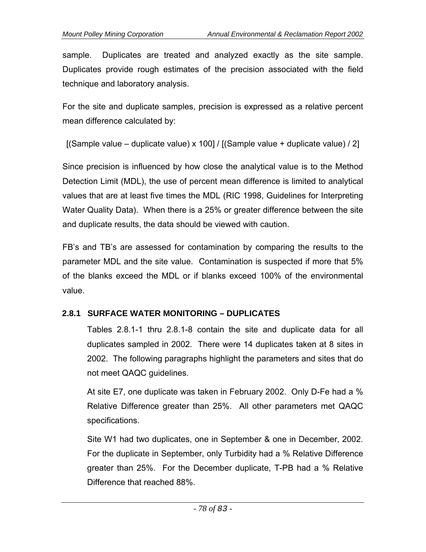sample. Duplicates are treated and analyzed exactly as the site sample. Duplicates provide rough estimates of the precision associated with the field technique and laboratory analysis.

For the site and duplicate samples, precision is expressed as a relative percent mean difference calculated by:

[(Sample value – duplicate value) x 100] / [(Sample value + duplicate value) / 2]

Since precision is influenced by how close the analytical value is to the Method Detection Limit (MDL), the use of percent mean difference is limited to analytical values that are at least five times the MDL (RIC 1998, Guidelines for Interpreting Water Quality Data). When there is a 25% or greater difference between the site and duplicate results, the data should be viewed with caution.

FB's and TB's are assessed for contamination by comparing the results to the parameter MDL and the site value. Contamination is suspected if more that 5% of the blanks exceed the MDL or if blanks exceed 100% of the environmental value.

# **2.8.1 SURFACE WATER MONITORING – DUPLICATES**

Tables 2.8.1-1 thru 2.8.1-8 contain the site and duplicate data for all duplicates sampled in 2002. There were 14 duplicates taken at 8 sites in 2002. The following paragraphs highlight the parameters and sites that do not meet QAQC guidelines.

At site E7, one duplicate was taken in February 2002. Only D-Fe had a % Relative Difference greater than 25%. All other parameters met QAQC specifications.

Site W1 had two duplicates, one in September & one in December, 2002. For the duplicate in September, only Turbidity had a % Relative Difference greater than 25%. For the December duplicate, T-PB had a % Relative Difference that reached 88%.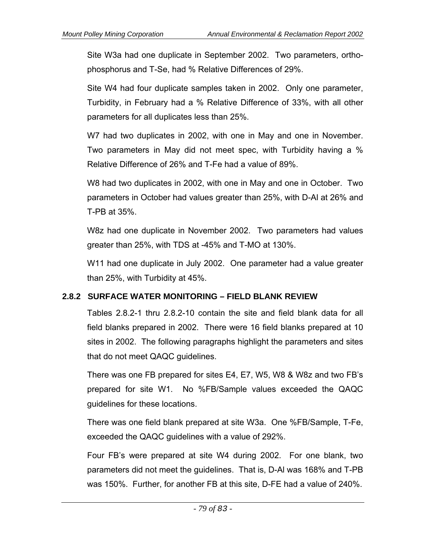Site W3a had one duplicate in September 2002. Two parameters, orthophosphorus and T-Se, had % Relative Differences of 29%.

Site W4 had four duplicate samples taken in 2002. Only one parameter, Turbidity, in February had a % Relative Difference of 33%, with all other parameters for all duplicates less than 25%.

W7 had two duplicates in 2002, with one in May and one in November. Two parameters in May did not meet spec, with Turbidity having a % Relative Difference of 26% and T-Fe had a value of 89%.

W8 had two duplicates in 2002, with one in May and one in October. Two parameters in October had values greater than 25%, with D-Al at 26% and T-PB at 35%.

W8z had one duplicate in November 2002. Two parameters had values greater than 25%, with TDS at -45% and T-MO at 130%.

W11 had one duplicate in July 2002. One parameter had a value greater than 25%, with Turbidity at 45%.

# **2.8.2 SURFACE WATER MONITORING – FIELD BLANK REVIEW**

Tables 2.8.2-1 thru 2.8.2-10 contain the site and field blank data for all field blanks prepared in 2002. There were 16 field blanks prepared at 10 sites in 2002. The following paragraphs highlight the parameters and sites that do not meet QAQC guidelines.

There was one FB prepared for sites E4, E7, W5, W8 & W8z and two FB's prepared for site W1. No %FB/Sample values exceeded the QAQC guidelines for these locations.

There was one field blank prepared at site W3a. One %FB/Sample, T-Fe, exceeded the QAQC guidelines with a value of 292%.

Four FB's were prepared at site W4 during 2002. For one blank, two parameters did not meet the guidelines. That is, D-Al was 168% and T-PB was 150%. Further, for another FB at this site, D-FE had a value of 240%.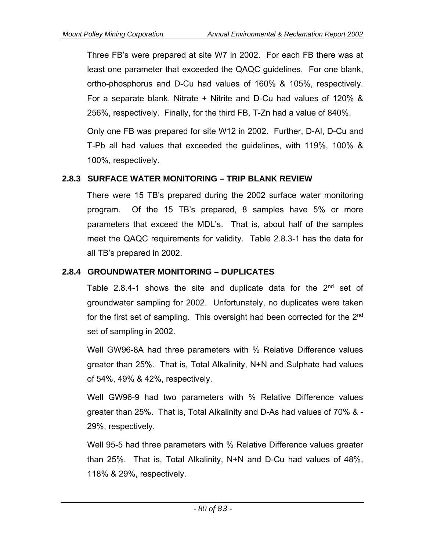Three FB's were prepared at site W7 in 2002. For each FB there was at least one parameter that exceeded the QAQC guidelines. For one blank, ortho-phosphorus and D-Cu had values of 160% & 105%, respectively. For a separate blank, Nitrate + Nitrite and D-Cu had values of 120% & 256%, respectively. Finally, for the third FB, T-Zn had a value of 840%.

Only one FB was prepared for site W12 in 2002. Further, D-Al, D-Cu and T-Pb all had values that exceeded the guidelines, with 119%, 100% & 100%, respectively.

# **2.8.3 SURFACE WATER MONITORING – TRIP BLANK REVIEW**

There were 15 TB's prepared during the 2002 surface water monitoring program. Of the 15 TB's prepared, 8 samples have 5% or more parameters that exceed the MDL's. That is, about half of the samples meet the QAQC requirements for validity. Table 2.8.3-1 has the data for all TB's prepared in 2002.

### **2.8.4 GROUNDWATER MONITORING – DUPLICATES**

Table 2.8.4-1 shows the site and duplicate data for the  $2<sup>nd</sup>$  set of groundwater sampling for 2002. Unfortunately, no duplicates were taken for the first set of sampling. This oversight had been corrected for the 2<sup>nd</sup> set of sampling in 2002.

Well GW96-8A had three parameters with % Relative Difference values greater than 25%. That is, Total Alkalinity, N+N and Sulphate had values of 54%, 49% & 42%, respectively.

Well GW96-9 had two parameters with % Relative Difference values greater than 25%. That is, Total Alkalinity and D-As had values of 70% & - 29%, respectively.

Well 95-5 had three parameters with % Relative Difference values greater than 25%. That is, Total Alkalinity, N+N and D-Cu had values of 48%, 118% & 29%, respectively.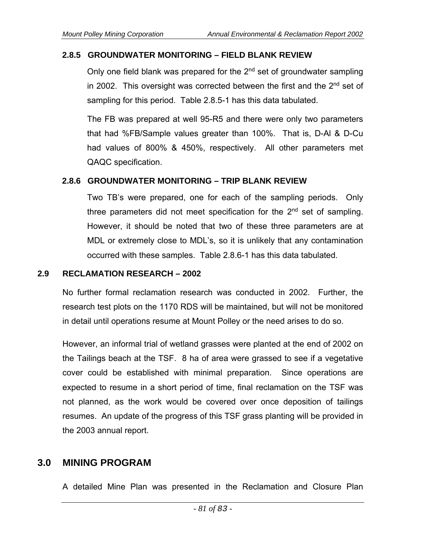#### **2.8.5 GROUNDWATER MONITORING – FIELD BLANK REVIEW**

Only one field blank was prepared for the  $2<sup>nd</sup>$  set of groundwater sampling in 2002. This oversight was corrected between the first and the  $2<sup>nd</sup>$  set of sampling for this period. Table 2.8.5-1 has this data tabulated.

The FB was prepared at well 95-R5 and there were only two parameters that had %FB/Sample values greater than 100%. That is, D-Al & D-Cu had values of 800% & 450%, respectively. All other parameters met QAQC specification.

#### **2.8.6 GROUNDWATER MONITORING – TRIP BLANK REVIEW**

Two TB's were prepared, one for each of the sampling periods. Only three parameters did not meet specification for the  $2<sup>nd</sup>$  set of sampling. However, it should be noted that two of these three parameters are at MDL or extremely close to MDL's, so it is unlikely that any contamination occurred with these samples. Table 2.8.6-1 has this data tabulated.

#### **2.9 RECLAMATION RESEARCH – 2002**

No further formal reclamation research was conducted in 2002. Further, the research test plots on the 1170 RDS will be maintained, but will not be monitored in detail until operations resume at Mount Polley or the need arises to do so.

However, an informal trial of wetland grasses were planted at the end of 2002 on the Tailings beach at the TSF. 8 ha of area were grassed to see if a vegetative cover could be established with minimal preparation. Since operations are expected to resume in a short period of time, final reclamation on the TSF was not planned, as the work would be covered over once deposition of tailings resumes. An update of the progress of this TSF grass planting will be provided in the 2003 annual report.

# **3.0 MINING PROGRAM**

A detailed Mine Plan was presented in the Reclamation and Closure Plan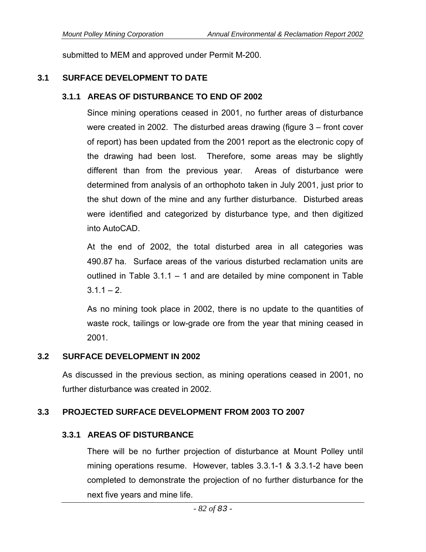submitted to MEM and approved under Permit M-200.

### **3.1 SURFACE DEVELOPMENT TO DATE**

#### **3.1.1 AREAS OF DISTURBANCE TO END OF 2002**

Since mining operations ceased in 2001, no further areas of disturbance were created in 2002. The disturbed areas drawing (figure 3 – front cover of report) has been updated from the 2001 report as the electronic copy of the drawing had been lost. Therefore, some areas may be slightly different than from the previous year. Areas of disturbance were determined from analysis of an orthophoto taken in July 2001, just prior to the shut down of the mine and any further disturbance. Disturbed areas were identified and categorized by disturbance type, and then digitized into AutoCAD.

At the end of 2002, the total disturbed area in all categories was 490.87 ha. Surface areas of the various disturbed reclamation units are outlined in Table 3.1.1 – 1 and are detailed by mine component in Table  $3.1.1 - 2.$ 

As no mining took place in 2002, there is no update to the quantities of waste rock, tailings or low-grade ore from the year that mining ceased in 2001.

### **3.2 SURFACE DEVELOPMENT IN 2002**

As discussed in the previous section, as mining operations ceased in 2001, no further disturbance was created in 2002.

### **3.3 PROJECTED SURFACE DEVELOPMENT FROM 2003 TO 2007**

### **3.3.1 AREAS OF DISTURBANCE**

There will be no further projection of disturbance at Mount Polley until mining operations resume. However, tables 3.3.1-1 & 3.3.1-2 have been completed to demonstrate the projection of no further disturbance for the next five years and mine life.